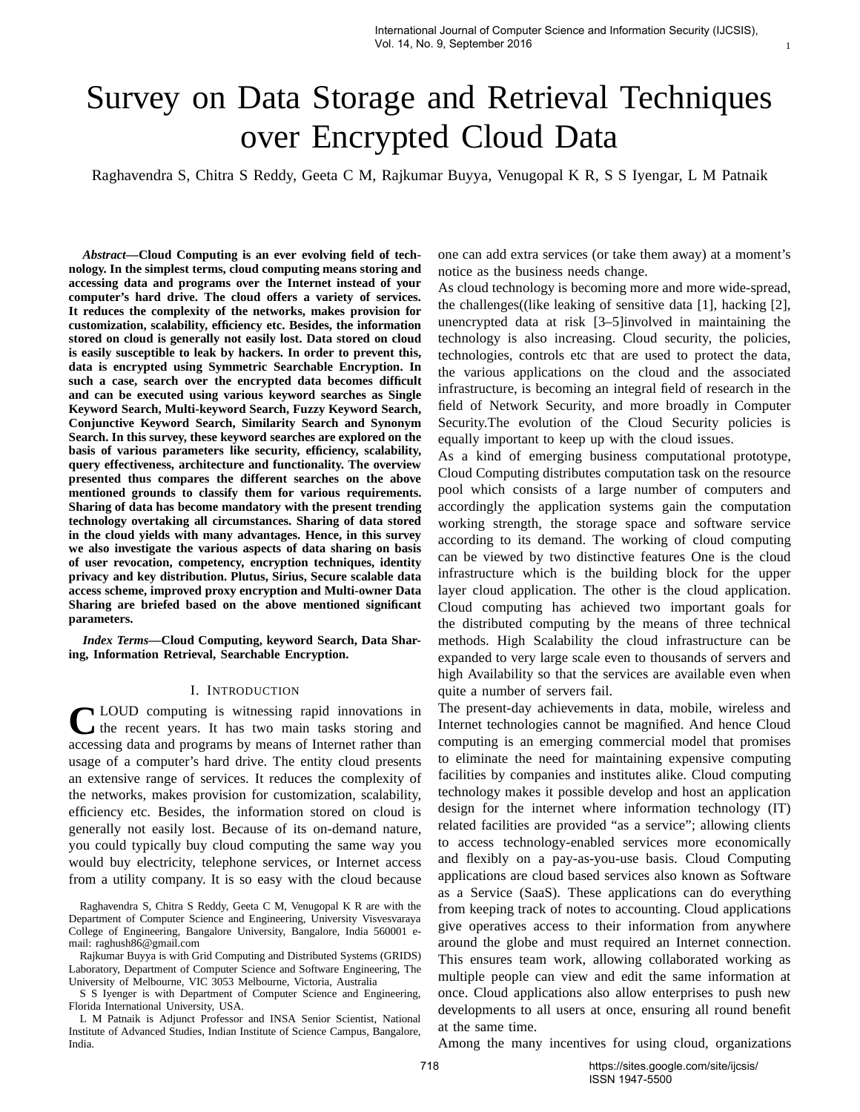# Survey on Data Storage and Retrieval Techniques over Encrypted Cloud Data

Raghavendra S, Chitra S Reddy, Geeta C M, Rajkumar Buyya, Venugopal K R, S S Iyengar, L M Patnaik

*Abstract***—Cloud Computing is an ever evolving field of technology. In the simplest terms, cloud computing means storing and accessing data and programs over the Internet instead of your computer's hard drive. The cloud offers a variety of services. It reduces the complexity of the networks, makes provision for customization, scalability, efficiency etc. Besides, the information stored on cloud is generally not easily lost. Data stored on cloud is easily susceptible to leak by hackers. In order to prevent this, data is encrypted using Symmetric Searchable Encryption. In such a case, search over the encrypted data becomes difficult and can be executed using various keyword searches as Single Keyword Search, Multi-keyword Search, Fuzzy Keyword Search, Conjunctive Keyword Search, Similarity Search and Synonym Search. In this survey, these keyword searches are explored on the basis of various parameters like security, efficiency, scalability, query effectiveness, architecture and functionality. The overview presented thus compares the different searches on the above mentioned grounds to classify them for various requirements. Sharing of data has become mandatory with the present trending technology overtaking all circumstances. Sharing of data stored in the cloud yields with many advantages. Hence, in this survey we also investigate the various aspects of data sharing on basis of user revocation, competency, encryption techniques, identity privacy and key distribution. Plutus, Sirius, Secure scalable data access scheme, improved proxy encryption and Multi-owner Data Sharing are briefed based on the above mentioned significant parameters.**

*Index Terms***—Cloud Computing, keyword Search, Data Sharing, Information Retrieval, Searchable Encryption.**

#### I. INTRODUCTION

CLOUD computing is witnessing rapid innovations in the recent years. It has two main tasks storing and LOUD computing is witnessing rapid innovations in accessing data and programs by means of Internet rather than usage of a computer's hard drive. The entity cloud presents an extensive range of services. It reduces the complexity of the networks, makes provision for customization, scalability, efficiency etc. Besides, the information stored on cloud is generally not easily lost. Because of its on-demand nature, you could typically buy cloud computing the same way you would buy electricity, telephone services, or Internet access from a utility company. It is so easy with the cloud because

Raghavendra S, Chitra S Reddy, Geeta C M, Venugopal K R are with the Department of Computer Science and Engineering, University Visvesvaraya College of Engineering, Bangalore University, Bangalore, India 560001 email: raghush86@gmail.com

Rajkumar Buyya is with Grid Computing and Distributed Systems (GRIDS) Laboratory, Department of Computer Science and Software Engineering, The University of Melbourne, VIC 3053 Melbourne, Victoria, Australia

S S Iyenger is with Department of Computer Science and Engineering, Florida International University, USA.

L M Patnaik is Adjunct Professor and INSA Senior Scientist, National Institute of Advanced Studies, Indian Institute of Science Campus, Bangalore, India.

one can add extra services (or take them away) at a moment's notice as the business needs change.

1

As cloud technology is becoming more and more wide-spread, the challenges((like leaking of sensitive data [1], hacking [2], unencrypted data at risk [3–5]involved in maintaining the technology is also increasing. Cloud security, the policies, technologies, controls etc that are used to protect the data, the various applications on the cloud and the associated infrastructure, is becoming an integral field of research in the field of Network Security, and more broadly in Computer Security. The evolution of the Cloud Security policies is equally important to keep up with the cloud issues.

As a kind of emerging business computational prototype, Cloud Computing distributes computation task on the resource pool which consists of a large number of computers and accordingly the application systems gain the computation working strength, the storage space and software service according to its demand. The working of cloud computing can be viewed by two distinctive features One is the cloud infrastructure which is the building block for the upper layer cloud application. The other is the cloud application. Cloud computing has achieved two important goals for the distributed computing by the means of three technical methods. High Scalability the cloud infrastructure can be expanded to very large scale even to thousands of servers and high Availability so that the services are available even when quite a number of servers fail.

The present-day achievements in data, mobile, wireless and Internet technologies cannot be magnified. And hence Cloud computing is an emerging commercial model that promises to eliminate the need for maintaining expensive computing facilities by companies and institutes alike. Cloud computing technology makes it possible develop and host an application design for the internet where information technology (IT) related facilities are provided "as a service"; allowing clients to access technology-enabled services more economically and flexibly on a pay-as-you-use basis. Cloud Computing applications are cloud based services also known as Software as a Service (SaaS). These applications can do everything from keeping track of notes to accounting. Cloud applications give operatives access to their information from anywhere around the globe and must required an Internet connection. This ensures team work, allowing collaborated working as multiple people can view and edit the same information at once. Cloud applications also allow enterprises to push new developments to all users at once, ensuring all round benefit at the same time.

Among the many incentives for using cloud, organizations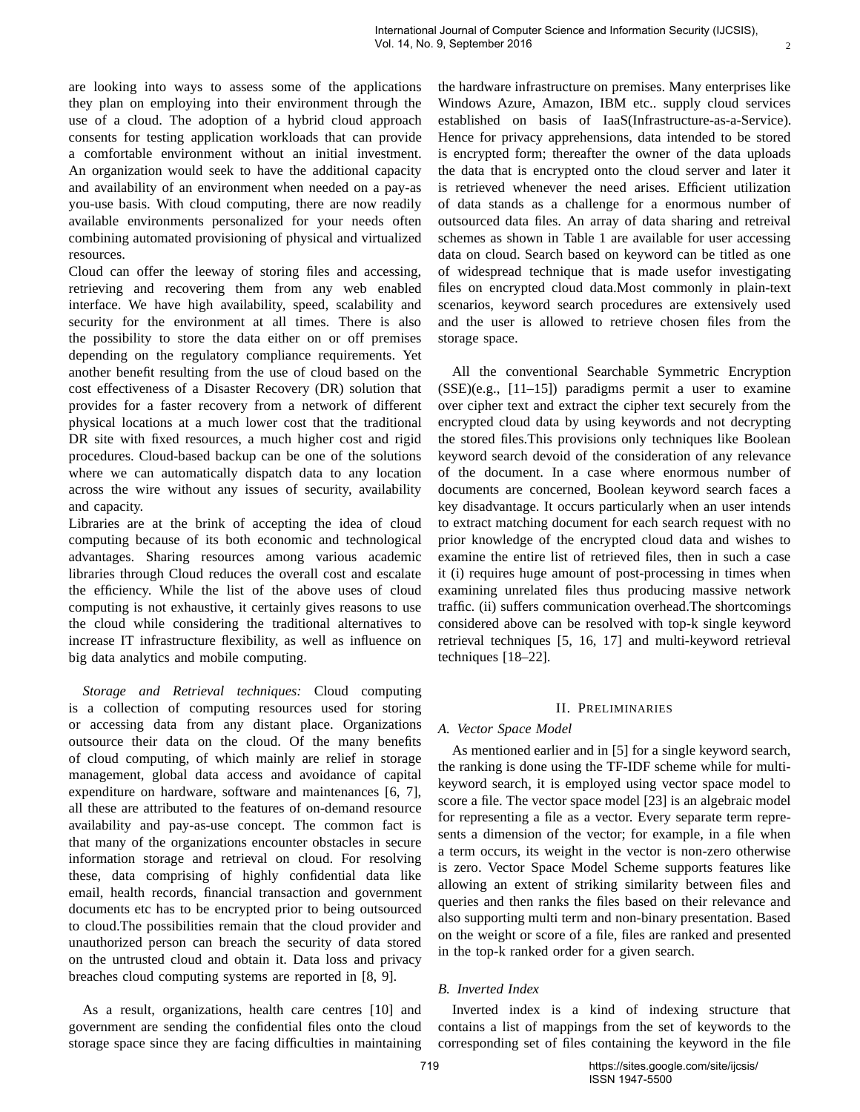are looking into ways to assess some of the applications they plan on employing into their environment through the use of a cloud. The adoption of a hybrid cloud approach consents for testing application workloads that can provide a comfortable environment without an initial investment. An organization would seek to have the additional capacity and availability of an environment when needed on a pay-as you-use basis. With cloud computing, there are now readily available environments personalized for your needs often combining automated provisioning of physical and virtualized resources.

Cloud can offer the leeway of storing files and accessing, retrieving and recovering them from any web enabled interface. We have high availability, speed, scalability and security for the environment at all times. There is also the possibility to store the data either on or off premises depending on the regulatory compliance requirements. Yet another benefit resulting from the use of cloud based on the cost effectiveness of a Disaster Recovery (DR) solution that provides for a faster recovery from a network of different physical locations at a much lower cost that the traditional DR site with fixed resources, a much higher cost and rigid procedures. Cloud-based backup can be one of the solutions where we can automatically dispatch data to any location across the wire without any issues of security, availability and capacity.

Libraries are at the brink of accepting the idea of cloud computing because of its both economic and technological advantages. Sharing resources among various academic libraries through Cloud reduces the overall cost and escalate the efficiency. While the list of the above uses of cloud computing is not exhaustive, it certainly gives reasons to use the cloud while considering the traditional alternatives to increase IT infrastructure flexibility, as well as influence on big data analytics and mobile computing.

*Storage and Retrieval techniques:* Cloud computing is a collection of computing resources used for storing or accessing data from any distant place. Organizations outsource their data on the cloud. Of the many benefits of cloud computing, of which mainly are relief in storage management, global data access and avoidance of capital expenditure on hardware, software and maintenances [6, 7], all these are attributed to the features of on-demand resource availability and pay-as-use concept. The common fact is that many of the organizations encounter obstacles in secure information storage and retrieval on cloud. For resolving these, data comprising of highly confidential data like email, health records, financial transaction and government documents etc has to be encrypted prior to being outsourced to cloud.The possibilities remain that the cloud provider and unauthorized person can breach the security of data stored on the untrusted cloud and obtain it. Data loss and privacy breaches cloud computing systems are reported in [8, 9].

As a result, organizations, health care centres [10] and government are sending the confidential files onto the cloud storage space since they are facing difficulties in maintaining the hardware infrastructure on premises. Many enterprises like Windows Azure, Amazon, IBM etc.. supply cloud services established on basis of IaaS(Infrastructure-as-a-Service). Hence for privacy apprehensions, data intended to be stored is encrypted form; thereafter the owner of the data uploads the data that is encrypted onto the cloud server and later it is retrieved whenever the need arises. Efficient utilization of data stands as a challenge for a enormous number of outsourced data files. An array of data sharing and retreival schemes as shown in Table 1 are available for user accessing data on cloud. Search based on keyword can be titled as one of widespread technique that is made usefor investigating files on encrypted cloud data.Most commonly in plain-text scenarios, keyword search procedures are extensively used and the user is allowed to retrieve chosen files from the storage space.

 $\overline{2}$ 

All the conventional Searchable Symmetric Encryption (SSE)(e.g., [11–15]) paradigms permit a user to examine over cipher text and extract the cipher text securely from the encrypted cloud data by using keywords and not decrypting the stored files.This provisions only techniques like Boolean keyword search devoid of the consideration of any relevance of the document. In a case where enormous number of documents are concerned, Boolean keyword search faces a key disadvantage. It occurs particularly when an user intends to extract matching document for each search request with no prior knowledge of the encrypted cloud data and wishes to examine the entire list of retrieved files, then in such a case it (i) requires huge amount of post-processing in times when examining unrelated files thus producing massive network traffic. (ii) suffers communication overhead.The shortcomings considered above can be resolved with top-k single keyword retrieval techniques [5, 16, 17] and multi-keyword retrieval techniques [18–22].

## II. PRELIMINARIES

# *A. Vector Space Model*

As mentioned earlier and in [5] for a single keyword search, the ranking is done using the TF-IDF scheme while for multikeyword search, it is employed using vector space model to score a file. The vector space model [23] is an algebraic model for representing a file as a vector. Every separate term represents a dimension of the vector; for example, in a file when a term occurs, its weight in the vector is non-zero otherwise is zero. Vector Space Model Scheme supports features like allowing an extent of striking similarity between files and queries and then ranks the files based on their relevance and also supporting multi term and non-binary presentation. Based on the weight or score of a file, files are ranked and presented in the top-k ranked order for a given search.

# *B. Inverted Index*

Inverted index is a kind of indexing structure that contains a list of mappings from the set of keywords to the corresponding set of files containing the keyword in the file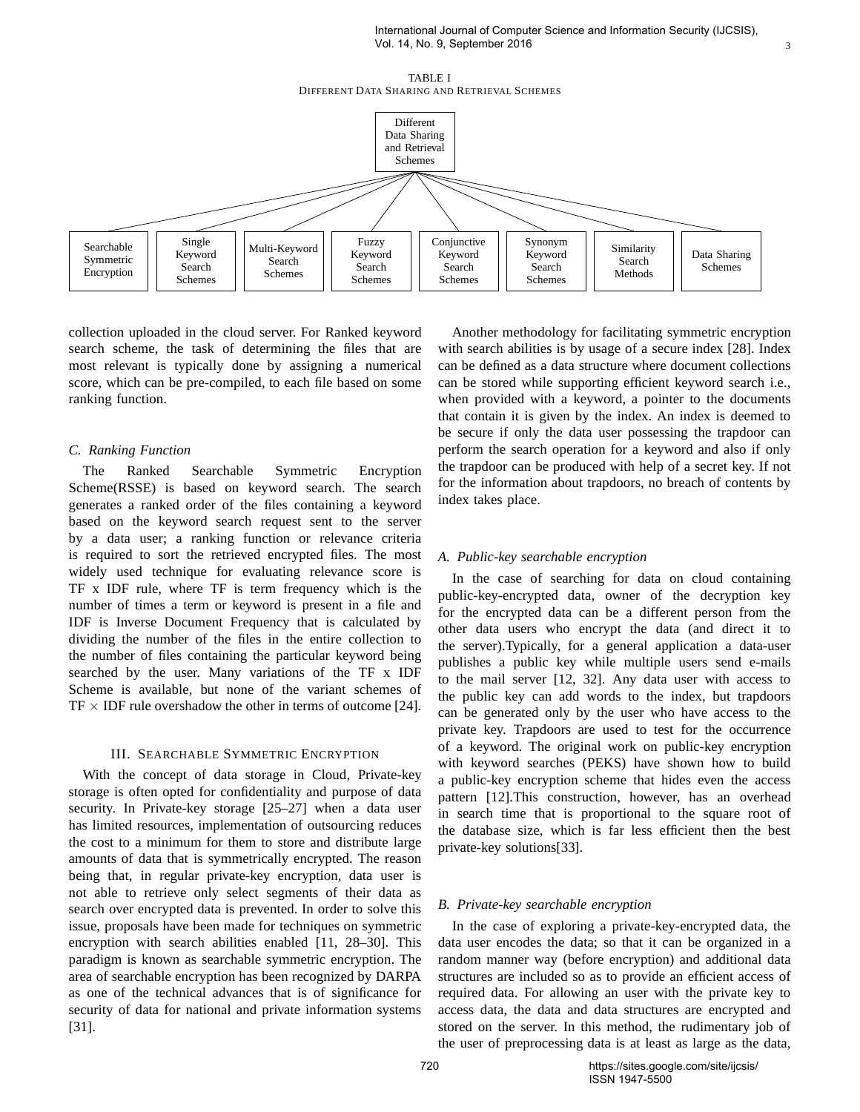3



collection uploaded in the cloud server. For Ranked keyword search scheme, the task of determining the files that are most relevant is typically done by assigning a numerical score, which can be pre-compiled, to each file based on some ranking function.

## *C. Ranking Function*

The Ranked Searchable Symmetric Encryption Scheme(RSSE) is based on keyword search. The search generates a ranked order of the files containing a keyword based on the keyword search request sent to the server by a data user; a ranking function or relevance criteria is required to sort the retrieved encrypted files. The most widely used technique for evaluating relevance score is TF x IDF rule, where TF is term frequency which is the number of times a term or keyword is present in a file and IDF is Inverse Document Frequency that is calculated by dividing the number of the files in the entire collection to the number of files containing the particular keyword being searched by the user. Many variations of the TF x IDF Scheme is available, but none of the variant schemes of  $TF \times IDF$  rule overshadow the other in terms of outcome [24].

## III. SEARCHABLE SYMMETRIC ENCRYPTION

With the concept of data storage in Cloud, Private-key storage is often opted for confidentiality and purpose of data security. In Private-key storage [25–27] when a data user has limited resources, implementation of outsourcing reduces the cost to a minimum for them to store and distribute large amounts of data that is symmetrically encrypted. The reason being that, in regular private-key encryption, data user is not able to retrieve only select segments of their data as search over encrypted data is prevented. In order to solve this issue, proposals have been made for techniques on symmetric encryption with search abilities enabled [11, 28–30]. This paradigm is known as searchable symmetric encryption. The area of searchable encryption has been recognized by DARPA as one of the technical advances that is of significance for security of data for national and private information systems [31].

Another methodology for facilitating symmetric encryption with search abilities is by usage of a secure index [28]. Index can be defined as a data structure where document collections can be stored while supporting efficient keyword search i.e., when provided with a keyword, a pointer to the documents that contain it is given by the index. An index is deemed to be secure if only the data user possessing the trapdoor can perform the search operation for a keyword and also if only the trapdoor can be produced with help of a secret key. If not for the information about trapdoors, no breach of contents by index takes place.

## *A. Public-key searchable encryption*

In the case of searching for data on cloud containing public-key-encrypted data, owner of the decryption key for the encrypted data can be a different person from the other data users who encrypt the data (and direct it to the server).Typically, for a general application a data-user publishes a public key while multiple users send e-mails to the mail server [12, 32]. Any data user with access to the public key can add words to the index, but trapdoors can be generated only by the user who have access to the private key. Trapdoors are used to test for the occurrence of a keyword. The original work on public-key encryption with keyword searches (PEKS) have shown how to build a public-key encryption scheme that hides even the access pattern [12].This construction, however, has an overhead in search time that is proportional to the square root of the database size, which is far less efficient then the best private-key solutions[33].

## *B. Private-key searchable encryption*

In the case of exploring a private-key-encrypted data, the data user encodes the data; so that it can be organized in a random manner way (before encryption) and additional data structures are included so as to provide an efficient access of required data. For allowing an user with the private key to access data, the data and data structures are encrypted and stored on the server. In this method, the rudimentary job of the user of preprocessing data is at least as large as the data,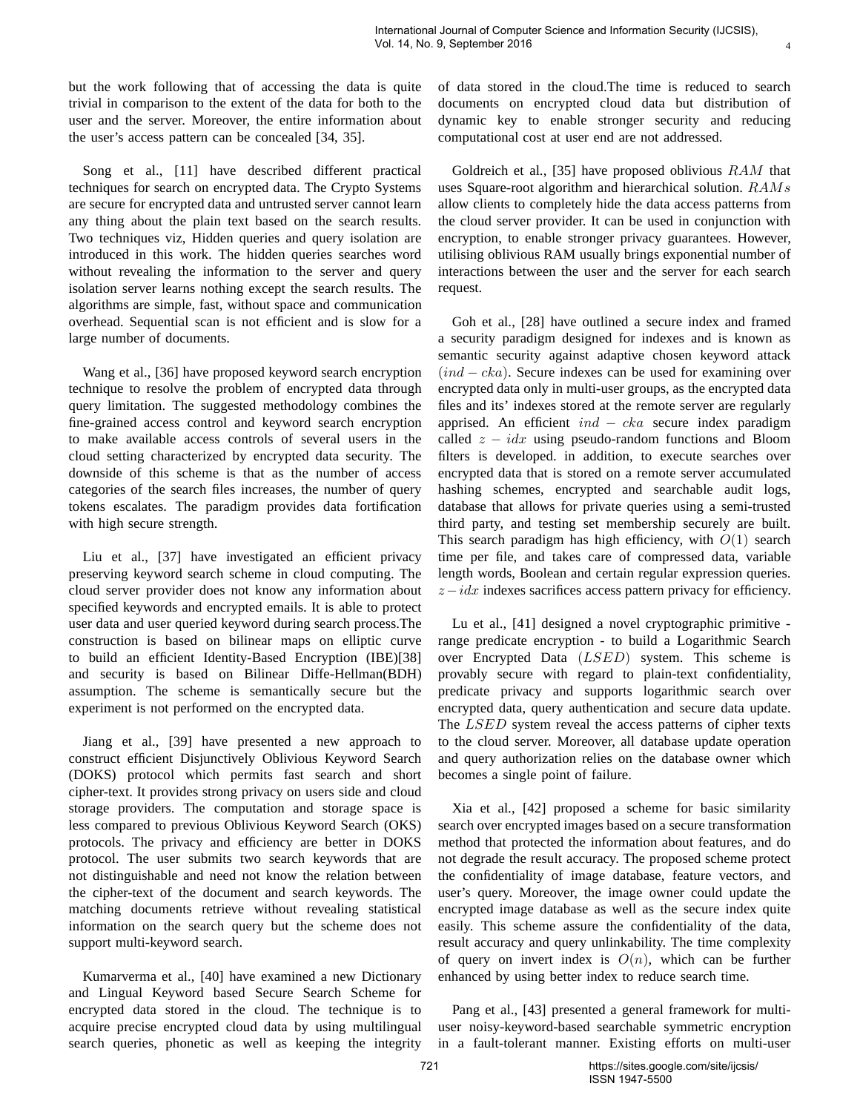but the work following that of accessing the data is quite trivial in comparison to the extent of the data for both to the user and the server. Moreover, the entire information about the user's access pattern can be concealed [34, 35].

Song et al., [11] have described different practical techniques for search on encrypted data. The Crypto Systems are secure for encrypted data and untrusted server cannot learn any thing about the plain text based on the search results. Two techniques viz, Hidden queries and query isolation are introduced in this work. The hidden queries searches word without revealing the information to the server and query isolation server learns nothing except the search results. The algorithms are simple, fast, without space and communication overhead. Sequential scan is not efficient and is slow for a large number of documents.

Wang et al., [36] have proposed keyword search encryption technique to resolve the problem of encrypted data through query limitation. The suggested methodology combines the fine-grained access control and keyword search encryption to make available access controls of several users in the cloud setting characterized by encrypted data security. The downside of this scheme is that as the number of access categories of the search files increases, the number of query tokens escalates. The paradigm provides data fortification with high secure strength.

Liu et al., [37] have investigated an efficient privacy preserving keyword search scheme in cloud computing. The cloud server provider does not know any information about specified keywords and encrypted emails. It is able to protect user data and user queried keyword during search process.The construction is based on bilinear maps on elliptic curve to build an efficient Identity-Based Encryption (IBE)[38] and security is based on Bilinear Diffe-Hellman(BDH) assumption. The scheme is semantically secure but the experiment is not performed on the encrypted data.

Jiang et al., [39] have presented a new approach to construct efficient Disjunctively Oblivious Keyword Search (DOKS) protocol which permits fast search and short cipher-text. It provides strong privacy on users side and cloud storage providers. The computation and storage space is less compared to previous Oblivious Keyword Search (OKS) protocols. The privacy and efficiency are better in DOKS protocol. The user submits two search keywords that are not distinguishable and need not know the relation between the cipher-text of the document and search keywords. The matching documents retrieve without revealing statistical information on the search query but the scheme does not support multi-keyword search.

Kumarverma et al., [40] have examined a new Dictionary and Lingual Keyword based Secure Search Scheme for encrypted data stored in the cloud. The technique is to acquire precise encrypted cloud data by using multilingual search queries, phonetic as well as keeping the integrity

of data stored in the cloud.The time is reduced to search documents on encrypted cloud data but distribution of dynamic key to enable stronger security and reducing computational cost at user end are not addressed.

4

Goldreich et al., [35] have proposed oblivious RAM that uses Square-root algorithm and hierarchical solution. RAMs allow clients to completely hide the data access patterns from the cloud server provider. It can be used in conjunction with encryption, to enable stronger privacy guarantees. However, utilising oblivious RAM usually brings exponential number of interactions between the user and the server for each search request.

Goh et al., [28] have outlined a secure index and framed a security paradigm designed for indexes and is known as semantic security against adaptive chosen keyword attack  $(ind - cka)$ . Secure indexes can be used for examining over encrypted data only in multi-user groups, as the encrypted data files and its' indexes stored at the remote server are regularly apprised. An efficient  $ind - cka$  secure index paradigm called  $z - i dx$  using pseudo-random functions and Bloom filters is developed. in addition, to execute searches over encrypted data that is stored on a remote server accumulated hashing schemes, encrypted and searchable audit logs, database that allows for private queries using a semi-trusted third party, and testing set membership securely are built. This search paradigm has high efficiency, with  $O(1)$  search time per file, and takes care of compressed data, variable length words, Boolean and certain regular expression queries.  $z - i dx$  indexes sacrifices access pattern privacy for efficiency.

Lu et al., [41] designed a novel cryptographic primitive range predicate encryption - to build a Logarithmic Search over Encrypted Data (LSED) system. This scheme is provably secure with regard to plain-text confidentiality, predicate privacy and supports logarithmic search over encrypted data, query authentication and secure data update. The LSED system reveal the access patterns of cipher texts to the cloud server. Moreover, all database update operation and query authorization relies on the database owner which becomes a single point of failure.

Xia et al., [42] proposed a scheme for basic similarity search over encrypted images based on a secure transformation method that protected the information about features, and do not degrade the result accuracy. The proposed scheme protect the confidentiality of image database, feature vectors, and user's query. Moreover, the image owner could update the encrypted image database as well as the secure index quite easily. This scheme assure the confidentiality of the data, result accuracy and query unlinkability. The time complexity of query on invert index is  $O(n)$ , which can be further enhanced by using better index to reduce search time.

Pang et al., [43] presented a general framework for multiuser noisy-keyword-based searchable symmetric encryption in a fault-tolerant manner. Existing efforts on multi-user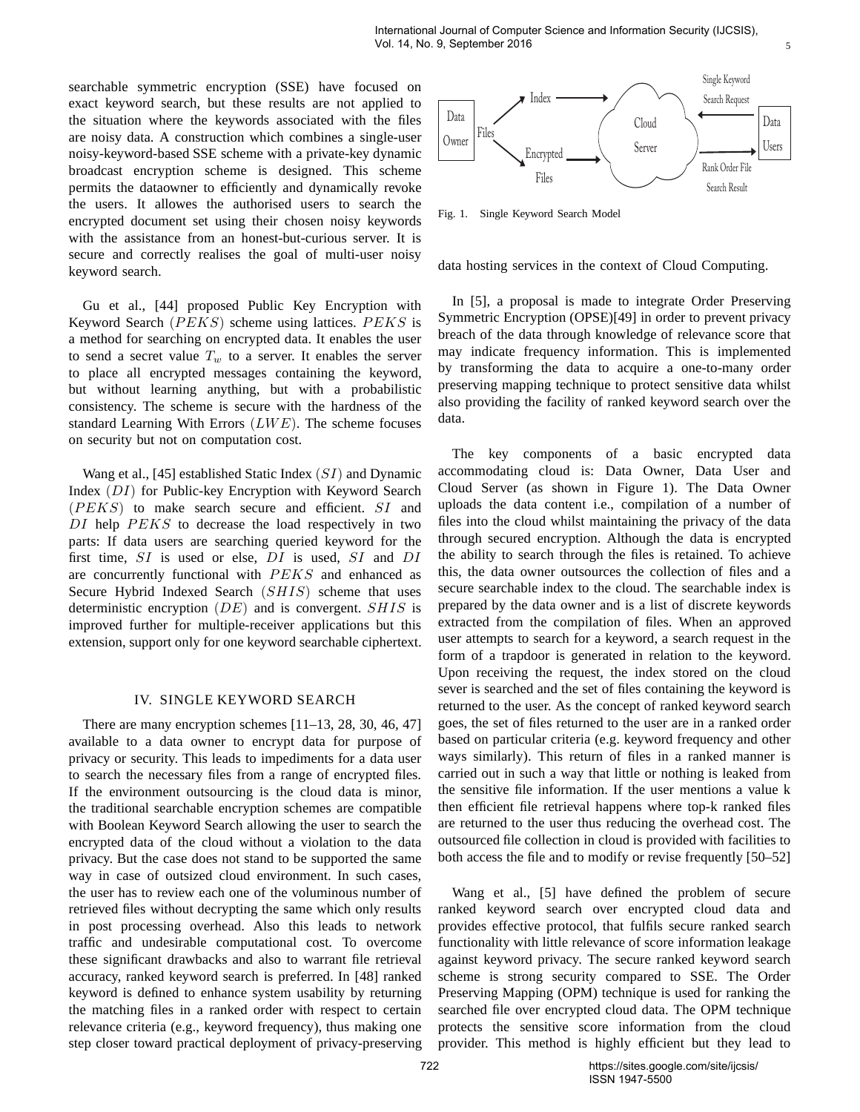searchable symmetric encryption (SSE) have focused on exact keyword search, but these results are not applied to the situation where the keywords associated with the files are noisy data. A construction which combines a single-user noisy-keyword-based SSE scheme with a private-key dynamic broadcast encryption scheme is designed. This scheme permits the dataowner to efficiently and dynamically revoke the users. It allowes the authorised users to search the encrypted document set using their chosen noisy keywords with the assistance from an honest-but-curious server. It is secure and correctly realises the goal of multi-user noisy keyword search.

Gu et al., [44] proposed Public Key Encryption with Keyword Search  $(PEKS)$  scheme using lattices.  $PEKS$  is a method for searching on encrypted data. It enables the user to send a secret value  $T_w$  to a server. It enables the server to place all encrypted messages containing the keyword, but without learning anything, but with a probabilistic consistency. The scheme is secure with the hardness of the standard Learning With Errors  $(LWE)$ . The scheme focuses on security but not on computation cost.

Wang et al., [45] established Static Index  $(SI)$  and Dynamic Index (DI) for Public-key Encryption with Keyword Search  $(PEKS)$  to make search secure and efficient. SI and  $DI$  help  $PEKS$  to decrease the load respectively in two parts: If data users are searching queried keyword for the first time, SI is used or else, DI is used, SI and DI are concurrently functional with  $PEKS$  and enhanced as Secure Hybrid Indexed Search (SHIS) scheme that uses deterministic encryption  $(DE)$  and is convergent. SHIS is improved further for multiple-receiver applications but this extension, support only for one keyword searchable ciphertext.

#### IV. SINGLE KEYWORD SEARCH

There are many encryption schemes [11–13, 28, 30, 46, 47] available to a data owner to encrypt data for purpose of privacy or security. This leads to impediments for a data user to search the necessary files from a range of encrypted files. If the environment outsourcing is the cloud data is minor, the traditional searchable encryption schemes are compatible with Boolean Keyword Search allowing the user to search the encrypted data of the cloud without a violation to the data privacy. But the case does not stand to be supported the same way in case of outsized cloud environment. In such cases, the user has to review each one of the voluminous number of retrieved files without decrypting the same which only results in post processing overhead. Also this leads to network traffic and undesirable computational cost. To overcome these significant drawbacks and also to warrant file retrieval accuracy, ranked keyword search is preferred. In [48] ranked keyword is defined to enhance system usability by returning the matching files in a ranked order with respect to certain relevance criteria (e.g., keyword frequency), thus making one step closer toward practical deployment of privacy-preserving



5

Fig. 1. Single Keyword Search Model

data hosting services in the context of Cloud Computing.

In [5], a proposal is made to integrate Order Preserving Symmetric Encryption (OPSE)[49] in order to prevent privacy breach of the data through knowledge of relevance score that may indicate frequency information. This is implemented by transforming the data to acquire a one-to-many order preserving mapping technique to protect sensitive data whilst also providing the facility of ranked keyword search over the data.

The key components of a basic encrypted data accommodating cloud is: Data Owner, Data User and Cloud Server (as shown in Figure 1). The Data Owner uploads the data content i.e., compilation of a number of files into the cloud whilst maintaining the privacy of the data through secured encryption. Although the data is encrypted the ability to search through the files is retained. To achieve this, the data owner outsources the collection of files and a secure searchable index to the cloud. The searchable index is prepared by the data owner and is a list of discrete keywords extracted from the compilation of files. When an approved user attempts to search for a keyword, a search request in the form of a trapdoor is generated in relation to the keyword. Upon receiving the request, the index stored on the cloud sever is searched and the set of files containing the keyword is returned to the user. As the concept of ranked keyword search goes, the set of files returned to the user are in a ranked order based on particular criteria (e.g. keyword frequency and other ways similarly). This return of files in a ranked manner is carried out in such a way that little or nothing is leaked from the sensitive file information. If the user mentions a value k then efficient file retrieval happens where top-k ranked files are returned to the user thus reducing the overhead cost. The outsourced file collection in cloud is provided with facilities to both access the file and to modify or revise frequently [50–52]

Wang et al., [5] have defined the problem of secure ranked keyword search over encrypted cloud data and provides effective protocol, that fulfils secure ranked search functionality with little relevance of score information leakage against keyword privacy. The secure ranked keyword search scheme is strong security compared to SSE. The Order Preserving Mapping (OPM) technique is used for ranking the searched file over encrypted cloud data. The OPM technique protects the sensitive score information from the cloud provider. This method is highly efficient but they lead to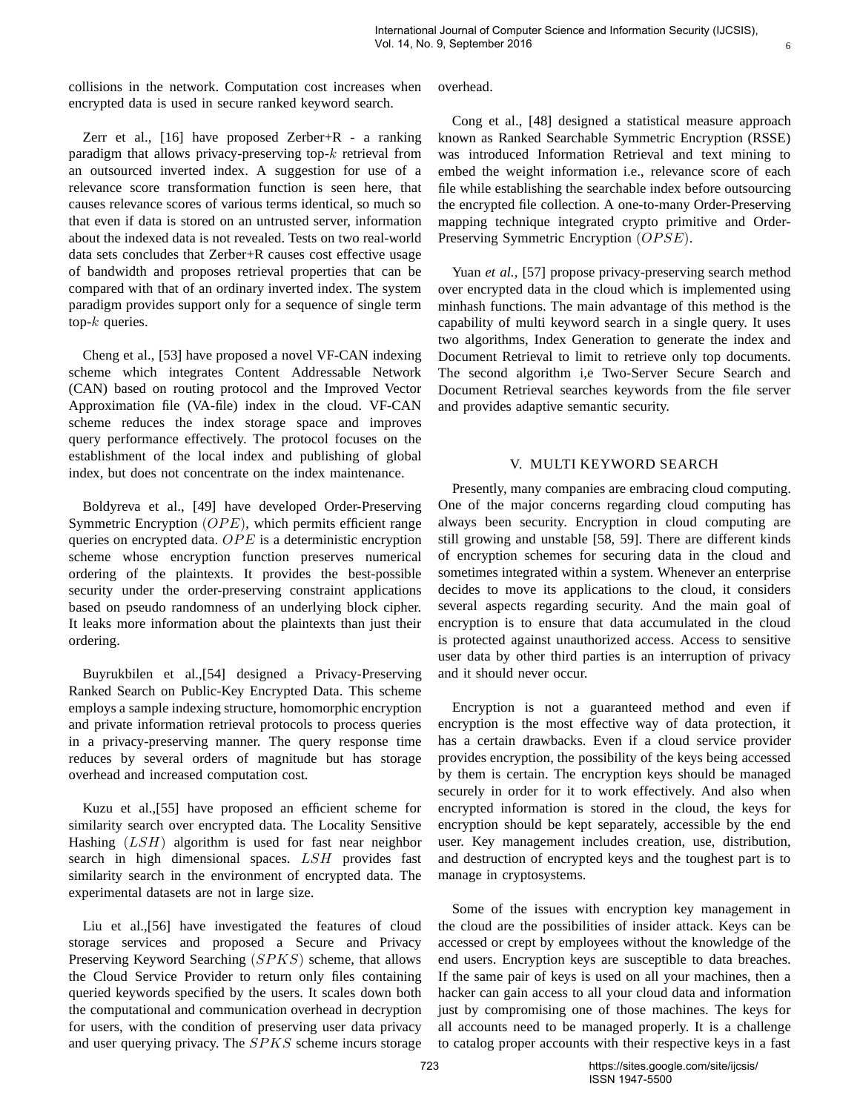collisions in the network. Computation cost increases when encrypted data is used in secure ranked keyword search.

Zerr et al., [16] have proposed Zerber+R - a ranking paradigm that allows privacy-preserving top- $k$  retrieval from an outsourced inverted index. A suggestion for use of a relevance score transformation function is seen here, that causes relevance scores of various terms identical, so much so that even if data is stored on an untrusted server, information about the indexed data is not revealed. Tests on two real-world data sets concludes that Zerber+R causes cost effective usage of bandwidth and proposes retrieval properties that can be compared with that of an ordinary inverted index. The system paradigm provides support only for a sequence of single term top- $k$  queries.

Cheng et al., [53] have proposed a novel VF-CAN indexing scheme which integrates Content Addressable Network (CAN) based on routing protocol and the Improved Vector Approximation file (VA-file) index in the cloud. VF-CAN scheme reduces the index storage space and improves query performance effectively. The protocol focuses on the establishment of the local index and publishing of global index, but does not concentrate on the index maintenance.

Boldyreva et al., [49] have developed Order-Preserving Symmetric Encryption  $(OPE)$ , which permits efficient range queries on encrypted data.  $OPE$  is a deterministic encryption scheme whose encryption function preserves numerical ordering of the plaintexts. It provides the best-possible security under the order-preserving constraint applications based on pseudo randomness of an underlying block cipher. It leaks more information about the plaintexts than just their ordering.

Buyrukbilen et al.,[54] designed a Privacy-Preserving Ranked Search on Public-Key Encrypted Data. This scheme employs a sample indexing structure, homomorphic encryption and private information retrieval protocols to process queries in a privacy-preserving manner. The query response time reduces by several orders of magnitude but has storage overhead and increased computation cost.

Kuzu et al.,[55] have proposed an efficient scheme for similarity search over encrypted data. The Locality Sensitive Hashing  $(LSH)$  algorithm is used for fast near neighbor search in high dimensional spaces. LSH provides fast similarity search in the environment of encrypted data. The experimental datasets are not in large size.

Liu et al.,[56] have investigated the features of cloud storage services and proposed a Secure and Privacy Preserving Keyword Searching (SPKS) scheme, that allows the Cloud Service Provider to return only files containing queried keywords specified by the users. It scales down both the computational and communication overhead in decryption for users, with the condition of preserving user data privacy and user querying privacy. The SPKS scheme incurs storage overhead.

Cong et al., [48] designed a statistical measure approach known as Ranked Searchable Symmetric Encryption (RSSE) was introduced Information Retrieval and text mining to embed the weight information i.e., relevance score of each file while establishing the searchable index before outsourcing the encrypted file collection. A one-to-many Order-Preserving mapping technique integrated crypto primitive and Order-Preserving Symmetric Encryption (OPSE).

6

Yuan *et al.,* [57] propose privacy-preserving search method over encrypted data in the cloud which is implemented using minhash functions. The main advantage of this method is the capability of multi keyword search in a single query. It uses two algorithms, Index Generation to generate the index and Document Retrieval to limit to retrieve only top documents. The second algorithm i,e Two-Server Secure Search and Document Retrieval searches keywords from the file server and provides adaptive semantic security.

# V. MULTI KEYWORD SEARCH

Presently, many companies are embracing cloud computing. One of the major concerns regarding cloud computing has always been security. Encryption in cloud computing are still growing and unstable [58, 59]. There are different kinds of encryption schemes for securing data in the cloud and sometimes integrated within a system. Whenever an enterprise decides to move its applications to the cloud, it considers several aspects regarding security. And the main goal of encryption is to ensure that data accumulated in the cloud is protected against unauthorized access. Access to sensitive user data by other third parties is an interruption of privacy and it should never occur.

Encryption is not a guaranteed method and even if encryption is the most effective way of data protection, it has a certain drawbacks. Even if a cloud service provider provides encryption, the possibility of the keys being accessed by them is certain. The encryption keys should be managed securely in order for it to work effectively. And also when encrypted information is stored in the cloud, the keys for encryption should be kept separately, accessible by the end user. Key management includes creation, use, distribution, and destruction of encrypted keys and the toughest part is to manage in cryptosystems.

Some of the issues with encryption key management in the cloud are the possibilities of insider attack. Keys can be accessed or crept by employees without the knowledge of the end users. Encryption keys are susceptible to data breaches. If the same pair of keys is used on all your machines, then a hacker can gain access to all your cloud data and information just by compromising one of those machines. The keys for all accounts need to be managed properly. It is a challenge to catalog proper accounts with their respective keys in a fast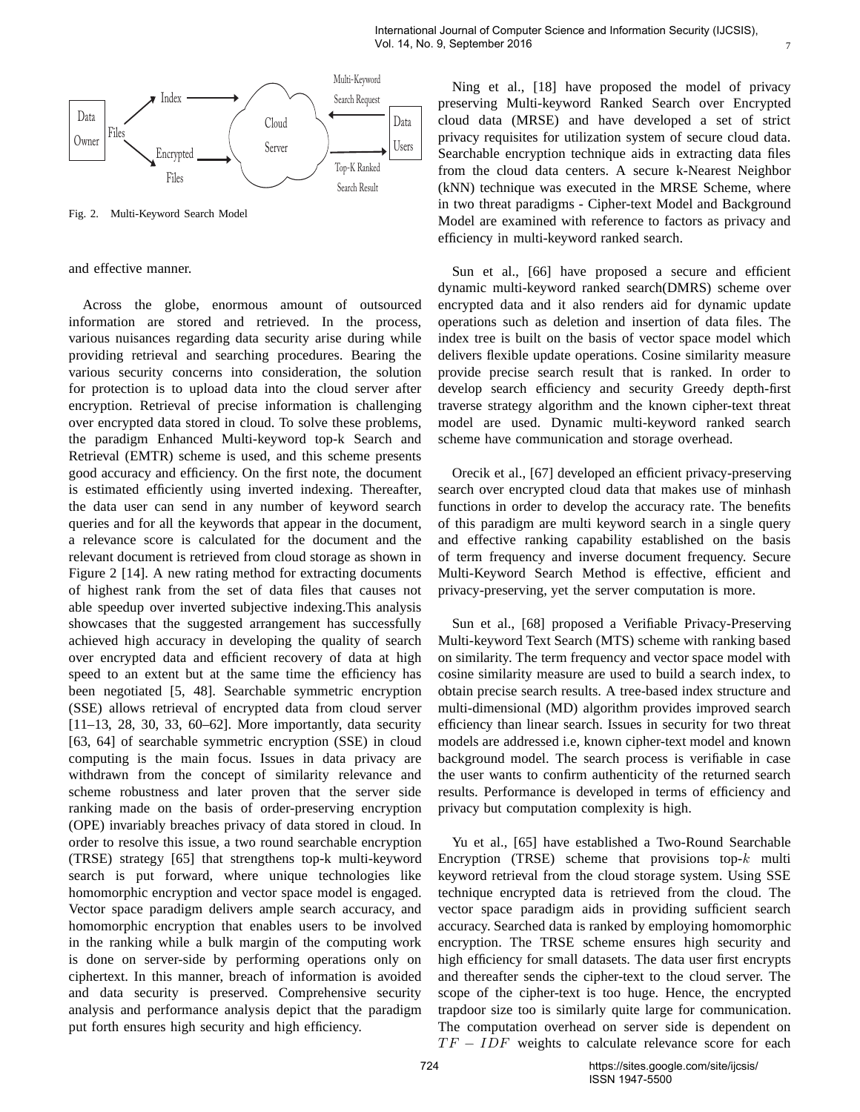

Fig. 2. Multi-Keyword Search Model

and effective manner.

Across the globe, enormous amount of outsourced information are stored and retrieved. In the process, various nuisances regarding data security arise during while providing retrieval and searching procedures. Bearing the various security concerns into consideration, the solution for protection is to upload data into the cloud server after encryption. Retrieval of precise information is challenging over encrypted data stored in cloud. To solve these problems, the paradigm Enhanced Multi-keyword top-k Search and Retrieval (EMTR) scheme is used, and this scheme presents good accuracy and efficiency. On the first note, the document is estimated efficiently using inverted indexing. Thereafter, the data user can send in any number of keyword search queries and for all the keywords that appear in the document, a relevance score is calculated for the document and the relevant document is retrieved from cloud storage as shown in Figure 2 [14]. A new rating method for extracting documents of highest rank from the set of data files that causes not able speedup over inverted subjective indexing.This analysis showcases that the suggested arrangement has successfully achieved high accuracy in developing the quality of search over encrypted data and efficient recovery of data at high speed to an extent but at the same time the efficiency has been negotiated [5, 48]. Searchable symmetric encryption (SSE) allows retrieval of encrypted data from cloud server [11–13, 28, 30, 33, 60–62]. More importantly, data security [63, 64] of searchable symmetric encryption (SSE) in cloud computing is the main focus. Issues in data privacy are withdrawn from the concept of similarity relevance and scheme robustness and later proven that the server side ranking made on the basis of order-preserving encryption (OPE) invariably breaches privacy of data stored in cloud. In order to resolve this issue, a two round searchable encryption (TRSE) strategy [65] that strengthens top-k multi-keyword search is put forward, where unique technologies like homomorphic encryption and vector space model is engaged. Vector space paradigm delivers ample search accuracy, and homomorphic encryption that enables users to be involved in the ranking while a bulk margin of the computing work is done on server-side by performing operations only on ciphertext. In this manner, breach of information is avoided and data security is preserved. Comprehensive security analysis and performance analysis depict that the paradigm put forth ensures high security and high efficiency.

Ning et al., [18] have proposed the model of privacy preserving Multi-keyword Ranked Search over Encrypted cloud data (MRSE) and have developed a set of strict privacy requisites for utilization system of secure cloud data. Searchable encryption technique aids in extracting data files from the cloud data centers. A secure k-Nearest Neighbor (kNN) technique was executed in the MRSE Scheme, where in two threat paradigms - Cipher-text Model and Background Model are examined with reference to factors as privacy and efficiency in multi-keyword ranked search.

7

Sun et al., [66] have proposed a secure and efficient dynamic multi-keyword ranked search(DMRS) scheme over encrypted data and it also renders aid for dynamic update operations such as deletion and insertion of data files. The index tree is built on the basis of vector space model which delivers flexible update operations. Cosine similarity measure provide precise search result that is ranked. In order to develop search efficiency and security Greedy depth-first traverse strategy algorithm and the known cipher-text threat model are used. Dynamic multi-keyword ranked search scheme have communication and storage overhead.

Orecik et al., [67] developed an efficient privacy-preserving search over encrypted cloud data that makes use of minhash functions in order to develop the accuracy rate. The benefits of this paradigm are multi keyword search in a single query and effective ranking capability established on the basis of term frequency and inverse document frequency. Secure Multi-Keyword Search Method is effective, efficient and privacy-preserving, yet the server computation is more.

Sun et al., [68] proposed a Verifiable Privacy-Preserving Multi-keyword Text Search (MTS) scheme with ranking based on similarity. The term frequency and vector space model with cosine similarity measure are used to build a search index, to obtain precise search results. A tree-based index structure and multi-dimensional (MD) algorithm provides improved search efficiency than linear search. Issues in security for two threat models are addressed i.e, known cipher-text model and known background model. The search process is verifiable in case the user wants to confirm authenticity of the returned search results. Performance is developed in terms of efficiency and privacy but computation complexity is high.

Yu et al., [65] have established a Two-Round Searchable Encryption (TRSE) scheme that provisions top- $k$  multi keyword retrieval from the cloud storage system. Using SSE technique encrypted data is retrieved from the cloud. The vector space paradigm aids in providing sufficient search accuracy. Searched data is ranked by employing homomorphic encryption. The TRSE scheme ensures high security and high efficiency for small datasets. The data user first encrypts and thereafter sends the cipher-text to the cloud server. The scope of the cipher-text is too huge. Hence, the encrypted trapdoor size too is similarly quite large for communication. The computation overhead on server side is dependent on  $TF - IDF$  weights to calculate relevance score for each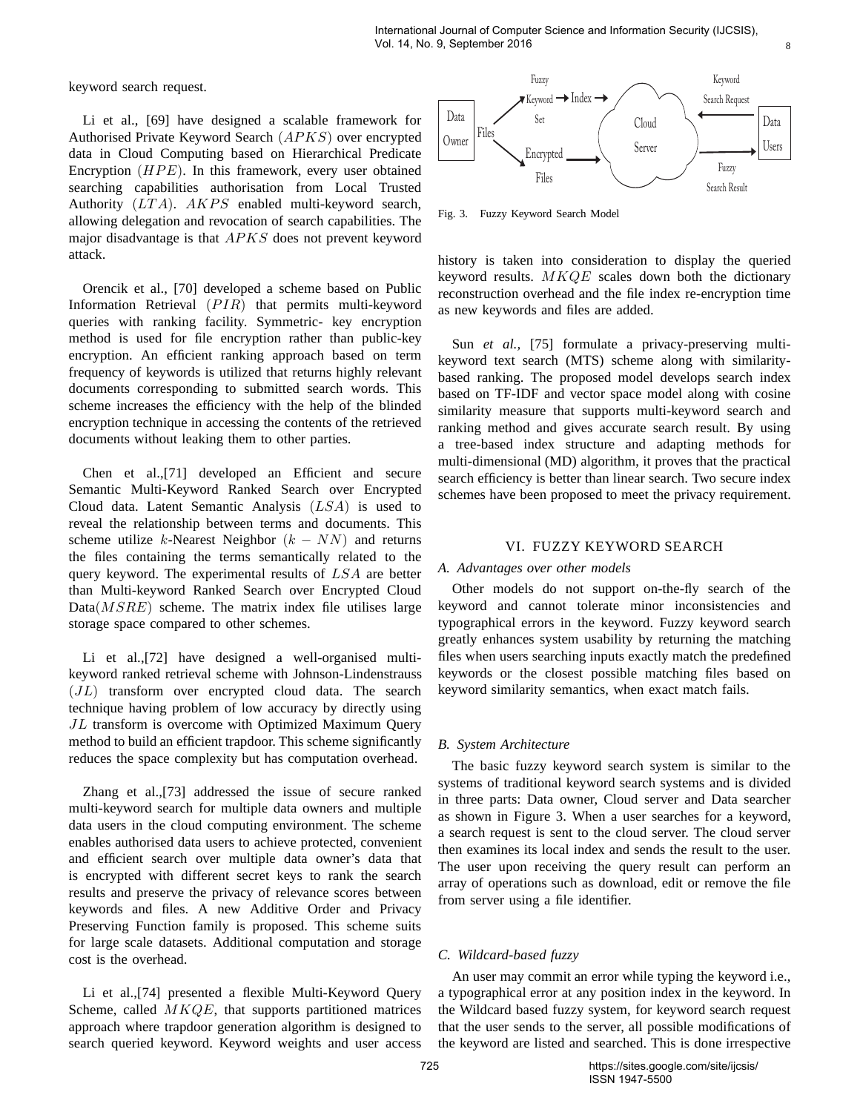keyword search request.

Li et al., [69] have designed a scalable framework for Authorised Private Keyword Search (APKS) over encrypted data in Cloud Computing based on Hierarchical Predicate Encryption  $(HPE)$ . In this framework, every user obtained searching capabilities authorisation from Local Trusted Authority  $(LTA)$ .  $AKPS$  enabled multi-keyword search, allowing delegation and revocation of search capabilities. The major disadvantage is that APKS does not prevent keyword attack.

Orencik et al., [70] developed a scheme based on Public Information Retrieval  $(PIR)$  that permits multi-keyword queries with ranking facility. Symmetric- key encryption method is used for file encryption rather than public-key encryption. An efficient ranking approach based on term frequency of keywords is utilized that returns highly relevant documents corresponding to submitted search words. This scheme increases the efficiency with the help of the blinded encryption technique in accessing the contents of the retrieved documents without leaking them to other parties.

Chen et al.,[71] developed an Efficient and secure Semantic Multi-Keyword Ranked Search over Encrypted Cloud data. Latent Semantic Analysis (LSA) is used to reveal the relationship between terms and documents. This scheme utilize k-Nearest Neighbor  $(k - NN)$  and returns the files containing the terms semantically related to the query keyword. The experimental results of LSA are better than Multi-keyword Ranked Search over Encrypted Cloud  $Data(MSRE)$  scheme. The matrix index file utilises large storage space compared to other schemes.

Li et al.,[72] have designed a well-organised multikeyword ranked retrieval scheme with Johnson-Lindenstrauss  $(JL)$  transform over encrypted cloud data. The search technique having problem of low accuracy by directly using JL transform is overcome with Optimized Maximum Query method to build an efficient trapdoor. This scheme significantly reduces the space complexity but has computation overhead.

Zhang et al.,[73] addressed the issue of secure ranked multi-keyword search for multiple data owners and multiple data users in the cloud computing environment. The scheme enables authorised data users to achieve protected, convenient and efficient search over multiple data owner's data that is encrypted with different secret keys to rank the search results and preserve the privacy of relevance scores between keywords and files. A new Additive Order and Privacy Preserving Function family is proposed. This scheme suits for large scale datasets. Additional computation and storage cost is the overhead.

Li et al.,[74] presented a flexible Multi-Keyword Query Scheme, called  $MKQE$ , that supports partitioned matrices approach where trapdoor generation algorithm is designed to search queried keyword. Keyword weights and user access



8

Fig. 3. Fuzzy Keyword Search Model

history is taken into consideration to display the queried keyword results.  $MKQE$  scales down both the dictionary reconstruction overhead and the file index re-encryption time as new keywords and files are added.

Sun *et al.,* [75] formulate a privacy-preserving multikeyword text search (MTS) scheme along with similaritybased ranking. The proposed model develops search index based on TF-IDF and vector space model along with cosine similarity measure that supports multi-keyword search and ranking method and gives accurate search result. By using a tree-based index structure and adapting methods for multi-dimensional (MD) algorithm, it proves that the practical search efficiency is better than linear search. Two secure index schemes have been proposed to meet the privacy requirement.

## VI. FUZZY KEYWORD SEARCH

## *A. Advantages over other models*

Other models do not support on-the-fly search of the keyword and cannot tolerate minor inconsistencies and typographical errors in the keyword. Fuzzy keyword search greatly enhances system usability by returning the matching files when users searching inputs exactly match the predefined keywords or the closest possible matching files based on keyword similarity semantics, when exact match fails.

## *B. System Architecture*

The basic fuzzy keyword search system is similar to the systems of traditional keyword search systems and is divided in three parts: Data owner, Cloud server and Data searcher as shown in Figure 3. When a user searches for a keyword, a search request is sent to the cloud server. The cloud server then examines its local index and sends the result to the user. The user upon receiving the query result can perform an array of operations such as download, edit or remove the file from server using a file identifier.

## *C. Wildcard-based fuzzy*

An user may commit an error while typing the keyword i.e., a typographical error at any position index in the keyword. In the Wildcard based fuzzy system, for keyword search request that the user sends to the server, all possible modifications of the keyword are listed and searched. This is done irrespective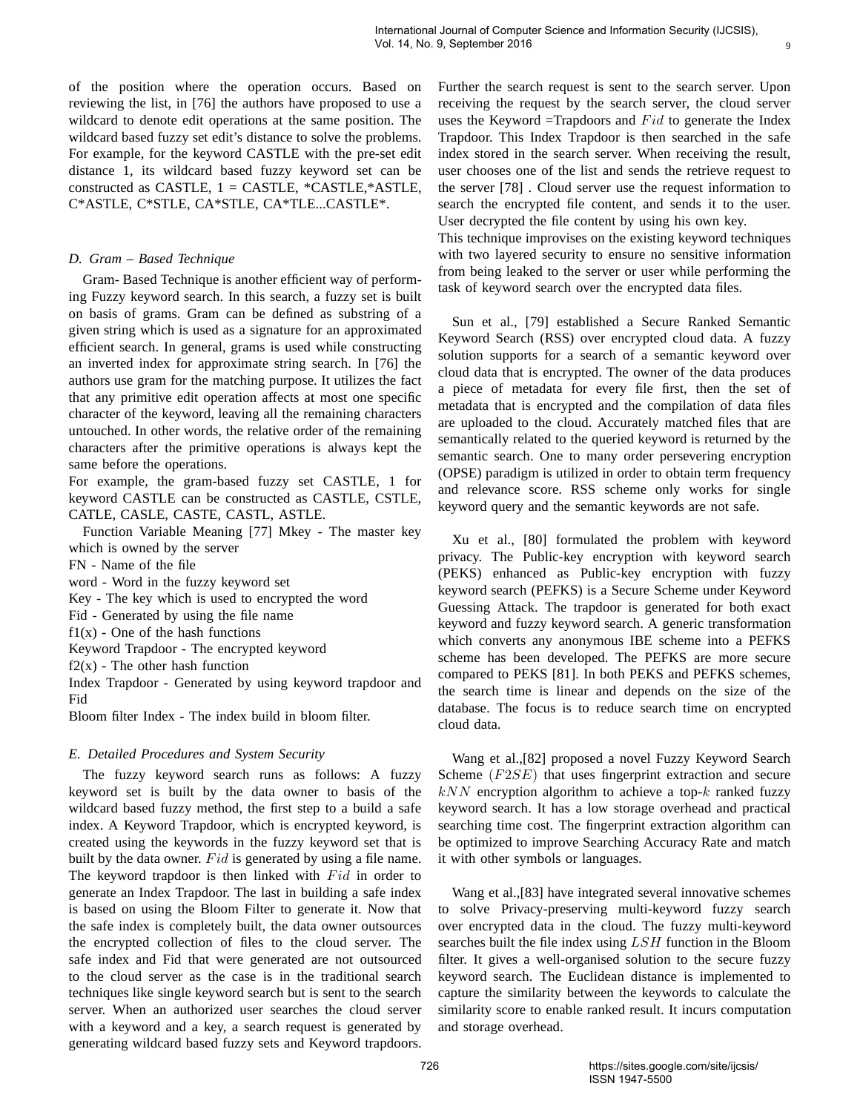of the position where the operation occurs. Based on reviewing the list, in [76] the authors have proposed to use a wildcard to denote edit operations at the same position. The wildcard based fuzzy set edit's distance to solve the problems. For example, for the keyword CASTLE with the pre-set edit distance 1, its wildcard based fuzzy keyword set can be constructed as CASTLE, 1 = CASTLE, \*CASTLE,\*ASTLE, C\*ASTLE, C\*STLE, CA\*STLE, CA\*TLE...CASTLE\*.

# *D. Gram – Based Technique*

Gram- Based Technique is another efficient way of performing Fuzzy keyword search. In this search, a fuzzy set is built on basis of grams. Gram can be defined as substring of a given string which is used as a signature for an approximated efficient search. In general, grams is used while constructing an inverted index for approximate string search. In [76] the authors use gram for the matching purpose. It utilizes the fact that any primitive edit operation affects at most one specific character of the keyword, leaving all the remaining characters untouched. In other words, the relative order of the remaining characters after the primitive operations is always kept the same before the operations.

For example, the gram-based fuzzy set CASTLE, 1 for keyword CASTLE can be constructed as CASTLE, CSTLE, CATLE, CASLE, CASTE, CASTL, ASTLE.

Function Variable Meaning [77] Mkey - The master key which is owned by the server

FN - Name of the file

word - Word in the fuzzy keyword set

Key - The key which is used to encrypted the word

Fid - Generated by using the file name

 $f1(x)$  - One of the hash functions

Keyword Trapdoor - The encrypted keyword

 $f2(x)$  - The other hash function

Index Trapdoor - Generated by using keyword trapdoor and Fid

Bloom filter Index - The index build in bloom filter.

# *E. Detailed Procedures and System Security*

The fuzzy keyword search runs as follows: A fuzzy keyword set is built by the data owner to basis of the wildcard based fuzzy method, the first step to a build a safe index. A Keyword Trapdoor, which is encrypted keyword, is created using the keywords in the fuzzy keyword set that is built by the data owner.  $Fid$  is generated by using a file name. The keyword trapdoor is then linked with  $Fid$  in order to generate an Index Trapdoor. The last in building a safe index is based on using the Bloom Filter to generate it. Now that the safe index is completely built, the data owner outsources the encrypted collection of files to the cloud server. The safe index and Fid that were generated are not outsourced to the cloud server as the case is in the traditional search techniques like single keyword search but is sent to the search server. When an authorized user searches the cloud server with a keyword and a key, a search request is generated by generating wildcard based fuzzy sets and Keyword trapdoors.

Further the search request is sent to the search server. Upon receiving the request by the search server, the cloud server uses the Keyword =Trapdoors and  $Fid$  to generate the Index Trapdoor. This Index Trapdoor is then searched in the safe index stored in the search server. When receiving the result, user chooses one of the list and sends the retrieve request to the server [78] . Cloud server use the request information to search the encrypted file content, and sends it to the user. User decrypted the file content by using his own key.

9

This technique improvises on the existing keyword techniques with two layered security to ensure no sensitive information from being leaked to the server or user while performing the task of keyword search over the encrypted data files.

Sun et al., [79] established a Secure Ranked Semantic Keyword Search (RSS) over encrypted cloud data. A fuzzy solution supports for a search of a semantic keyword over cloud data that is encrypted. The owner of the data produces a piece of metadata for every file first, then the set of metadata that is encrypted and the compilation of data files are uploaded to the cloud. Accurately matched files that are semantically related to the queried keyword is returned by the semantic search. One to many order persevering encryption (OPSE) paradigm is utilized in order to obtain term frequency and relevance score. RSS scheme only works for single keyword query and the semantic keywords are not safe.

Xu et al., [80] formulated the problem with keyword privacy. The Public-key encryption with keyword search (PEKS) enhanced as Public-key encryption with fuzzy keyword search (PEFKS) is a Secure Scheme under Keyword Guessing Attack. The trapdoor is generated for both exact keyword and fuzzy keyword search. A generic transformation which converts any anonymous IBE scheme into a PEFKS scheme has been developed. The PEFKS are more secure compared to PEKS [81]. In both PEKS and PEFKS schemes, the search time is linear and depends on the size of the database. The focus is to reduce search time on encrypted cloud data.

Wang et al.,[82] proposed a novel Fuzzy Keyword Search Scheme ( $F2SE$ ) that uses fingerprint extraction and secure  $kNN$  encryption algorithm to achieve a top- $k$  ranked fuzzy keyword search. It has a low storage overhead and practical searching time cost. The fingerprint extraction algorithm can be optimized to improve Searching Accuracy Rate and match it with other symbols or languages.

Wang et al.,[83] have integrated several innovative schemes to solve Privacy-preserving multi-keyword fuzzy search over encrypted data in the cloud. The fuzzy multi-keyword searches built the file index using  $LSH$  function in the Bloom filter. It gives a well-organised solution to the secure fuzzy keyword search. The Euclidean distance is implemented to capture the similarity between the keywords to calculate the similarity score to enable ranked result. It incurs computation and storage overhead.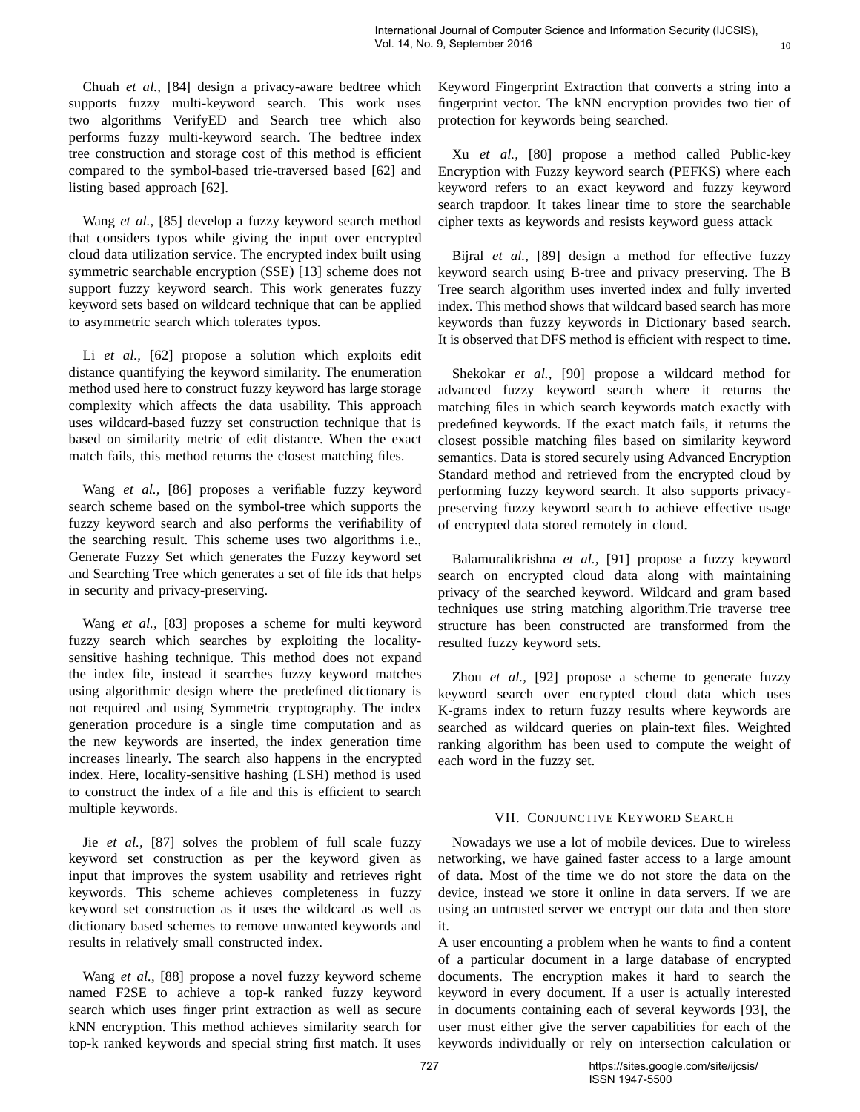Chuah *et al.,* [84] design a privacy-aware bedtree which supports fuzzy multi-keyword search. This work uses two algorithms VerifyED and Search tree which also performs fuzzy multi-keyword search. The bedtree index tree construction and storage cost of this method is efficient compared to the symbol-based trie-traversed based [62] and listing based approach [62].

Wang *et al.,* [85] develop a fuzzy keyword search method that considers typos while giving the input over encrypted cloud data utilization service. The encrypted index built using symmetric searchable encryption (SSE) [13] scheme does not support fuzzy keyword search. This work generates fuzzy keyword sets based on wildcard technique that can be applied to asymmetric search which tolerates typos.

Li *et al.*, [62] propose a solution which exploits edit distance quantifying the keyword similarity. The enumeration method used here to construct fuzzy keyword has large storage complexity which affects the data usability. This approach uses wildcard-based fuzzy set construction technique that is based on similarity metric of edit distance. When the exact match fails, this method returns the closest matching files.

Wang *et al.,* [86] proposes a verifiable fuzzy keyword search scheme based on the symbol-tree which supports the fuzzy keyword search and also performs the verifiability of the searching result. This scheme uses two algorithms i.e., Generate Fuzzy Set which generates the Fuzzy keyword set and Searching Tree which generates a set of file ids that helps in security and privacy-preserving.

Wang *et al.,* [83] proposes a scheme for multi keyword fuzzy search which searches by exploiting the localitysensitive hashing technique. This method does not expand the index file, instead it searches fuzzy keyword matches using algorithmic design where the predefined dictionary is not required and using Symmetric cryptography. The index generation procedure is a single time computation and as the new keywords are inserted, the index generation time increases linearly. The search also happens in the encrypted index. Here, locality-sensitive hashing (LSH) method is used to construct the index of a file and this is efficient to search multiple keywords.

Jie *et al.,* [87] solves the problem of full scale fuzzy keyword set construction as per the keyword given as input that improves the system usability and retrieves right keywords. This scheme achieves completeness in fuzzy keyword set construction as it uses the wildcard as well as dictionary based schemes to remove unwanted keywords and results in relatively small constructed index.

Wang *et al.,* [88] propose a novel fuzzy keyword scheme named F2SE to achieve a top-k ranked fuzzy keyword search which uses finger print extraction as well as secure kNN encryption. This method achieves similarity search for top-k ranked keywords and special string first match. It uses Keyword Fingerprint Extraction that converts a string into a fingerprint vector. The kNN encryption provides two tier of protection for keywords being searched.

Xu *et al.,* [80] propose a method called Public-key Encryption with Fuzzy keyword search (PEFKS) where each keyword refers to an exact keyword and fuzzy keyword search trapdoor. It takes linear time to store the searchable cipher texts as keywords and resists keyword guess attack

Bijral *et al.,* [89] design a method for effective fuzzy keyword search using B-tree and privacy preserving. The B Tree search algorithm uses inverted index and fully inverted index. This method shows that wildcard based search has more keywords than fuzzy keywords in Dictionary based search. It is observed that DFS method is efficient with respect to time.

Shekokar *et al.,* [90] propose a wildcard method for advanced fuzzy keyword search where it returns the matching files in which search keywords match exactly with predefined keywords. If the exact match fails, it returns the closest possible matching files based on similarity keyword semantics. Data is stored securely using Advanced Encryption Standard method and retrieved from the encrypted cloud by performing fuzzy keyword search. It also supports privacypreserving fuzzy keyword search to achieve effective usage of encrypted data stored remotely in cloud.

Balamuralikrishna *et al.,* [91] propose a fuzzy keyword search on encrypted cloud data along with maintaining privacy of the searched keyword. Wildcard and gram based techniques use string matching algorithm.Trie traverse tree structure has been constructed are transformed from the resulted fuzzy keyword sets.

Zhou *et al.,* [92] propose a scheme to generate fuzzy keyword search over encrypted cloud data which uses K-grams index to return fuzzy results where keywords are searched as wildcard queries on plain-text files. Weighted ranking algorithm has been used to compute the weight of each word in the fuzzy set.

# VII. CONJUNCTIVE KEYWORD SEARCH

Nowadays we use a lot of mobile devices. Due to wireless networking, we have gained faster access to a large amount of data. Most of the time we do not store the data on the device, instead we store it online in data servers. If we are using an untrusted server we encrypt our data and then store it.

A user encounting a problem when he wants to find a content of a particular document in a large database of encrypted documents. The encryption makes it hard to search the keyword in every document. If a user is actually interested in documents containing each of several keywords [93], the user must either give the server capabilities for each of the keywords individually or rely on intersection calculation or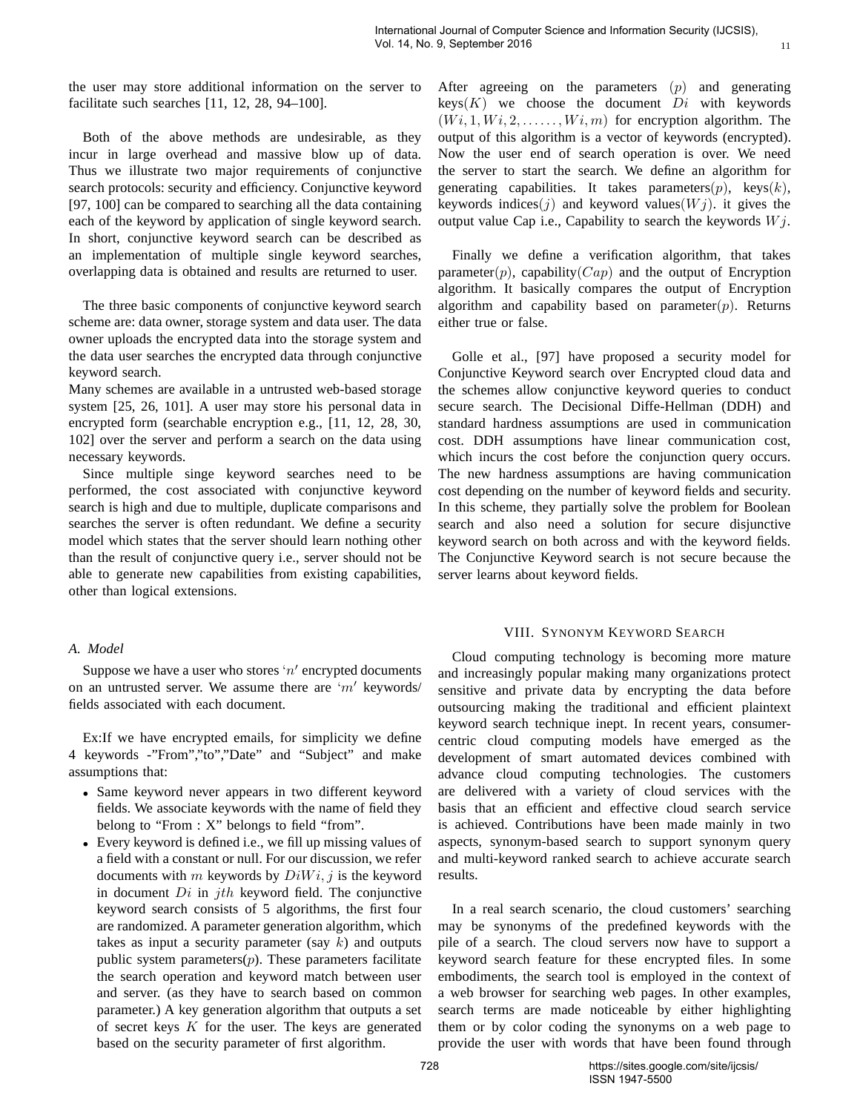the user may store additional information on the server to facilitate such searches [11, 12, 28, 94–100].

Both of the above methods are undesirable, as they incur in large overhead and massive blow up of data. Thus we illustrate two major requirements of conjunctive search protocols: security and efficiency. Conjunctive keyword [97, 100] can be compared to searching all the data containing each of the keyword by application of single keyword search. In short, conjunctive keyword search can be described as an implementation of multiple single keyword searches, overlapping data is obtained and results are returned to user.

The three basic components of conjunctive keyword search scheme are: data owner, storage system and data user. The data owner uploads the encrypted data into the storage system and the data user searches the encrypted data through conjunctive keyword search.

Many schemes are available in a untrusted web-based storage system [25, 26, 101]. A user may store his personal data in encrypted form (searchable encryption e.g., [11, 12, 28, 30, 102] over the server and perform a search on the data using necessary keywords.

Since multiple singe keyword searches need to be performed, the cost associated with conjunctive keyword search is high and due to multiple, duplicate comparisons and searches the server is often redundant. We define a security model which states that the server should learn nothing other than the result of conjunctive query i.e., server should not be able to generate new capabilities from existing capabilities, other than logical extensions.

# *A. Model*

Suppose we have a user who stores  $n'$  encrypted documents on an untrusted server. We assume there are ' $m'$  keywords/ fields associated with each document.

Ex:If we have encrypted emails, for simplicity we define 4 keywords -"From","to","Date" and "Subject" and make assumptions that:

- Same keyword never appears in two different keyword fields. We associate keywords with the name of field they belong to "From : X" belongs to field "from".
- Every keyword is defined i.e., we fill up missing values of a field with a constant or null. For our discussion, we refer documents with m keywords by  $DiWi, j$  is the keyword in document  $Di$  in *ith* keyword field. The conjunctive keyword search consists of 5 algorithms, the first four are randomized. A parameter generation algorithm, which takes as input a security parameter (say  $k$ ) and outputs public system parameters $(p)$ . These parameters facilitate the search operation and keyword match between user and server. (as they have to search based on common parameter.) A key generation algorithm that outputs a set of secret keys  $K$  for the user. The keys are generated based on the security parameter of first algorithm.

After agreeing on the parameters (p) and generating  $keys(K)$  we choose the document  $Di$  with keywords  $(W i, 1, Wi, 2, \ldots, Wi, m)$  for encryption algorithm. The output of this algorithm is a vector of keywords (encrypted). Now the user end of search operation is over. We need the server to start the search. We define an algorithm for generating capabilities. It takes parameters $(p)$ , keys $(k)$ , keywords indices(*i*) and keyword values( $W$ *i*), it gives the output value Cap i.e., Capability to search the keywords  $Wj$ .

11

Finally we define a verification algorithm, that takes parameter(p), capability( $Cap$ ) and the output of Encryption algorithm. It basically compares the output of Encryption algorithm and capability based on parameter $(p)$ . Returns either true or false.

Golle et al., [97] have proposed a security model for Conjunctive Keyword search over Encrypted cloud data and the schemes allow conjunctive keyword queries to conduct secure search. The Decisional Diffe-Hellman (DDH) and standard hardness assumptions are used in communication cost. DDH assumptions have linear communication cost, which incurs the cost before the conjunction query occurs. The new hardness assumptions are having communication cost depending on the number of keyword fields and security. In this scheme, they partially solve the problem for Boolean search and also need a solution for secure disjunctive keyword search on both across and with the keyword fields. The Conjunctive Keyword search is not secure because the server learns about keyword fields.

# VIII. SYNONYM KEYWORD SEARCH

Cloud computing technology is becoming more mature and increasingly popular making many organizations protect sensitive and private data by encrypting the data before outsourcing making the traditional and efficient plaintext keyword search technique inept. In recent years, consumercentric cloud computing models have emerged as the development of smart automated devices combined with advance cloud computing technologies. The customers are delivered with a variety of cloud services with the basis that an efficient and effective cloud search service is achieved. Contributions have been made mainly in two aspects, synonym-based search to support synonym query and multi-keyword ranked search to achieve accurate search results.

In a real search scenario, the cloud customers' searching may be synonyms of the predefined keywords with the pile of a search. The cloud servers now have to support a keyword search feature for these encrypted files. In some embodiments, the search tool is employed in the context of a web browser for searching web pages. In other examples, search terms are made noticeable by either highlighting them or by color coding the synonyms on a web page to provide the user with words that have been found through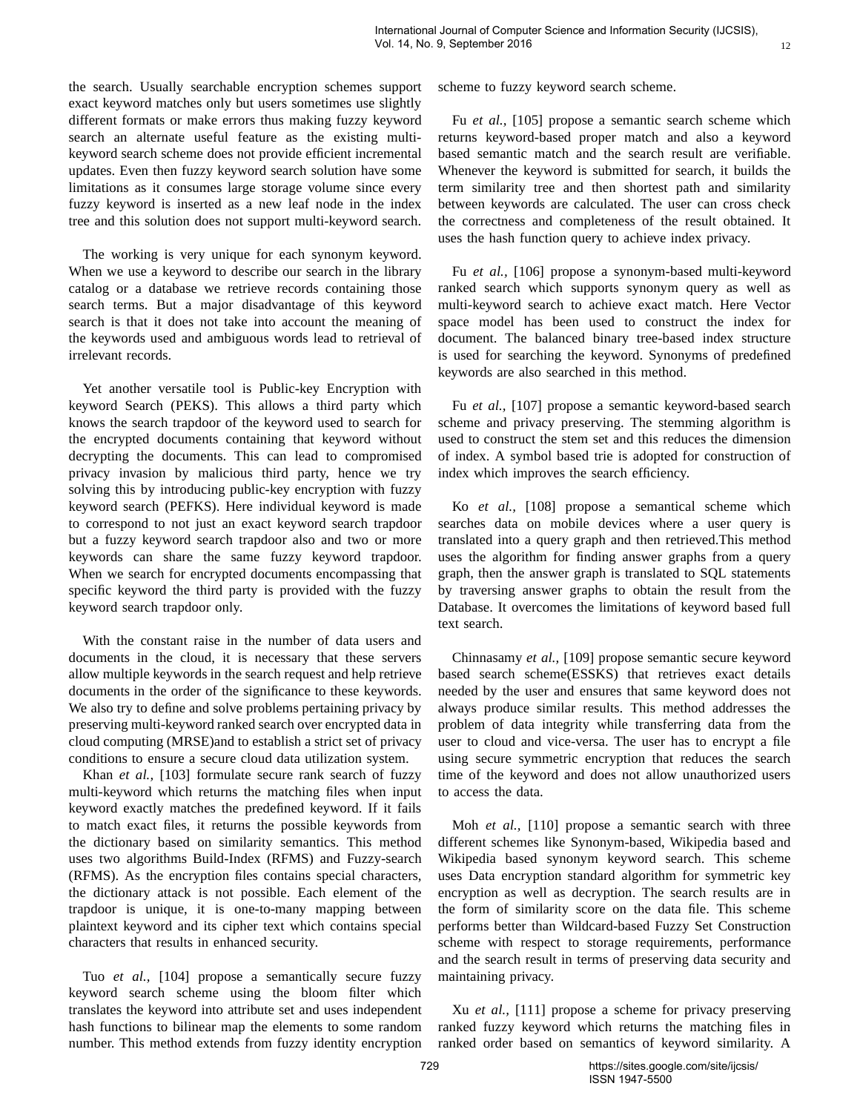the search. Usually searchable encryption schemes support exact keyword matches only but users sometimes use slightly different formats or make errors thus making fuzzy keyword search an alternate useful feature as the existing multikeyword search scheme does not provide efficient incremental updates. Even then fuzzy keyword search solution have some limitations as it consumes large storage volume since every fuzzy keyword is inserted as a new leaf node in the index tree and this solution does not support multi-keyword search.

The working is very unique for each synonym keyword. When we use a keyword to describe our search in the library catalog or a database we retrieve records containing those search terms. But a major disadvantage of this keyword search is that it does not take into account the meaning of the keywords used and ambiguous words lead to retrieval of irrelevant records.

Yet another versatile tool is Public-key Encryption with keyword Search (PEKS). This allows a third party which knows the search trapdoor of the keyword used to search for the encrypted documents containing that keyword without decrypting the documents. This can lead to compromised privacy invasion by malicious third party, hence we try solving this by introducing public-key encryption with fuzzy keyword search (PEFKS). Here individual keyword is made to correspond to not just an exact keyword search trapdoor but a fuzzy keyword search trapdoor also and two or more keywords can share the same fuzzy keyword trapdoor. When we search for encrypted documents encompassing that specific keyword the third party is provided with the fuzzy keyword search trapdoor only.

With the constant raise in the number of data users and documents in the cloud, it is necessary that these servers allow multiple keywords in the search request and help retrieve documents in the order of the significance to these keywords. We also try to define and solve problems pertaining privacy by preserving multi-keyword ranked search over encrypted data in cloud computing (MRSE)and to establish a strict set of privacy conditions to ensure a secure cloud data utilization system.

Khan *et al.,* [103] formulate secure rank search of fuzzy multi-keyword which returns the matching files when input keyword exactly matches the predefined keyword. If it fails to match exact files, it returns the possible keywords from the dictionary based on similarity semantics. This method uses two algorithms Build-Index (RFMS) and Fuzzy-search (RFMS). As the encryption files contains special characters, the dictionary attack is not possible. Each element of the trapdoor is unique, it is one-to-many mapping between plaintext keyword and its cipher text which contains special characters that results in enhanced security.

Tuo *et al.,* [104] propose a semantically secure fuzzy keyword search scheme using the bloom filter which translates the keyword into attribute set and uses independent hash functions to bilinear map the elements to some random number. This method extends from fuzzy identity encryption

scheme to fuzzy keyword search scheme.

Fu *et al.,* [105] propose a semantic search scheme which returns keyword-based proper match and also a keyword based semantic match and the search result are verifiable. Whenever the keyword is submitted for search, it builds the term similarity tree and then shortest path and similarity between keywords are calculated. The user can cross check the correctness and completeness of the result obtained. It uses the hash function query to achieve index privacy.

Fu *et al.,* [106] propose a synonym-based multi-keyword ranked search which supports synonym query as well as multi-keyword search to achieve exact match. Here Vector space model has been used to construct the index for document. The balanced binary tree-based index structure is used for searching the keyword. Synonyms of predefined keywords are also searched in this method.

Fu *et al.,* [107] propose a semantic keyword-based search scheme and privacy preserving. The stemming algorithm is used to construct the stem set and this reduces the dimension of index. A symbol based trie is adopted for construction of index which improves the search efficiency.

Ko *et al.,* [108] propose a semantical scheme which searches data on mobile devices where a user query is translated into a query graph and then retrieved.This method uses the algorithm for finding answer graphs from a query graph, then the answer graph is translated to SQL statements by traversing answer graphs to obtain the result from the Database. It overcomes the limitations of keyword based full text search.

Chinnasamy *et al.,* [109] propose semantic secure keyword based search scheme(ESSKS) that retrieves exact details needed by the user and ensures that same keyword does not always produce similar results. This method addresses the problem of data integrity while transferring data from the user to cloud and vice-versa. The user has to encrypt a file using secure symmetric encryption that reduces the search time of the keyword and does not allow unauthorized users to access the data.

Moh *et al.,* [110] propose a semantic search with three different schemes like Synonym-based, Wikipedia based and Wikipedia based synonym keyword search. This scheme uses Data encryption standard algorithm for symmetric key encryption as well as decryption. The search results are in the form of similarity score on the data file. This scheme performs better than Wildcard-based Fuzzy Set Construction scheme with respect to storage requirements, performance and the search result in terms of preserving data security and maintaining privacy.

Xu *et al.,* [111] propose a scheme for privacy preserving ranked fuzzy keyword which returns the matching files in ranked order based on semantics of keyword similarity. A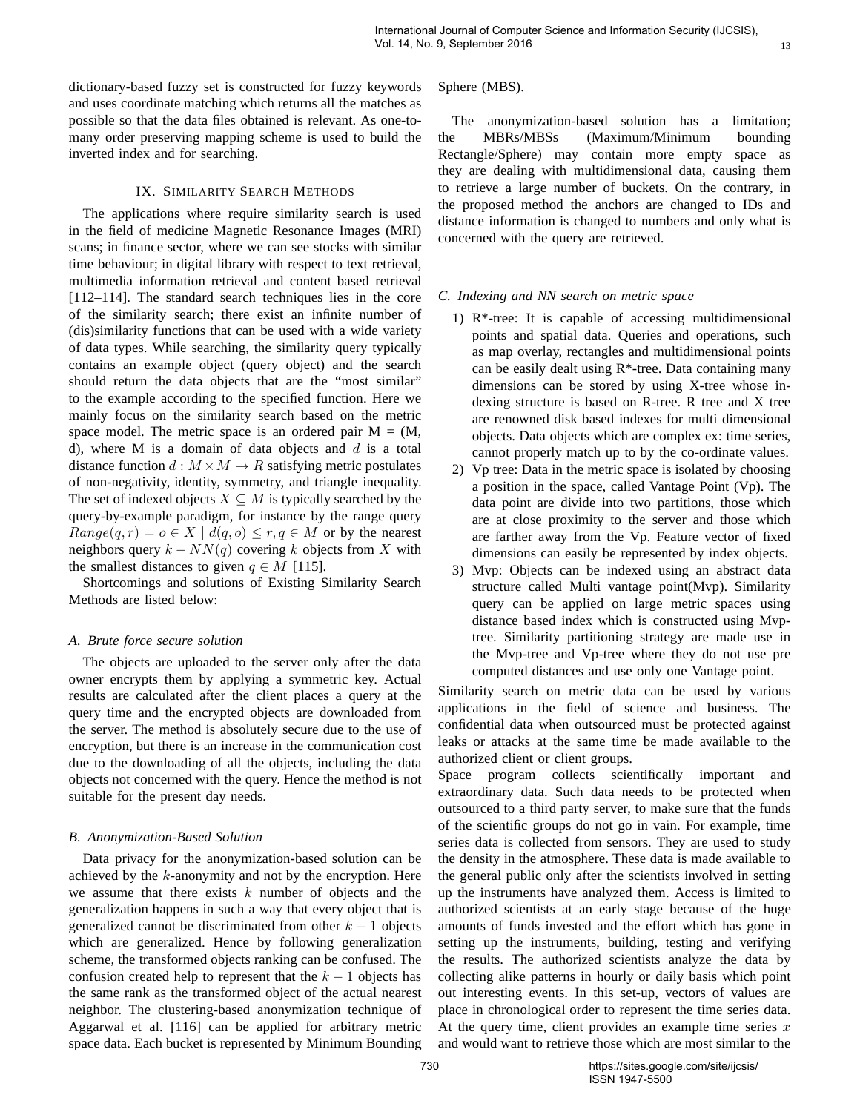dictionary-based fuzzy set is constructed for fuzzy keywords and uses coordinate matching which returns all the matches as possible so that the data files obtained is relevant. As one-tomany order preserving mapping scheme is used to build the inverted index and for searching.

## IX. SIMILARITY SEARCH METHODS

The applications where require similarity search is used in the field of medicine Magnetic Resonance Images (MRI) scans; in finance sector, where we can see stocks with similar time behaviour; in digital library with respect to text retrieval, multimedia information retrieval and content based retrieval [112–114]. The standard search techniques lies in the core of the similarity search; there exist an infinite number of (dis)similarity functions that can be used with a wide variety of data types. While searching, the similarity query typically contains an example object (query object) and the search should return the data objects that are the "most similar" to the example according to the specified function. Here we mainly focus on the similarity search based on the metric space model. The metric space is an ordered pair  $M = (M,$ d), where M is a domain of data objects and  $d$  is a total distance function  $d : M \times M \to R$  satisfying metric postulates of non-negativity, identity, symmetry, and triangle inequality. The set of indexed objects  $X \subseteq M$  is typically searched by the query-by-example paradigm, for instance by the range query  $Range(q, r) = o \in X \mid d(q, o) \leq r, q \in M$  or by the nearest neighbors query  $k - NN(q)$  covering k objects from X with the smallest distances to given  $q \in M$  [115].

Shortcomings and solutions of Existing Similarity Search Methods are listed below:

#### *A. Brute force secure solution*

The objects are uploaded to the server only after the data owner encrypts them by applying a symmetric key. Actual results are calculated after the client places a query at the query time and the encrypted objects are downloaded from the server. The method is absolutely secure due to the use of encryption, but there is an increase in the communication cost due to the downloading of all the objects, including the data objects not concerned with the query. Hence the method is not suitable for the present day needs.

#### *B. Anonymization-Based Solution*

Data privacy for the anonymization-based solution can be achieved by the  $k$ -anonymity and not by the encryption. Here we assume that there exists  $k$  number of objects and the generalization happens in such a way that every object that is generalized cannot be discriminated from other  $k - 1$  objects which are generalized. Hence by following generalization scheme, the transformed objects ranking can be confused. The confusion created help to represent that the  $k - 1$  objects has the same rank as the transformed object of the actual nearest neighbor. The clustering-based anonymization technique of Aggarwal et al. [116] can be applied for arbitrary metric space data. Each bucket is represented by Minimum Bounding

Sphere (MBS).

The anonymization-based solution has a limitation; the MBRs/MBSs (Maximum/Minimum bounding Rectangle/Sphere) may contain more empty space as they are dealing with multidimensional data, causing them to retrieve a large number of buckets. On the contrary, in the proposed method the anchors are changed to IDs and distance information is changed to numbers and only what is concerned with the query are retrieved.

13

## *C. Indexing and NN search on metric space*

- 1) R\*-tree: It is capable of accessing multidimensional points and spatial data. Queries and operations, such as map overlay, rectangles and multidimensional points can be easily dealt using R\*-tree. Data containing many dimensions can be stored by using X-tree whose indexing structure is based on R-tree. R tree and X tree are renowned disk based indexes for multi dimensional objects. Data objects which are complex ex: time series, cannot properly match up to by the co-ordinate values.
- 2) Vp tree: Data in the metric space is isolated by choosing a position in the space, called Vantage Point (Vp). The data point are divide into two partitions, those which are at close proximity to the server and those which are farther away from the Vp. Feature vector of fixed dimensions can easily be represented by index objects.
- 3) Mvp: Objects can be indexed using an abstract data structure called Multi vantage point(Mvp). Similarity query can be applied on large metric spaces using distance based index which is constructed using Mvptree. Similarity partitioning strategy are made use in the Mvp-tree and Vp-tree where they do not use pre computed distances and use only one Vantage point.

Similarity search on metric data can be used by various applications in the field of science and business. The confidential data when outsourced must be protected against leaks or attacks at the same time be made available to the authorized client or client groups.

Space program collects scientifically important and extraordinary data. Such data needs to be protected when outsourced to a third party server, to make sure that the funds of the scientific groups do not go in vain. For example, time series data is collected from sensors. They are used to study the density in the atmosphere. These data is made available to the general public only after the scientists involved in setting up the instruments have analyzed them. Access is limited to authorized scientists at an early stage because of the huge amounts of funds invested and the effort which has gone in setting up the instruments, building, testing and verifying the results. The authorized scientists analyze the data by collecting alike patterns in hourly or daily basis which point out interesting events. In this set-up, vectors of values are place in chronological order to represent the time series data. At the query time, client provides an example time series  $x$ and would want to retrieve those which are most similar to the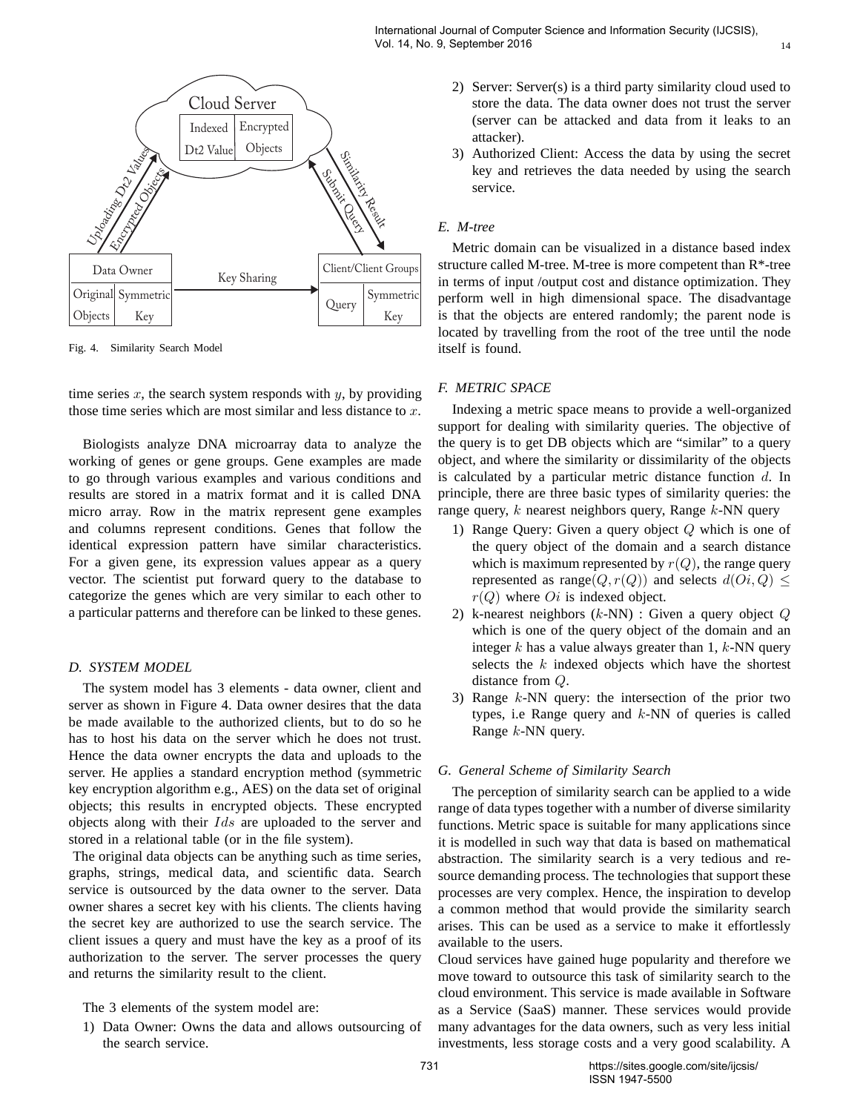

Fig. 4. Similarity Search Model

time series  $x$ , the search system responds with  $y$ , by providing those time series which are most similar and less distance to  $x$ .

Biologists analyze DNA microarray data to analyze the working of genes or gene groups. Gene examples are made to go through various examples and various conditions and results are stored in a matrix format and it is called DNA micro array. Row in the matrix represent gene examples and columns represent conditions. Genes that follow the identical expression pattern have similar characteristics. For a given gene, its expression values appear as a query vector. The scientist put forward query to the database to categorize the genes which are very similar to each other to a particular patterns and therefore can be linked to these genes.

## *D. SYSTEM MODEL*

The system model has 3 elements - data owner, client and server as shown in Figure 4. Data owner desires that the data be made available to the authorized clients, but to do so he has to host his data on the server which he does not trust. Hence the data owner encrypts the data and uploads to the server. He applies a standard encryption method (symmetric key encryption algorithm e.g., AES) on the data set of original objects; this results in encrypted objects. These encrypted objects along with their Ids are uploaded to the server and stored in a relational table (or in the file system).

The original data objects can be anything such as time series, graphs, strings, medical data, and scientific data. Search service is outsourced by the data owner to the server. Data owner shares a secret key with his clients. The clients having the secret key are authorized to use the search service. The client issues a query and must have the key as a proof of its authorization to the server. The server processes the query and returns the similarity result to the client.

The 3 elements of the system model are:

1) Data Owner: Owns the data and allows outsourcing of the search service.

- 2) Server: Server(s) is a third party similarity cloud used to store the data. The data owner does not trust the server (server can be attacked and data from it leaks to an attacker).
- 3) Authorized Client: Access the data by using the secret key and retrieves the data needed by using the search service.

# *E. M-tree*

Metric domain can be visualized in a distance based index structure called M-tree. M-tree is more competent than  $R^*$ -tree in terms of input /output cost and distance optimization. They perform well in high dimensional space. The disadvantage is that the objects are entered randomly; the parent node is located by travelling from the root of the tree until the node itself is found.

## *F. METRIC SPACE*

Indexing a metric space means to provide a well-organized support for dealing with similarity queries. The objective of the query is to get DB objects which are "similar" to a query object, and where the similarity or dissimilarity of the objects is calculated by a particular metric distance function  $d$ . In principle, there are three basic types of similarity queries: the range query,  $k$  nearest neighbors query, Range  $k$ -NN query

- 1) Range Query: Given a query object  $Q$  which is one of the query object of the domain and a search distance which is maximum represented by  $r(Q)$ , the range query represented as range $(Q, r(Q))$  and selects  $d(O_i, Q) \leq$  $r(Q)$  where  $Qi$  is indexed object.
- 2) k-nearest neighbors  $(k-NN)$ : Given a query object  $Q$ which is one of the query object of the domain and an integer  $k$  has a value always greater than 1,  $k$ -NN query selects the  $k$  indexed objects which have the shortest distance from Q.
- 3) Range  $k$ -NN query: the intersection of the prior two types, i.e Range query and  $k$ -NN of queries is called Range k-NN query.

## *G. General Scheme of Similarity Search*

The perception of similarity search can be applied to a wide range of data types together with a number of diverse similarity functions. Metric space is suitable for many applications since it is modelled in such way that data is based on mathematical abstraction. The similarity search is a very tedious and resource demanding process. The technologies that support these processes are very complex. Hence, the inspiration to develop a common method that would provide the similarity search arises. This can be used as a service to make it effortlessly available to the users.

Cloud services have gained huge popularity and therefore we move toward to outsource this task of similarity search to the cloud environment. This service is made available in Software as a Service (SaaS) manner. These services would provide many advantages for the data owners, such as very less initial investments, less storage costs and a very good scalability. A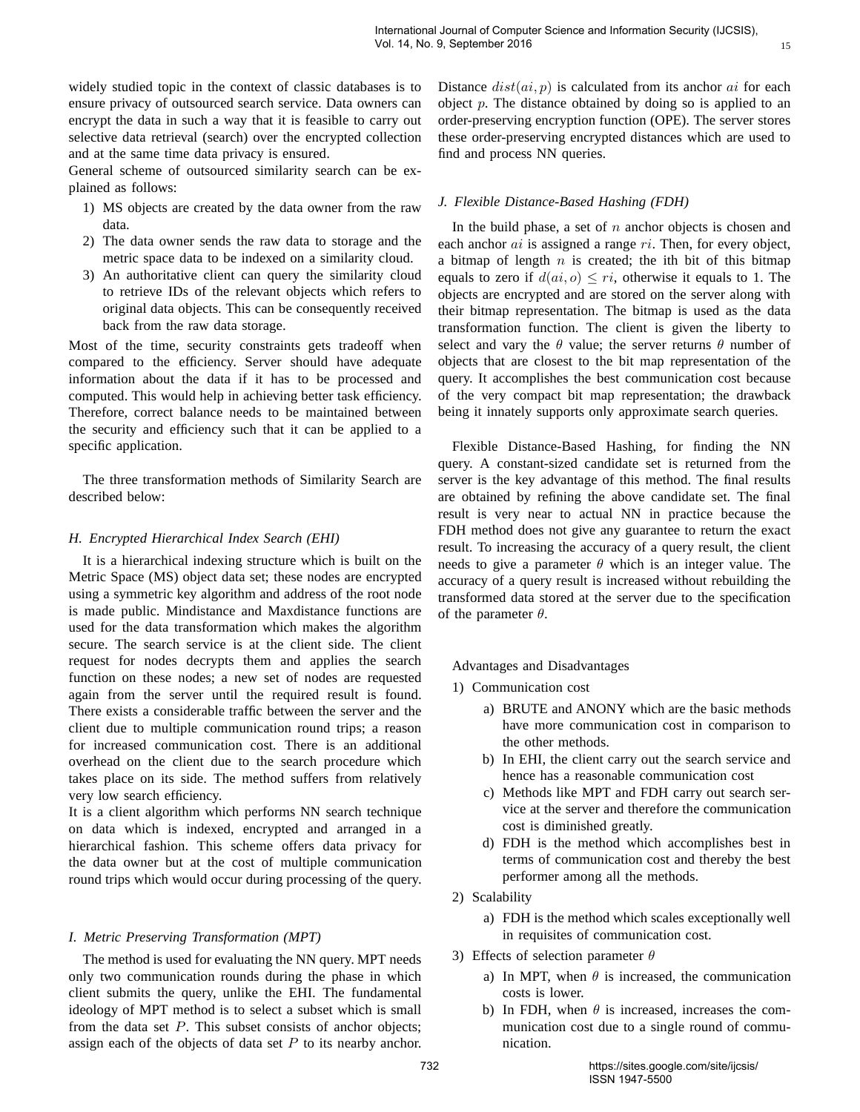General scheme of outsourced similarity search can be explained as follows:

- 1) MS objects are created by the data owner from the raw data.
- 2) The data owner sends the raw data to storage and the metric space data to be indexed on a similarity cloud.
- 3) An authoritative client can query the similarity cloud to retrieve IDs of the relevant objects which refers to original data objects. This can be consequently received back from the raw data storage.

Most of the time, security constraints gets tradeoff when compared to the efficiency. Server should have adequate information about the data if it has to be processed and computed. This would help in achieving better task efficiency. Therefore, correct balance needs to be maintained between the security and efficiency such that it can be applied to a specific application.

The three transformation methods of Similarity Search are described below:

# *H. Encrypted Hierarchical Index Search (EHI)*

It is a hierarchical indexing structure which is built on the Metric Space (MS) object data set; these nodes are encrypted using a symmetric key algorithm and address of the root node is made public. Mindistance and Maxdistance functions are used for the data transformation which makes the algorithm secure. The search service is at the client side. The client request for nodes decrypts them and applies the search function on these nodes; a new set of nodes are requested again from the server until the required result is found. There exists a considerable traffic between the server and the client due to multiple communication round trips; a reason for increased communication cost. There is an additional overhead on the client due to the search procedure which takes place on its side. The method suffers from relatively very low search efficiency.

It is a client algorithm which performs NN search technique on data which is indexed, encrypted and arranged in a hierarchical fashion. This scheme offers data privacy for the data owner but at the cost of multiple communication round trips which would occur during processing of the query.

# *I. Metric Preserving Transformation (MPT)*

The method is used for evaluating the NN query. MPT needs only two communication rounds during the phase in which client submits the query, unlike the EHI. The fundamental ideology of MPT method is to select a subset which is small from the data set  $P$ . This subset consists of anchor objects; assign each of the objects of data set  $P$  to its nearby anchor.

Distance  $dist(ai, p)$  is calculated from its anchor *ai* for each object  $p$ . The distance obtained by doing so is applied to an order-preserving encryption function (OPE). The server stores these order-preserving encrypted distances which are used to find and process NN queries.

15

## *J. Flexible Distance-Based Hashing (FDH)*

In the build phase, a set of  $n$  anchor objects is chosen and each anchor  $ai$  is assigned a range  $ri$ . Then, for every object, a bitmap of length  $n$  is created; the ith bit of this bitmap equals to zero if  $d(ai, o) \le ri$ , otherwise it equals to 1. The objects are encrypted and are stored on the server along with their bitmap representation. The bitmap is used as the data transformation function. The client is given the liberty to select and vary the  $\theta$  value; the server returns  $\theta$  number of objects that are closest to the bit map representation of the query. It accomplishes the best communication cost because of the very compact bit map representation; the drawback being it innately supports only approximate search queries.

Flexible Distance-Based Hashing, for finding the NN query. A constant-sized candidate set is returned from the server is the key advantage of this method. The final results are obtained by refining the above candidate set. The final result is very near to actual NN in practice because the FDH method does not give any guarantee to return the exact result. To increasing the accuracy of a query result, the client needs to give a parameter  $\theta$  which is an integer value. The accuracy of a query result is increased without rebuilding the transformed data stored at the server due to the specification of the parameter  $\theta$ .

Advantages and Disadvantages

- 1) Communication cost
	- a) BRUTE and ANONY which are the basic methods have more communication cost in comparison to the other methods.
	- b) In EHI, the client carry out the search service and hence has a reasonable communication cost
	- c) Methods like MPT and FDH carry out search service at the server and therefore the communication cost is diminished greatly.
	- d) FDH is the method which accomplishes best in terms of communication cost and thereby the best performer among all the methods.
- 2) Scalability
	- a) FDH is the method which scales exceptionally well in requisites of communication cost.
- 3) Effects of selection parameter  $\theta$ 
	- a) In MPT, when  $\theta$  is increased, the communication costs is lower.
	- b) In FDH, when  $\theta$  is increased, increases the communication cost due to a single round of communication.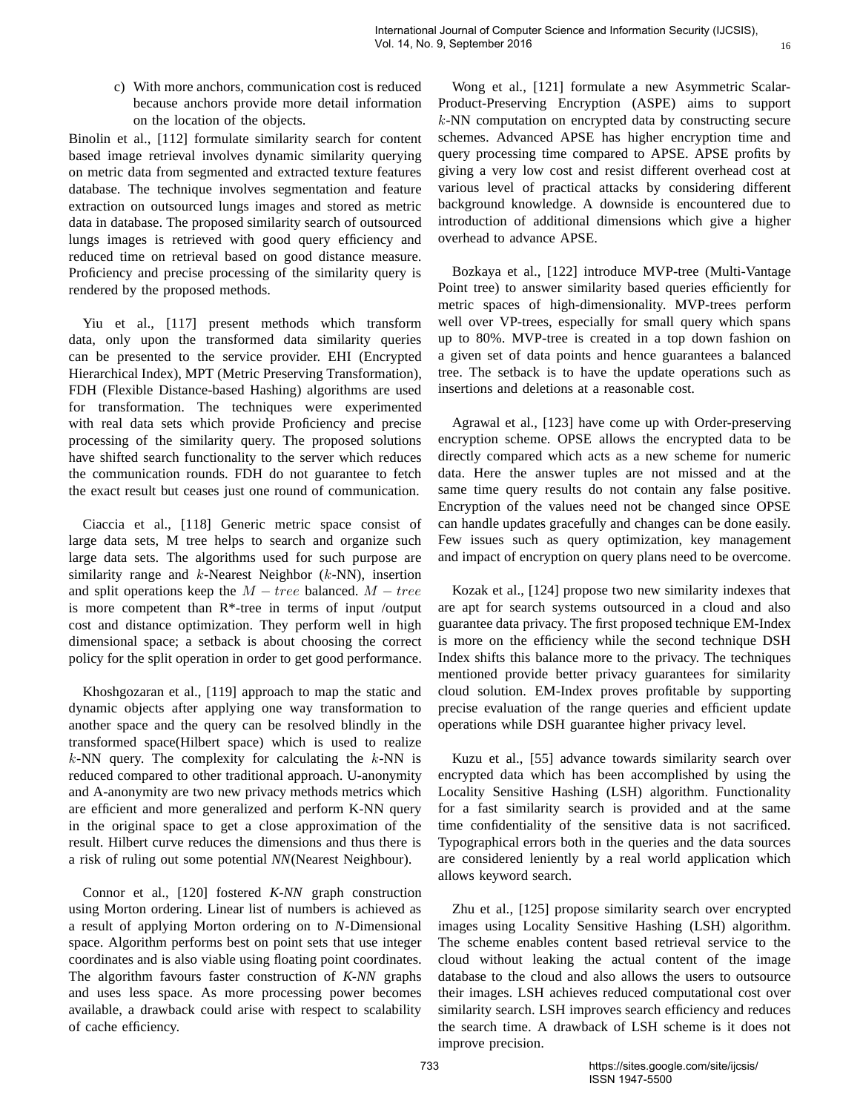c) With more anchors, communication cost is reduced because anchors provide more detail information on the location of the objects.

Binolin et al., [112] formulate similarity search for content based image retrieval involves dynamic similarity querying on metric data from segmented and extracted texture features database. The technique involves segmentation and feature extraction on outsourced lungs images and stored as metric data in database. The proposed similarity search of outsourced lungs images is retrieved with good query efficiency and reduced time on retrieval based on good distance measure. Proficiency and precise processing of the similarity query is rendered by the proposed methods.

Yiu et al., [117] present methods which transform data, only upon the transformed data similarity queries can be presented to the service provider. EHI (Encrypted Hierarchical Index), MPT (Metric Preserving Transformation), FDH (Flexible Distance-based Hashing) algorithms are used for transformation. The techniques were experimented with real data sets which provide Proficiency and precise processing of the similarity query. The proposed solutions have shifted search functionality to the server which reduces the communication rounds. FDH do not guarantee to fetch the exact result but ceases just one round of communication.

Ciaccia et al., [118] Generic metric space consist of large data sets, M tree helps to search and organize such large data sets. The algorithms used for such purpose are similarity range and  $k$ -Nearest Neighbor  $(k$ -NN), insertion and split operations keep the  $M - tree$  balanced.  $M - tree$ is more competent than  $R^*$ -tree in terms of input /output cost and distance optimization. They perform well in high dimensional space; a setback is about choosing the correct policy for the split operation in order to get good performance.

Khoshgozaran et al., [119] approach to map the static and dynamic objects after applying one way transformation to another space and the query can be resolved blindly in the transformed space(Hilbert space) which is used to realize  $k$ -NN query. The complexity for calculating the  $k$ -NN is reduced compared to other traditional approach. U-anonymity and A-anonymity are two new privacy methods metrics which are efficient and more generalized and perform K-NN query in the original space to get a close approximation of the result. Hilbert curve reduces the dimensions and thus there is a risk of ruling out some potential *NN*(Nearest Neighbour).

Connor et al., [120] fostered *K-NN* graph construction using Morton ordering. Linear list of numbers is achieved as a result of applying Morton ordering on to *N*-Dimensional space. Algorithm performs best on point sets that use integer coordinates and is also viable using floating point coordinates. The algorithm favours faster construction of *K-NN* graphs and uses less space. As more processing power becomes available, a drawback could arise with respect to scalability of cache efficiency.

Wong et al., [121] formulate a new Asymmetric Scalar-Product-Preserving Encryption (ASPE) aims to support k-NN computation on encrypted data by constructing secure schemes. Advanced APSE has higher encryption time and query processing time compared to APSE. APSE profits by giving a very low cost and resist different overhead cost at various level of practical attacks by considering different background knowledge. A downside is encountered due to introduction of additional dimensions which give a higher overhead to advance APSE.

16

Bozkaya et al., [122] introduce MVP-tree (Multi-Vantage Point tree) to answer similarity based queries efficiently for metric spaces of high-dimensionality. MVP-trees perform well over VP-trees, especially for small query which spans up to 80%. MVP-tree is created in a top down fashion on a given set of data points and hence guarantees a balanced tree. The setback is to have the update operations such as insertions and deletions at a reasonable cost.

Agrawal et al., [123] have come up with Order-preserving encryption scheme. OPSE allows the encrypted data to be directly compared which acts as a new scheme for numeric data. Here the answer tuples are not missed and at the same time query results do not contain any false positive. Encryption of the values need not be changed since OPSE can handle updates gracefully and changes can be done easily. Few issues such as query optimization, key management and impact of encryption on query plans need to be overcome.

Kozak et al., [124] propose two new similarity indexes that are apt for search systems outsourced in a cloud and also guarantee data privacy. The first proposed technique EM-Index is more on the efficiency while the second technique DSH Index shifts this balance more to the privacy. The techniques mentioned provide better privacy guarantees for similarity cloud solution. EM-Index proves profitable by supporting precise evaluation of the range queries and efficient update operations while DSH guarantee higher privacy level.

Kuzu et al., [55] advance towards similarity search over encrypted data which has been accomplished by using the Locality Sensitive Hashing (LSH) algorithm. Functionality for a fast similarity search is provided and at the same time confidentiality of the sensitive data is not sacrificed. Typographical errors both in the queries and the data sources are considered leniently by a real world application which allows keyword search.

Zhu et al., [125] propose similarity search over encrypted images using Locality Sensitive Hashing (LSH) algorithm. The scheme enables content based retrieval service to the cloud without leaking the actual content of the image database to the cloud and also allows the users to outsource their images. LSH achieves reduced computational cost over similarity search. LSH improves search efficiency and reduces the search time. A drawback of LSH scheme is it does not improve precision.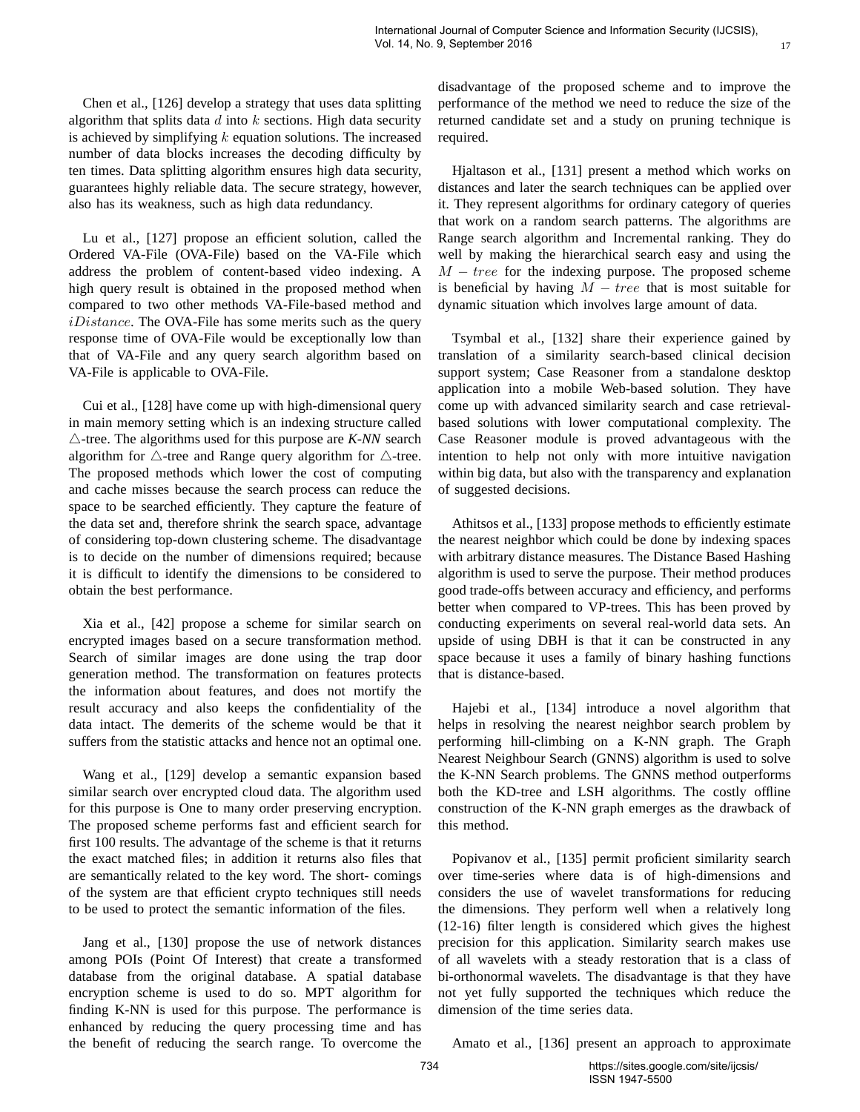Chen et al., [126] develop a strategy that uses data splitting algorithm that splits data  $d$  into  $k$  sections. High data security is achieved by simplifying  $k$  equation solutions. The increased number of data blocks increases the decoding difficulty by ten times. Data splitting algorithm ensures high data security, guarantees highly reliable data. The secure strategy, however, also has its weakness, such as high data redundancy.

Lu et al., [127] propose an efficient solution, called the Ordered VA-File (OVA-File) based on the VA-File which address the problem of content-based video indexing. A high query result is obtained in the proposed method when compared to two other methods VA-File-based method and  $iDistance$ . The OVA-File has some merits such as the query response time of OVA-File would be exceptionally low than that of VA-File and any query search algorithm based on VA-File is applicable to OVA-File.

Cui et al., [128] have come up with high-dimensional query in main memory setting which is an indexing structure called  $\triangle$ -tree. The algorithms used for this purpose are *K-NN* search algorithm for  $\triangle$ -tree and Range query algorithm for  $\triangle$ -tree. The proposed methods which lower the cost of computing and cache misses because the search process can reduce the space to be searched efficiently. They capture the feature of the data set and, therefore shrink the search space, advantage of considering top-down clustering scheme. The disadvantage is to decide on the number of dimensions required; because it is difficult to identify the dimensions to be considered to obtain the best performance.

Xia et al., [42] propose a scheme for similar search on encrypted images based on a secure transformation method. Search of similar images are done using the trap door generation method. The transformation on features protects the information about features, and does not mortify the result accuracy and also keeps the confidentiality of the data intact. The demerits of the scheme would be that it suffers from the statistic attacks and hence not an optimal one.

Wang et al., [129] develop a semantic expansion based similar search over encrypted cloud data. The algorithm used for this purpose is One to many order preserving encryption. The proposed scheme performs fast and efficient search for first 100 results. The advantage of the scheme is that it returns the exact matched files; in addition it returns also files that are semantically related to the key word. The short- comings of the system are that efficient crypto techniques still needs to be used to protect the semantic information of the files.

Jang et al., [130] propose the use of network distances among POIs (Point Of Interest) that create a transformed database from the original database. A spatial database encryption scheme is used to do so. MPT algorithm for finding K-NN is used for this purpose. The performance is enhanced by reducing the query processing time and has the benefit of reducing the search range. To overcome the

disadvantage of the proposed scheme and to improve the performance of the method we need to reduce the size of the returned candidate set and a study on pruning technique is required.

17

Hjaltason et al., [131] present a method which works on distances and later the search techniques can be applied over it. They represent algorithms for ordinary category of queries that work on a random search patterns. The algorithms are Range search algorithm and Incremental ranking. They do well by making the hierarchical search easy and using the  $M - tree$  for the indexing purpose. The proposed scheme is beneficial by having  $M - tree$  that is most suitable for dynamic situation which involves large amount of data.

Tsymbal et al., [132] share their experience gained by translation of a similarity search-based clinical decision support system; Case Reasoner from a standalone desktop application into a mobile Web-based solution. They have come up with advanced similarity search and case retrievalbased solutions with lower computational complexity. The Case Reasoner module is proved advantageous with the intention to help not only with more intuitive navigation within big data, but also with the transparency and explanation of suggested decisions.

Athitsos et al., [133] propose methods to efficiently estimate the nearest neighbor which could be done by indexing spaces with arbitrary distance measures. The Distance Based Hashing algorithm is used to serve the purpose. Their method produces good trade-offs between accuracy and efficiency, and performs better when compared to VP-trees. This has been proved by conducting experiments on several real-world data sets. An upside of using DBH is that it can be constructed in any space because it uses a family of binary hashing functions that is distance-based.

Hajebi et al., [134] introduce a novel algorithm that helps in resolving the nearest neighbor search problem by performing hill-climbing on a K-NN graph. The Graph Nearest Neighbour Search (GNNS) algorithm is used to solve the K-NN Search problems. The GNNS method outperforms both the KD-tree and LSH algorithms. The costly offline construction of the K-NN graph emerges as the drawback of this method.

Popivanov et al., [135] permit proficient similarity search over time-series where data is of high-dimensions and considers the use of wavelet transformations for reducing the dimensions. They perform well when a relatively long (12-16) filter length is considered which gives the highest precision for this application. Similarity search makes use of all wavelets with a steady restoration that is a class of bi-orthonormal wavelets. The disadvantage is that they have not yet fully supported the techniques which reduce the dimension of the time series data.

Amato et al., [136] present an approach to approximate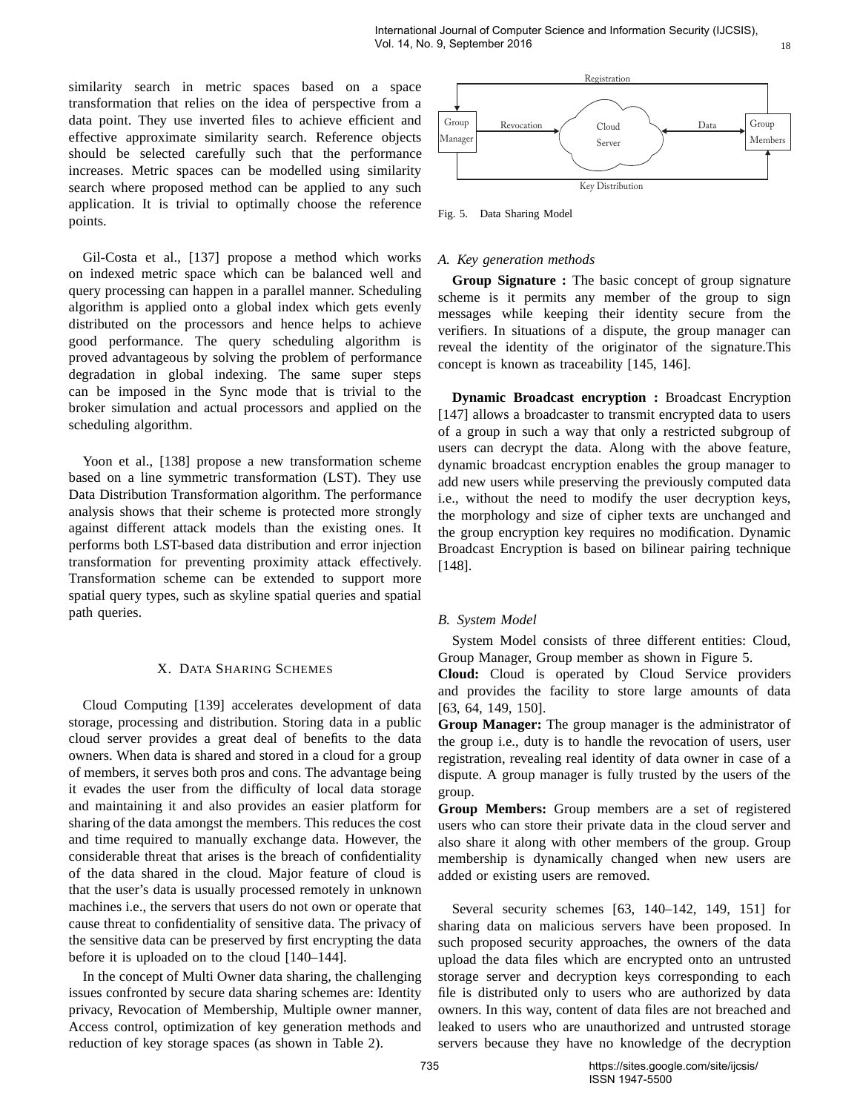similarity search in metric spaces based on a space transformation that relies on the idea of perspective from a data point. They use inverted files to achieve efficient and effective approximate similarity search. Reference objects should be selected carefully such that the performance increases. Metric spaces can be modelled using similarity search where proposed method can be applied to any such application. It is trivial to optimally choose the reference points.

Gil-Costa et al., [137] propose a method which works on indexed metric space which can be balanced well and query processing can happen in a parallel manner. Scheduling algorithm is applied onto a global index which gets evenly distributed on the processors and hence helps to achieve good performance. The query scheduling algorithm is proved advantageous by solving the problem of performance degradation in global indexing. The same super steps can be imposed in the Sync mode that is trivial to the broker simulation and actual processors and applied on the scheduling algorithm.

Yoon et al., [138] propose a new transformation scheme based on a line symmetric transformation (LST). They use Data Distribution Transformation algorithm. The performance analysis shows that their scheme is protected more strongly against different attack models than the existing ones. It performs both LST-based data distribution and error injection transformation for preventing proximity attack effectively. Transformation scheme can be extended to support more spatial query types, such as skyline spatial queries and spatial path queries.

## X. DATA SHARING SCHEMES

Cloud Computing [139] accelerates development of data storage, processing and distribution. Storing data in a public cloud server provides a great deal of benefits to the data owners. When data is shared and stored in a cloud for a group of members, it serves both pros and cons. The advantage being it evades the user from the difficulty of local data storage and maintaining it and also provides an easier platform for sharing of the data amongst the members. This reduces the cost and time required to manually exchange data. However, the considerable threat that arises is the breach of confidentiality of the data shared in the cloud. Major feature of cloud is that the user's data is usually processed remotely in unknown machines i.e., the servers that users do not own or operate that cause threat to confidentiality of sensitive data. The privacy of the sensitive data can be preserved by first encrypting the data before it is uploaded on to the cloud [140–144].

In the concept of Multi Owner data sharing, the challenging issues confronted by secure data sharing schemes are: Identity privacy, Revocation of Membership, Multiple owner manner, Access control, optimization of key generation methods and reduction of key storage spaces (as shown in Table 2).



Fig. 5. Data Sharing Model

## *A. Key generation methods*

**Group Signature :** The basic concept of group signature scheme is it permits any member of the group to sign messages while keeping their identity secure from the verifiers. In situations of a dispute, the group manager can reveal the identity of the originator of the signature.This concept is known as traceability [145, 146].

**Dynamic Broadcast encryption :** Broadcast Encryption [147] allows a broadcaster to transmit encrypted data to users of a group in such a way that only a restricted subgroup of users can decrypt the data. Along with the above feature, dynamic broadcast encryption enables the group manager to add new users while preserving the previously computed data i.e., without the need to modify the user decryption keys, the morphology and size of cipher texts are unchanged and the group encryption key requires no modification. Dynamic Broadcast Encryption is based on bilinear pairing technique [148].

## *B. System Model*

System Model consists of three different entities: Cloud, Group Manager, Group member as shown in Figure 5.

**Cloud:** Cloud is operated by Cloud Service providers and provides the facility to store large amounts of data [63, 64, 149, 150].

**Group Manager:** The group manager is the administrator of the group i.e., duty is to handle the revocation of users, user registration, revealing real identity of data owner in case of a dispute. A group manager is fully trusted by the users of the group.

**Group Members:** Group members are a set of registered users who can store their private data in the cloud server and also share it along with other members of the group. Group membership is dynamically changed when new users are added or existing users are removed.

Several security schemes [63, 140–142, 149, 151] for sharing data on malicious servers have been proposed. In such proposed security approaches, the owners of the data upload the data files which are encrypted onto an untrusted storage server and decryption keys corresponding to each file is distributed only to users who are authorized by data owners. In this way, content of data files are not breached and leaked to users who are unauthorized and untrusted storage servers because they have no knowledge of the decryption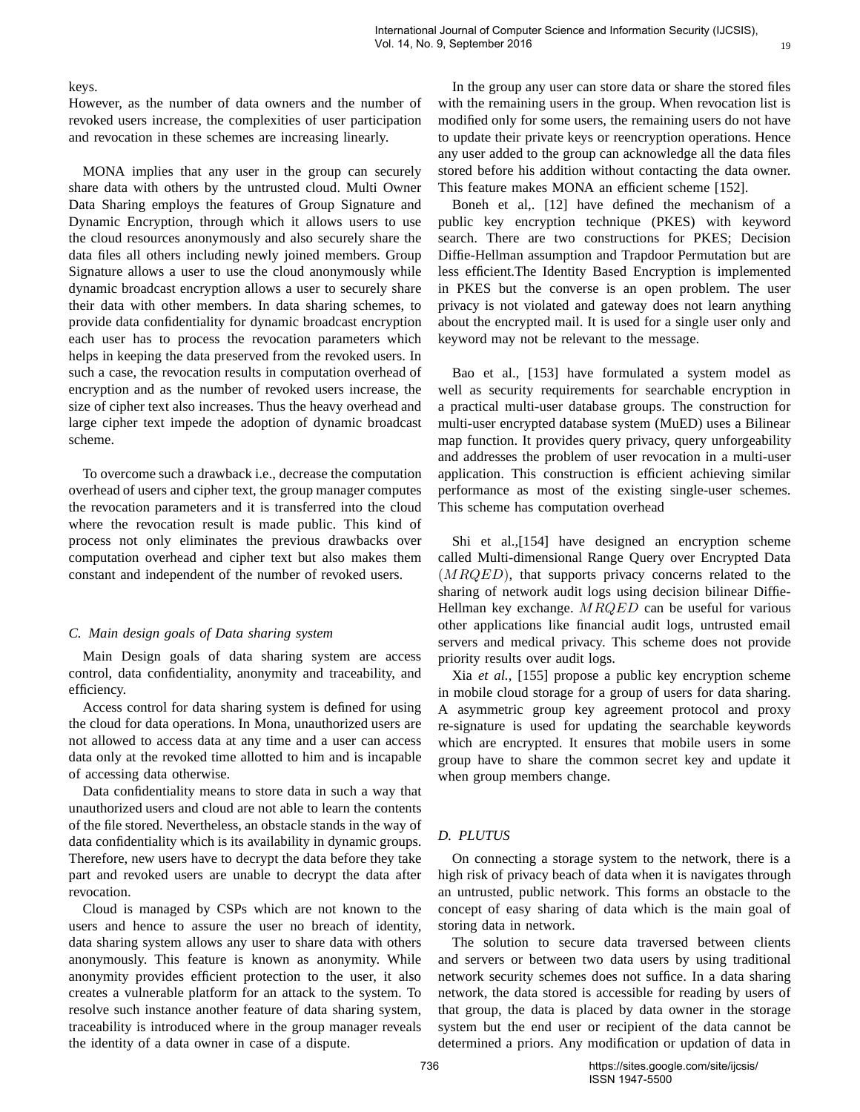# keys.

However, as the number of data owners and the number of revoked users increase, the complexities of user participation and revocation in these schemes are increasing linearly.

MONA implies that any user in the group can securely share data with others by the untrusted cloud. Multi Owner Data Sharing employs the features of Group Signature and Dynamic Encryption, through which it allows users to use the cloud resources anonymously and also securely share the data files all others including newly joined members. Group Signature allows a user to use the cloud anonymously while dynamic broadcast encryption allows a user to securely share their data with other members. In data sharing schemes, to provide data confidentiality for dynamic broadcast encryption each user has to process the revocation parameters which helps in keeping the data preserved from the revoked users. In such a case, the revocation results in computation overhead of encryption and as the number of revoked users increase, the size of cipher text also increases. Thus the heavy overhead and large cipher text impede the adoption of dynamic broadcast scheme.

To overcome such a drawback i.e., decrease the computation overhead of users and cipher text, the group manager computes the revocation parameters and it is transferred into the cloud where the revocation result is made public. This kind of process not only eliminates the previous drawbacks over computation overhead and cipher text but also makes them constant and independent of the number of revoked users.

# *C. Main design goals of Data sharing system*

Main Design goals of data sharing system are access control, data confidentiality, anonymity and traceability, and efficiency.

Access control for data sharing system is defined for using the cloud for data operations. In Mona, unauthorized users are not allowed to access data at any time and a user can access data only at the revoked time allotted to him and is incapable of accessing data otherwise.

Data confidentiality means to store data in such a way that unauthorized users and cloud are not able to learn the contents of the file stored. Nevertheless, an obstacle stands in the way of data confidentiality which is its availability in dynamic groups. Therefore, new users have to decrypt the data before they take part and revoked users are unable to decrypt the data after revocation.

Cloud is managed by CSPs which are not known to the users and hence to assure the user no breach of identity, data sharing system allows any user to share data with others anonymously. This feature is known as anonymity. While anonymity provides efficient protection to the user, it also creates a vulnerable platform for an attack to the system. To resolve such instance another feature of data sharing system, traceability is introduced where in the group manager reveals the identity of a data owner in case of a dispute.

In the group any user can store data or share the stored files with the remaining users in the group. When revocation list is modified only for some users, the remaining users do not have to update their private keys or reencryption operations. Hence any user added to the group can acknowledge all the data files stored before his addition without contacting the data owner. This feature makes MONA an efficient scheme [152].

Boneh et al,. [12] have defined the mechanism of a public key encryption technique (PKES) with keyword search. There are two constructions for PKES; Decision Diffie-Hellman assumption and Trapdoor Permutation but are less efficient.The Identity Based Encryption is implemented in PKES but the converse is an open problem. The user privacy is not violated and gateway does not learn anything about the encrypted mail. It is used for a single user only and keyword may not be relevant to the message.

Bao et al., [153] have formulated a system model as well as security requirements for searchable encryption in a practical multi-user database groups. The construction for multi-user encrypted database system (MuED) uses a Bilinear map function. It provides query privacy, query unforgeability and addresses the problem of user revocation in a multi-user application. This construction is efficient achieving similar performance as most of the existing single-user schemes. This scheme has computation overhead

Shi et al.,[154] have designed an encryption scheme called Multi-dimensional Range Query over Encrypted Data  $(MRQED)$ , that supports privacy concerns related to the sharing of network audit logs using decision bilinear Diffie-Hellman key exchange.  $MRQED$  can be useful for various other applications like financial audit logs, untrusted email servers and medical privacy. This scheme does not provide priority results over audit logs.

Xia *et al.,* [155] propose a public key encryption scheme in mobile cloud storage for a group of users for data sharing. A asymmetric group key agreement protocol and proxy re-signature is used for updating the searchable keywords which are encrypted. It ensures that mobile users in some group have to share the common secret key and update it when group members change.

## *D. PLUTUS*

On connecting a storage system to the network, there is a high risk of privacy beach of data when it is navigates through an untrusted, public network. This forms an obstacle to the concept of easy sharing of data which is the main goal of storing data in network.

The solution to secure data traversed between clients and servers or between two data users by using traditional network security schemes does not suffice. In a data sharing network, the data stored is accessible for reading by users of that group, the data is placed by data owner in the storage system but the end user or recipient of the data cannot be determined a priors. Any modification or updation of data in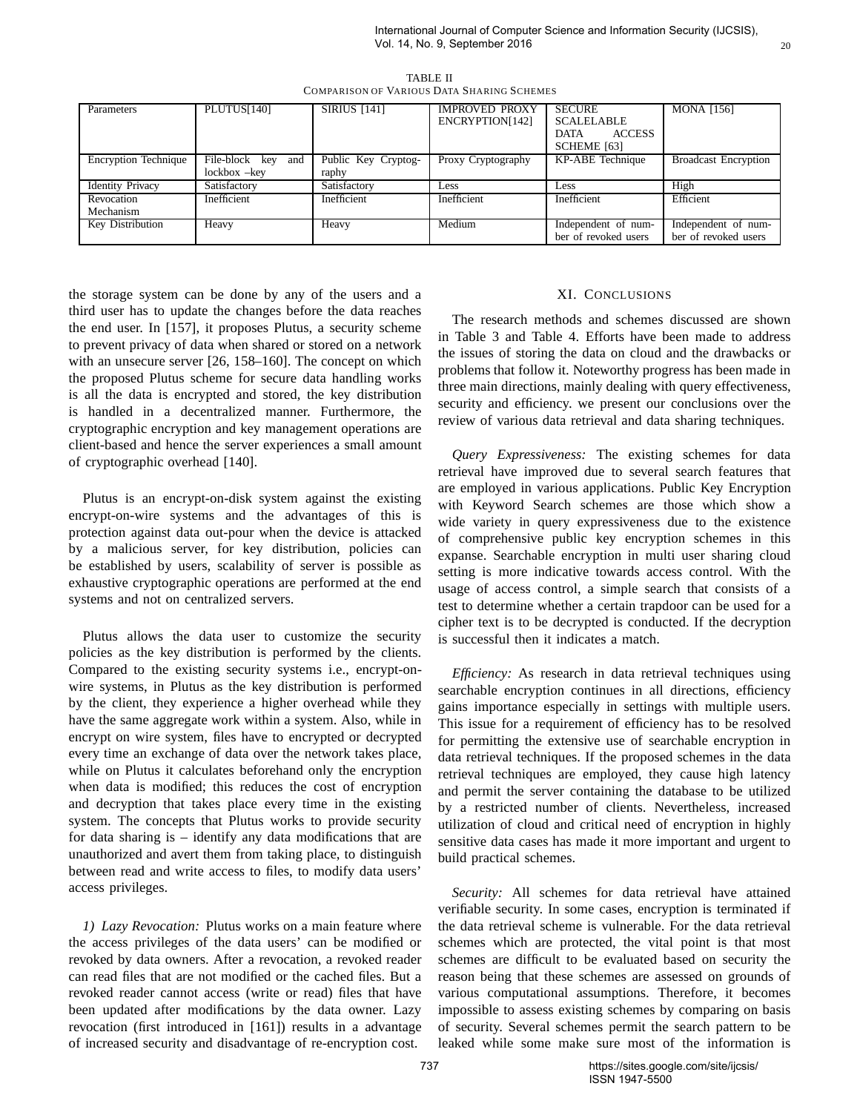| TABLE II                                   |
|--------------------------------------------|
| COMPARISON OF VARIOUS DATA SHARING SCHEMES |

| Parameters                  | PLUTUS[140]           | <b>SIRIUS</b> [141] | <b>IMPROVED PROXY</b><br>ENCRYPTION[142] | <b>SECURE</b><br><b>SCALELABLE</b><br><b>ACCESS</b><br><b>DATA</b> | <b>MONA</b> [156]           |
|-----------------------------|-----------------------|---------------------|------------------------------------------|--------------------------------------------------------------------|-----------------------------|
| <b>Encryption Technique</b> | File-block key<br>and | Public Key Cryptog- | Proxy Cryptography                       | SCHEME [63]<br>KP-ABE Technique                                    | <b>Broadcast Encryption</b> |
|                             | $lockbox$ - $key$     | raphy               |                                          |                                                                    |                             |
| <b>Identity Privacy</b>     | Satisfactory          | Satisfactory        | Less                                     | Less                                                               | High                        |
| Revocation                  | Inefficient           | Inefficient         | Inefficient                              | Inefficient                                                        | Efficient                   |
| Mechanism                   |                       |                     |                                          |                                                                    |                             |
| <b>Key Distribution</b>     | Heavy                 | Heavy               | Medium                                   | Independent of num-                                                | Independent of num-         |
|                             |                       |                     |                                          | ber of revoked users                                               | ber of revoked users        |

the storage system can be done by any of the users and a third user has to update the changes before the data reaches the end user. In [157], it proposes Plutus, a security scheme to prevent privacy of data when shared or stored on a network with an unsecure server [26, 158–160]. The concept on which the proposed Plutus scheme for secure data handling works is all the data is encrypted and stored, the key distribution is handled in a decentralized manner. Furthermore, the cryptographic encryption and key management operations are client-based and hence the server experiences a small amount of cryptographic overhead [140].

Plutus is an encrypt-on-disk system against the existing encrypt-on-wire systems and the advantages of this is protection against data out-pour when the device is attacked by a malicious server, for key distribution, policies can be established by users, scalability of server is possible as exhaustive cryptographic operations are performed at the end systems and not on centralized servers.

Plutus allows the data user to customize the security policies as the key distribution is performed by the clients. Compared to the existing security systems i.e., encrypt-onwire systems, in Plutus as the key distribution is performed by the client, they experience a higher overhead while they have the same aggregate work within a system. Also, while in encrypt on wire system, files have to encrypted or decrypted every time an exchange of data over the network takes place, while on Plutus it calculates beforehand only the encryption when data is modified; this reduces the cost of encryption and decryption that takes place every time in the existing system. The concepts that Plutus works to provide security for data sharing is – identify any data modifications that are unauthorized and avert them from taking place, to distinguish between read and write access to files, to modify data users' access privileges.

*1) Lazy Revocation:* Plutus works on a main feature where the access privileges of the data users' can be modified or revoked by data owners. After a revocation, a revoked reader can read files that are not modified or the cached files. But a revoked reader cannot access (write or read) files that have been updated after modifications by the data owner. Lazy revocation (first introduced in [161]) results in a advantage of increased security and disadvantage of re-encryption cost.

# XI. CONCLUSIONS

The research methods and schemes discussed are shown in Table 3 and Table 4. Efforts have been made to address the issues of storing the data on cloud and the drawbacks or problems that follow it. Noteworthy progress has been made in three main directions, mainly dealing with query effectiveness, security and efficiency. we present our conclusions over the review of various data retrieval and data sharing techniques.

*Query Expressiveness:* The existing schemes for data retrieval have improved due to several search features that are employed in various applications. Public Key Encryption with Keyword Search schemes are those which show a wide variety in query expressiveness due to the existence of comprehensive public key encryption schemes in this expanse. Searchable encryption in multi user sharing cloud setting is more indicative towards access control. With the usage of access control, a simple search that consists of a test to determine whether a certain trapdoor can be used for a cipher text is to be decrypted is conducted. If the decryption is successful then it indicates a match.

*Efficiency:* As research in data retrieval techniques using searchable encryption continues in all directions, efficiency gains importance especially in settings with multiple users. This issue for a requirement of efficiency has to be resolved for permitting the extensive use of searchable encryption in data retrieval techniques. If the proposed schemes in the data retrieval techniques are employed, they cause high latency and permit the server containing the database to be utilized by a restricted number of clients. Nevertheless, increased utilization of cloud and critical need of encryption in highly sensitive data cases has made it more important and urgent to build practical schemes.

*Security:* All schemes for data retrieval have attained verifiable security. In some cases, encryption is terminated if the data retrieval scheme is vulnerable. For the data retrieval schemes which are protected, the vital point is that most schemes are difficult to be evaluated based on security the reason being that these schemes are assessed on grounds of various computational assumptions. Therefore, it becomes impossible to assess existing schemes by comparing on basis of security. Several schemes permit the search pattern to be leaked while some make sure most of the information is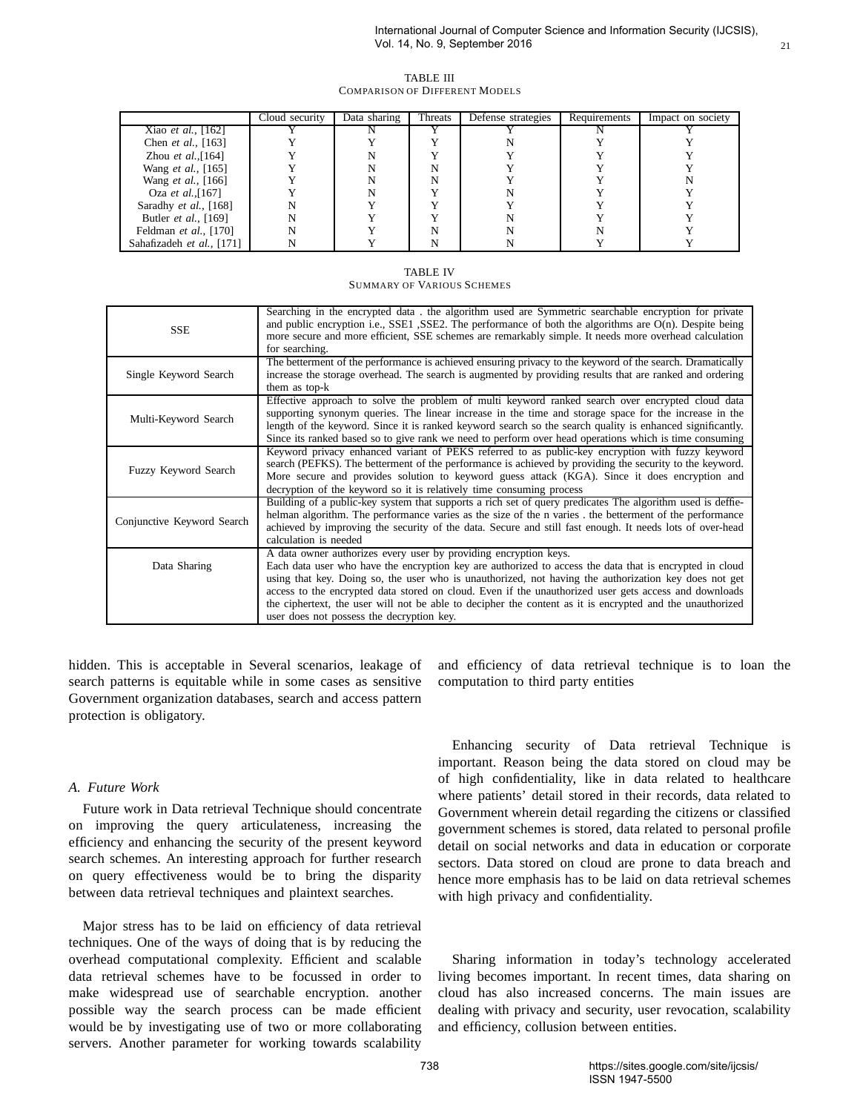## TABLE III COMPARISON OF DIFFERENT MODELS

|                              | Cloud security | Data sharing | Threats | Defense strategies | Requirements | Impact on society |
|------------------------------|----------------|--------------|---------|--------------------|--------------|-------------------|
| Xiao <i>et al.</i> , $[162]$ |                |              |         |                    |              |                   |
| Chen <i>et al.</i> , [163]   |                |              |         |                    |              |                   |
| Zhou et al., [164]           |                |              |         |                    |              |                   |
| Wang <i>et al.</i> , [165]   |                |              | N       |                    |              |                   |
| Wang <i>et al.</i> , [166]   |                |              | N       |                    |              |                   |
| Oza et al., [167]            |                |              |         |                    |              |                   |
| Saradhy et al., [168]        |                |              |         |                    |              |                   |
| Butler <i>et al.</i> , [169] |                |              |         |                    |              |                   |
| Feldman et al., [170]        |                |              | N       |                    |              |                   |
| Sahafizadeh et al., [171]    |                |              |         |                    |              |                   |

TABLE IV

| <b>SSE</b>                 | Searching in the encrypted data. the algorithm used are Symmetric searchable encryption for private<br>and public encryption i.e., SSE1, SSE2. The performance of both the algorithms are O(n). Despite being<br>more secure and more efficient, SSE schemes are remarkably simple. It needs more overhead calculation<br>for searching.                                                                                                                                                                                                                |
|----------------------------|---------------------------------------------------------------------------------------------------------------------------------------------------------------------------------------------------------------------------------------------------------------------------------------------------------------------------------------------------------------------------------------------------------------------------------------------------------------------------------------------------------------------------------------------------------|
| Single Keyword Search      | The betterment of the performance is achieved ensuring privacy to the keyword of the search. Dramatically<br>increase the storage overhead. The search is augmented by providing results that are ranked and ordering<br>them as top-k                                                                                                                                                                                                                                                                                                                  |
| Multi-Keyword Search       | Effective approach to solve the problem of multi keyword ranked search over encrypted cloud data<br>supporting synonym queries. The linear increase in the time and storage space for the increase in the<br>length of the keyword. Since it is ranked keyword search so the search quality is enhanced significantly.<br>Since its ranked based so to give rank we need to perform over head operations which is time consuming                                                                                                                        |
| Fuzzy Keyword Search       | Keyword privacy enhanced variant of PEKS referred to as public-key encryption with fuzzy keyword<br>search (PEFKS). The betterment of the performance is achieved by providing the security to the keyword.<br>More secure and provides solution to keyword guess attack (KGA). Since it does encryption and<br>decryption of the keyword so it is relatively time consuming process                                                                                                                                                                    |
| Conjunctive Keyword Search | Building of a public-key system that supports a rich set of query predicates The algorithm used is deffie-<br>helman algorithm. The performance varies as the size of the n varies the betterment of the performance<br>achieved by improving the security of the data. Secure and still fast enough. It needs lots of over-head<br>calculation is needed                                                                                                                                                                                               |
| Data Sharing               | A data owner authorizes every user by providing encryption keys.<br>Each data user who have the encryption key are authorized to access the data that is encrypted in cloud<br>using that key. Doing so, the user who is unauthorized, not having the authorization key does not get<br>access to the encrypted data stored on cloud. Even if the unauthorized user gets access and downloads<br>the ciphertext, the user will not be able to decipher the content as it is encrypted and the unauthorized<br>user does not possess the decryption key. |

hidden. This is acceptable in Several scenarios, leakage of search patterns is equitable while in some cases as sensitive Government organization databases, search and access pattern protection is obligatory.

# *A. Future Work*

Future work in Data retrieval Technique should concentrate on improving the query articulateness, increasing the efficiency and enhancing the security of the present keyword search schemes. An interesting approach for further research on query effectiveness would be to bring the disparity between data retrieval techniques and plaintext searches.

Major stress has to be laid on efficiency of data retrieval techniques. One of the ways of doing that is by reducing the overhead computational complexity. Efficient and scalable data retrieval schemes have to be focussed in order to make widespread use of searchable encryption. another possible way the search process can be made efficient would be by investigating use of two or more collaborating servers. Another parameter for working towards scalability

and efficiency of data retrieval technique is to loan the computation to third party entities

Enhancing security of Data retrieval Technique is important. Reason being the data stored on cloud may be of high confidentiality, like in data related to healthcare where patients' detail stored in their records, data related to Government wherein detail regarding the citizens or classified government schemes is stored, data related to personal profile detail on social networks and data in education or corporate sectors. Data stored on cloud are prone to data breach and hence more emphasis has to be laid on data retrieval schemes with high privacy and confidentiality.

Sharing information in today's technology accelerated living becomes important. In recent times, data sharing on cloud has also increased concerns. The main issues are dealing with privacy and security, user revocation, scalability and efficiency, collusion between entities.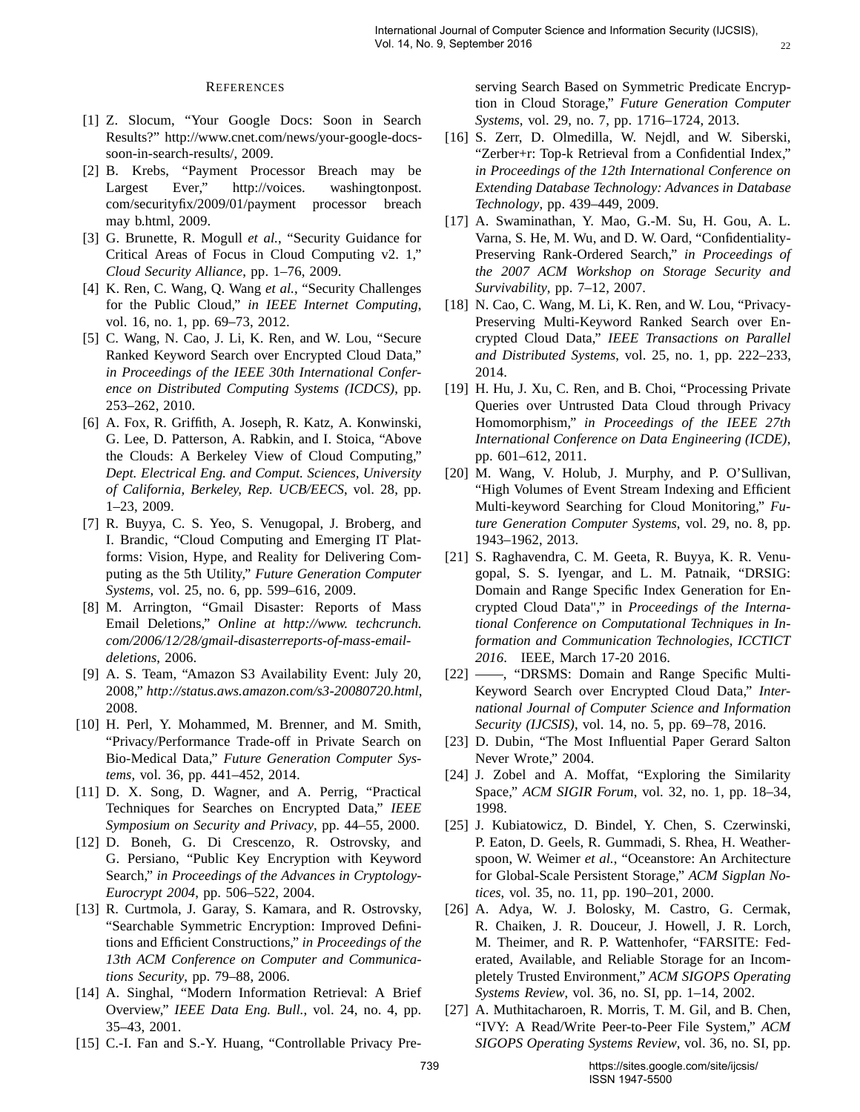## **REFERENCES**

- [1] Z. Slocum, "Your Google Docs: Soon in Search Results?" http://www.cnet.com/news/your-google-docssoon-in-search-results/, 2009.
- [2] B. Krebs, "Payment Processor Breach may be Largest Ever," http://voices. washingtonpost. com/securityfix/2009/01/payment processor breach may b.html, 2009.
- [3] G. Brunette, R. Mogull *et al.*, "Security Guidance for Critical Areas of Focus in Cloud Computing v2. 1," *Cloud Security Alliance*, pp. 1–76, 2009.
- [4] K. Ren, C. Wang, Q. Wang *et al.*, "Security Challenges for the Public Cloud," *in IEEE Internet Computing*, vol. 16, no. 1, pp. 69–73, 2012.
- [5] C. Wang, N. Cao, J. Li, K. Ren, and W. Lou, "Secure Ranked Keyword Search over Encrypted Cloud Data," *in Proceedings of the IEEE 30th International Conference on Distributed Computing Systems (ICDCS)*, pp. 253–262, 2010.
- [6] A. Fox, R. Griffith, A. Joseph, R. Katz, A. Konwinski, G. Lee, D. Patterson, A. Rabkin, and I. Stoica, "Above the Clouds: A Berkeley View of Cloud Computing," *Dept. Electrical Eng. and Comput. Sciences, University of California, Berkeley, Rep. UCB/EECS*, vol. 28, pp. 1–23, 2009.
- [7] R. Buyya, C. S. Yeo, S. Venugopal, J. Broberg, and I. Brandic, "Cloud Computing and Emerging IT Platforms: Vision, Hype, and Reality for Delivering Computing as the 5th Utility," *Future Generation Computer Systems*, vol. 25, no. 6, pp. 599–616, 2009.
- [8] M. Arrington, "Gmail Disaster: Reports of Mass Email Deletions," *Online at http://www. techcrunch. com/2006/12/28/gmail-disasterreports-of-mass-emaildeletions*, 2006.
- [9] A. S. Team, "Amazon S3 Availability Event: July 20, 2008," *http://status.aws.amazon.com/s3-20080720.html*, 2008.
- [10] H. Perl, Y. Mohammed, M. Brenner, and M. Smith, "Privacy/Performance Trade-off in Private Search on Bio-Medical Data," *Future Generation Computer Systems*, vol. 36, pp. 441–452, 2014.
- [11] D. X. Song, D. Wagner, and A. Perrig, "Practical Techniques for Searches on Encrypted Data," *IEEE Symposium on Security and Privacy*, pp. 44–55, 2000.
- [12] D. Boneh, G. Di Crescenzo, R. Ostrovsky, and G. Persiano, "Public Key Encryption with Keyword Search," *in Proceedings of the Advances in Cryptology-Eurocrypt 2004*, pp. 506–522, 2004.
- [13] R. Curtmola, J. Garay, S. Kamara, and R. Ostrovsky, "Searchable Symmetric Encryption: Improved Definitions and Efficient Constructions," *in Proceedings of the 13th ACM Conference on Computer and Communications Security*, pp. 79–88, 2006.
- [14] A. Singhal, "Modern Information Retrieval: A Brief Overview," *IEEE Data Eng. Bull.*, vol. 24, no. 4, pp. 35–43, 2001.
- [15] C.-I. Fan and S.-Y. Huang, "Controllable Privacy Pre-

serving Search Based on Symmetric Predicate Encryption in Cloud Storage," *Future Generation Computer Systems*, vol. 29, no. 7, pp. 1716–1724, 2013.

22

- [16] S. Zerr, D. Olmedilla, W. Nejdl, and W. Siberski, "Zerber+r: Top-k Retrieval from a Confidential Index," *in Proceedings of the 12th International Conference on Extending Database Technology: Advances in Database Technology*, pp. 439–449, 2009.
- [17] A. Swaminathan, Y. Mao, G.-M. Su, H. Gou, A. L. Varna, S. He, M. Wu, and D. W. Oard, "Confidentiality-Preserving Rank-Ordered Search," *in Proceedings of the 2007 ACM Workshop on Storage Security and Survivability*, pp. 7–12, 2007.
- [18] N. Cao, C. Wang, M. Li, K. Ren, and W. Lou, "Privacy-Preserving Multi-Keyword Ranked Search over Encrypted Cloud Data," *IEEE Transactions on Parallel and Distributed Systems*, vol. 25, no. 1, pp. 222–233, 2014.
- [19] H. Hu, J. Xu, C. Ren, and B. Choi, "Processing Private" Queries over Untrusted Data Cloud through Privacy Homomorphism," *in Proceedings of the IEEE 27th International Conference on Data Engineering (ICDE)*, pp. 601–612, 2011.
- [20] M. Wang, V. Holub, J. Murphy, and P. O'Sullivan, "High Volumes of Event Stream Indexing and Efficient Multi-keyword Searching for Cloud Monitoring," *Future Generation Computer Systems*, vol. 29, no. 8, pp. 1943–1962, 2013.
- [21] S. Raghavendra, C. M. Geeta, R. Buyya, K. R. Venugopal, S. S. Iyengar, and L. M. Patnaik, "DRSIG: Domain and Range Specific Index Generation for Encrypted Cloud Data"," in *Proceedings of the International Conference on Computational Techniques in Information and Communication Technologies, ICCTICT 2016*. IEEE, March 17-20 2016.
- [22] ——, "DRSMS: Domain and Range Specific Multi-Keyword Search over Encrypted Cloud Data," *International Journal of Computer Science and Information Security (IJCSIS)*, vol. 14, no. 5, pp. 69–78, 2016.
- [23] D. Dubin, "The Most Influential Paper Gerard Salton Never Wrote," 2004.
- [24] J. Zobel and A. Moffat, "Exploring the Similarity" Space," *ACM SIGIR Forum*, vol. 32, no. 1, pp. 18–34, 1998.
- [25] J. Kubiatowicz, D. Bindel, Y. Chen, S. Czerwinski, P. Eaton, D. Geels, R. Gummadi, S. Rhea, H. Weatherspoon, W. Weimer *et al.*, "Oceanstore: An Architecture for Global-Scale Persistent Storage," *ACM Sigplan Notices*, vol. 35, no. 11, pp. 190–201, 2000.
- [26] A. Adya, W. J. Bolosky, M. Castro, G. Cermak, R. Chaiken, J. R. Douceur, J. Howell, J. R. Lorch, M. Theimer, and R. P. Wattenhofer, "FARSITE: Federated, Available, and Reliable Storage for an Incompletely Trusted Environment," *ACM SIGOPS Operating Systems Review*, vol. 36, no. SI, pp. 1–14, 2002.
- [27] A. Muthitacharoen, R. Morris, T. M. Gil, and B. Chen, "IVY: A Read/Write Peer-to-Peer File System," *ACM SIGOPS Operating Systems Review*, vol. 36, no. SI, pp.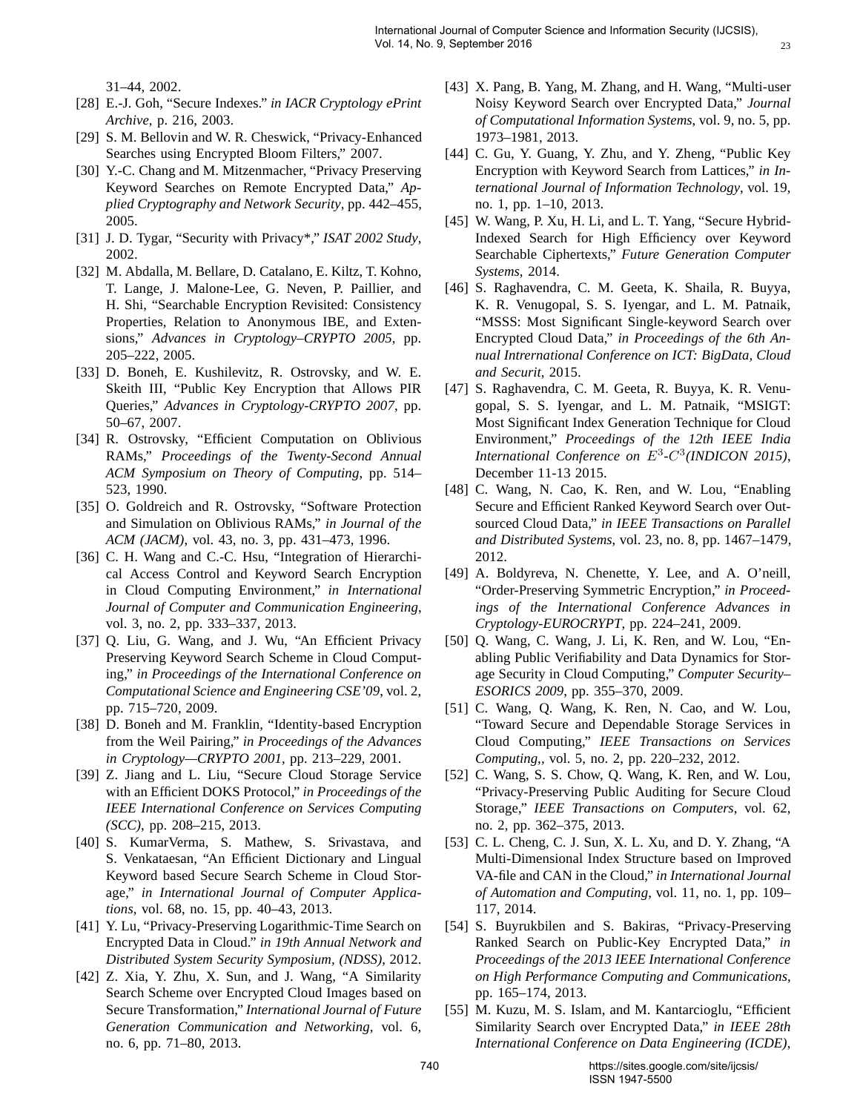31–44, 2002.

- [28] E.-J. Goh, "Secure Indexes." *in IACR Cryptology ePrint Archive*, p. 216, 2003.
- [29] S. M. Bellovin and W. R. Cheswick, "Privacy-Enhanced Searches using Encrypted Bloom Filters," 2007.
- [30] Y.-C. Chang and M. Mitzenmacher, "Privacy Preserving" Keyword Searches on Remote Encrypted Data," *Applied Cryptography and Network Security*, pp. 442–455, 2005.
- [31] J. D. Tygar, "Security with Privacy\*," *ISAT 2002 Study*, 2002.
- [32] M. Abdalla, M. Bellare, D. Catalano, E. Kiltz, T. Kohno, T. Lange, J. Malone-Lee, G. Neven, P. Paillier, and H. Shi, "Searchable Encryption Revisited: Consistency Properties, Relation to Anonymous IBE, and Extensions," *Advances in Cryptology–CRYPTO 2005*, pp. 205–222, 2005.
- [33] D. Boneh, E. Kushilevitz, R. Ostrovsky, and W. E. Skeith III, "Public Key Encryption that Allows PIR Queries," *Advances in Cryptology-CRYPTO 2007*, pp. 50–67, 2007.
- [34] R. Ostrovsky, "Efficient Computation on Oblivious RAMs," *Proceedings of the Twenty-Second Annual ACM Symposium on Theory of Computing*, pp. 514– 523, 1990.
- [35] O. Goldreich and R. Ostrovsky, "Software Protection and Simulation on Oblivious RAMs," *in Journal of the ACM (JACM)*, vol. 43, no. 3, pp. 431–473, 1996.
- [36] C. H. Wang and C.-C. Hsu, "Integration of Hierarchical Access Control and Keyword Search Encryption in Cloud Computing Environment," *in International Journal of Computer and Communication Engineering*, vol. 3, no. 2, pp. 333–337, 2013.
- [37] Q. Liu, G. Wang, and J. Wu, "An Efficient Privacy Preserving Keyword Search Scheme in Cloud Computing," *in Proceedings of the International Conference on Computational Science and Engineering CSE'09*, vol. 2, pp. 715–720, 2009.
- [38] D. Boneh and M. Franklin, "Identity-based Encryption from the Weil Pairing," *in Proceedings of the Advances in Cryptology—CRYPTO 2001*, pp. 213–229, 2001.
- [39] Z. Jiang and L. Liu, "Secure Cloud Storage Service with an Efficient DOKS Protocol," *in Proceedings of the IEEE International Conference on Services Computing (SCC)*, pp. 208–215, 2013.
- [40] S. KumarVerma, S. Mathew, S. Srivastava, and S. Venkataesan, "An Efficient Dictionary and Lingual Keyword based Secure Search Scheme in Cloud Storage," *in International Journal of Computer Applications*, vol. 68, no. 15, pp. 40–43, 2013.
- [41] Y. Lu, "Privacy-Preserving Logarithmic-Time Search on Encrypted Data in Cloud." *in 19th Annual Network and Distributed System Security Symposium, (NDSS)*, 2012.
- [42] Z. Xia, Y. Zhu, X. Sun, and J. Wang, "A Similarity Search Scheme over Encrypted Cloud Images based on Secure Transformation," *International Journal of Future Generation Communication and Networking*, vol. 6, no. 6, pp. 71–80, 2013.

[43] X. Pang, B. Yang, M. Zhang, and H. Wang, "Multi-user Noisy Keyword Search over Encrypted Data," *Journal of Computational Information Systems*, vol. 9, no. 5, pp. 1973–1981, 2013.

23

- [44] C. Gu, Y. Guang, Y. Zhu, and Y. Zheng, "Public Key Encryption with Keyword Search from Lattices," *in International Journal of Information Technology*, vol. 19, no. 1, pp. 1–10, 2013.
- [45] W. Wang, P. Xu, H. Li, and L. T. Yang, "Secure Hybrid-Indexed Search for High Efficiency over Keyword Searchable Ciphertexts," *Future Generation Computer Systems*, 2014.
- [46] S. Raghavendra, C. M. Geeta, K. Shaila, R. Buyya, K. R. Venugopal, S. S. Iyengar, and L. M. Patnaik, "MSSS: Most Significant Single-keyword Search over Encrypted Cloud Data," *in Proceedings of the 6th Annual Intrernational Conference on ICT: BigData, Cloud and Securit*, 2015.
- [47] S. Raghavendra, C. M. Geeta, R. Buyya, K. R. Venugopal, S. S. Iyengar, and L. M. Patnaik, "MSIGT: Most Significant Index Generation Technique for Cloud Environment," *Proceedings of the 12th IEEE India International Conference on* E<sup>3</sup> *-*C 3 *(INDICON 2015)*, December 11-13 2015.
- [48] C. Wang, N. Cao, K. Ren, and W. Lou, "Enabling Secure and Efficient Ranked Keyword Search over Outsourced Cloud Data," *in IEEE Transactions on Parallel and Distributed Systems*, vol. 23, no. 8, pp. 1467–1479, 2012.
- [49] A. Boldyreva, N. Chenette, Y. Lee, and A. O'neill, "Order-Preserving Symmetric Encryption," *in Proceedings of the International Conference Advances in Cryptology-EUROCRYPT*, pp. 224–241, 2009.
- [50] Q. Wang, C. Wang, J. Li, K. Ren, and W. Lou, "Enabling Public Verifiability and Data Dynamics for Storage Security in Cloud Computing," *Computer Security– ESORICS 2009*, pp. 355–370, 2009.
- [51] C. Wang, Q. Wang, K. Ren, N. Cao, and W. Lou, "Toward Secure and Dependable Storage Services in Cloud Computing," *IEEE Transactions on Services Computing,*, vol. 5, no. 2, pp. 220–232, 2012.
- [52] C. Wang, S. S. Chow, O. Wang, K. Ren, and W. Lou, "Privacy-Preserving Public Auditing for Secure Cloud Storage," *IEEE Transactions on Computers*, vol. 62, no. 2, pp. 362–375, 2013.
- [53] C. L. Cheng, C. J. Sun, X. L. Xu, and D. Y. Zhang, "A Multi-Dimensional Index Structure based on Improved VA-file and CAN in the Cloud," *in International Journal of Automation and Computing*, vol. 11, no. 1, pp. 109– 117, 2014.
- [54] S. Buyrukbilen and S. Bakiras, "Privacy-Preserving Ranked Search on Public-Key Encrypted Data," *in Proceedings of the 2013 IEEE International Conference on High Performance Computing and Communications*, pp. 165–174, 2013.
- [55] M. Kuzu, M. S. Islam, and M. Kantarcioglu, "Efficient Similarity Search over Encrypted Data," *in IEEE 28th International Conference on Data Engineering (ICDE)*,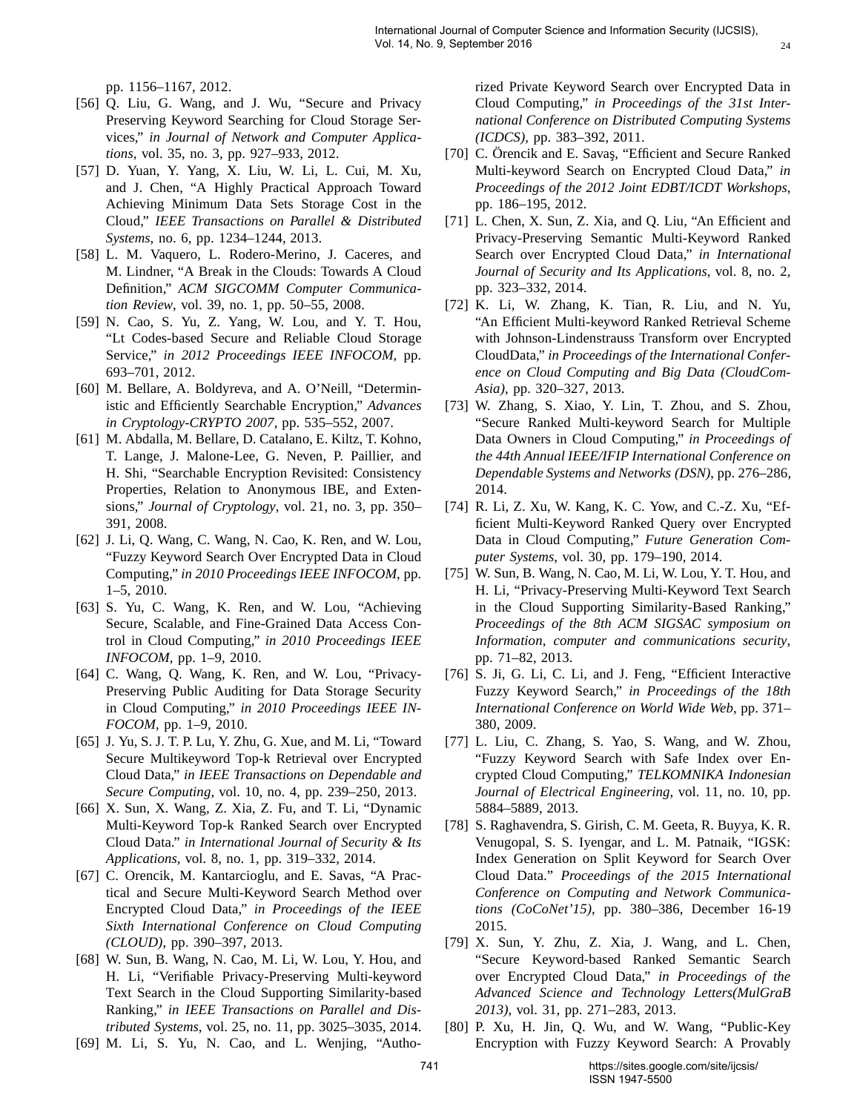pp. 1156–1167, 2012.

- [56] Q. Liu, G. Wang, and J. Wu, "Secure and Privacy Preserving Keyword Searching for Cloud Storage Services," *in Journal of Network and Computer Applications*, vol. 35, no. 3, pp. 927–933, 2012.
- [57] D. Yuan, Y. Yang, X. Liu, W. Li, L. Cui, M. Xu, and J. Chen, "A Highly Practical Approach Toward Achieving Minimum Data Sets Storage Cost in the Cloud," *IEEE Transactions on Parallel & Distributed Systems*, no. 6, pp. 1234–1244, 2013.
- [58] L. M. Vaquero, L. Rodero-Merino, J. Caceres, and M. Lindner, "A Break in the Clouds: Towards A Cloud Definition," *ACM SIGCOMM Computer Communication Review*, vol. 39, no. 1, pp. 50–55, 2008.
- [59] N. Cao, S. Yu, Z. Yang, W. Lou, and Y. T. Hou, "Lt Codes-based Secure and Reliable Cloud Storage Service," *in 2012 Proceedings IEEE INFOCOM*, pp. 693–701, 2012.
- [60] M. Bellare, A. Boldyreva, and A. O'Neill, "Deterministic and Efficiently Searchable Encryption," *Advances in Cryptology-CRYPTO 2007*, pp. 535–552, 2007.
- [61] M. Abdalla, M. Bellare, D. Catalano, E. Kiltz, T. Kohno, T. Lange, J. Malone-Lee, G. Neven, P. Paillier, and H. Shi, "Searchable Encryption Revisited: Consistency Properties, Relation to Anonymous IBE, and Extensions," *Journal of Cryptology*, vol. 21, no. 3, pp. 350– 391, 2008.
- [62] J. Li, Q. Wang, C. Wang, N. Cao, K. Ren, and W. Lou, "Fuzzy Keyword Search Over Encrypted Data in Cloud Computing," *in 2010 Proceedings IEEE INFOCOM*, pp. 1–5, 2010.
- [63] S. Yu, C. Wang, K. Ren, and W. Lou, "Achieving Secure, Scalable, and Fine-Grained Data Access Control in Cloud Computing," *in 2010 Proceedings IEEE INFOCOM*, pp. 1–9, 2010.
- [64] C. Wang, Q. Wang, K. Ren, and W. Lou, "Privacy-Preserving Public Auditing for Data Storage Security in Cloud Computing," *in 2010 Proceedings IEEE IN-FOCOM*, pp. 1–9, 2010.
- [65] J. Yu, S. J. T. P. Lu, Y. Zhu, G. Xue, and M. Li, "Toward Secure Multikeyword Top-k Retrieval over Encrypted Cloud Data," *in IEEE Transactions on Dependable and Secure Computing*, vol. 10, no. 4, pp. 239–250, 2013.
- [66] X. Sun, X. Wang, Z. Xia, Z. Fu, and T. Li, "Dynamic Multi-Keyword Top-k Ranked Search over Encrypted Cloud Data." *in International Journal of Security & Its Applications*, vol. 8, no. 1, pp. 319–332, 2014.
- [67] C. Orencik, M. Kantarcioglu, and E. Savas, "A Practical and Secure Multi-Keyword Search Method over Encrypted Cloud Data," *in Proceedings of the IEEE Sixth International Conference on Cloud Computing (CLOUD)*, pp. 390–397, 2013.
- [68] W. Sun, B. Wang, N. Cao, M. Li, W. Lou, Y. Hou, and H. Li, "Verifiable Privacy-Preserving Multi-keyword Text Search in the Cloud Supporting Similarity-based Ranking," *in IEEE Transactions on Parallel and Distributed Systems*, vol. 25, no. 11, pp. 3025–3035, 2014.
- [69] M. Li, S. Yu, N. Cao, and L. Wenjing, "Autho-

rized Private Keyword Search over Encrypted Data in Cloud Computing," *in Proceedings of the 31st International Conference on Distributed Computing Systems (ICDCS)*, pp. 383–392, 2011.

- [70] C. Örencik and E. Savaş, "Efficient and Secure Ranked Multi-keyword Search on Encrypted Cloud Data," *in Proceedings of the 2012 Joint EDBT/ICDT Workshops*, pp. 186–195, 2012.
- [71] L. Chen, X. Sun, Z. Xia, and Q. Liu, "An Efficient and Privacy-Preserving Semantic Multi-Keyword Ranked Search over Encrypted Cloud Data," *in International Journal of Security and Its Applications*, vol. 8, no. 2, pp. 323–332, 2014.
- [72] K. Li, W. Zhang, K. Tian, R. Liu, and N. Yu, "An Efficient Multi-keyword Ranked Retrieval Scheme with Johnson-Lindenstrauss Transform over Encrypted CloudData," *in Proceedings of the International Conference on Cloud Computing and Big Data (CloudCom-Asia)*, pp. 320–327, 2013.
- [73] W. Zhang, S. Xiao, Y. Lin, T. Zhou, and S. Zhou, "Secure Ranked Multi-keyword Search for Multiple Data Owners in Cloud Computing," *in Proceedings of the 44th Annual IEEE/IFIP International Conference on Dependable Systems and Networks (DSN)*, pp. 276–286, 2014.
- [74] R. Li, Z. Xu, W. Kang, K. C. Yow, and C.-Z. Xu, "Efficient Multi-Keyword Ranked Query over Encrypted Data in Cloud Computing," *Future Generation Computer Systems*, vol. 30, pp. 179–190, 2014.
- [75] W. Sun, B. Wang, N. Cao, M. Li, W. Lou, Y. T. Hou, and H. Li, "Privacy-Preserving Multi-Keyword Text Search in the Cloud Supporting Similarity-Based Ranking," *Proceedings of the 8th ACM SIGSAC symposium on Information, computer and communications security*, pp. 71–82, 2013.
- [76] S. Ji, G. Li, C. Li, and J. Feng, "Efficient Interactive Fuzzy Keyword Search," *in Proceedings of the 18th International Conference on World Wide Web*, pp. 371– 380, 2009.
- [77] L. Liu, C. Zhang, S. Yao, S. Wang, and W. Zhou, "Fuzzy Keyword Search with Safe Index over Encrypted Cloud Computing," *TELKOMNIKA Indonesian Journal of Electrical Engineering*, vol. 11, no. 10, pp. 5884–5889, 2013.
- [78] S. Raghavendra, S. Girish, C. M. Geeta, R. Buyya, K. R. Venugopal, S. S. Iyengar, and L. M. Patnaik, "IGSK: Index Generation on Split Keyword for Search Over Cloud Data." *Proceedings of the 2015 International Conference on Computing and Network Communications (CoCoNet'15)*, pp. 380–386, December 16-19 2015.
- [79] X. Sun, Y. Zhu, Z. Xia, J. Wang, and L. Chen, "Secure Keyword-based Ranked Semantic Search over Encrypted Cloud Data," *in Proceedings of the Advanced Science and Technology Letters(MulGraB 2013)*, vol. 31, pp. 271–283, 2013.
- [80] P. Xu, H. Jin, Q. Wu, and W. Wang, "Public-Key Encryption with Fuzzy Keyword Search: A Provably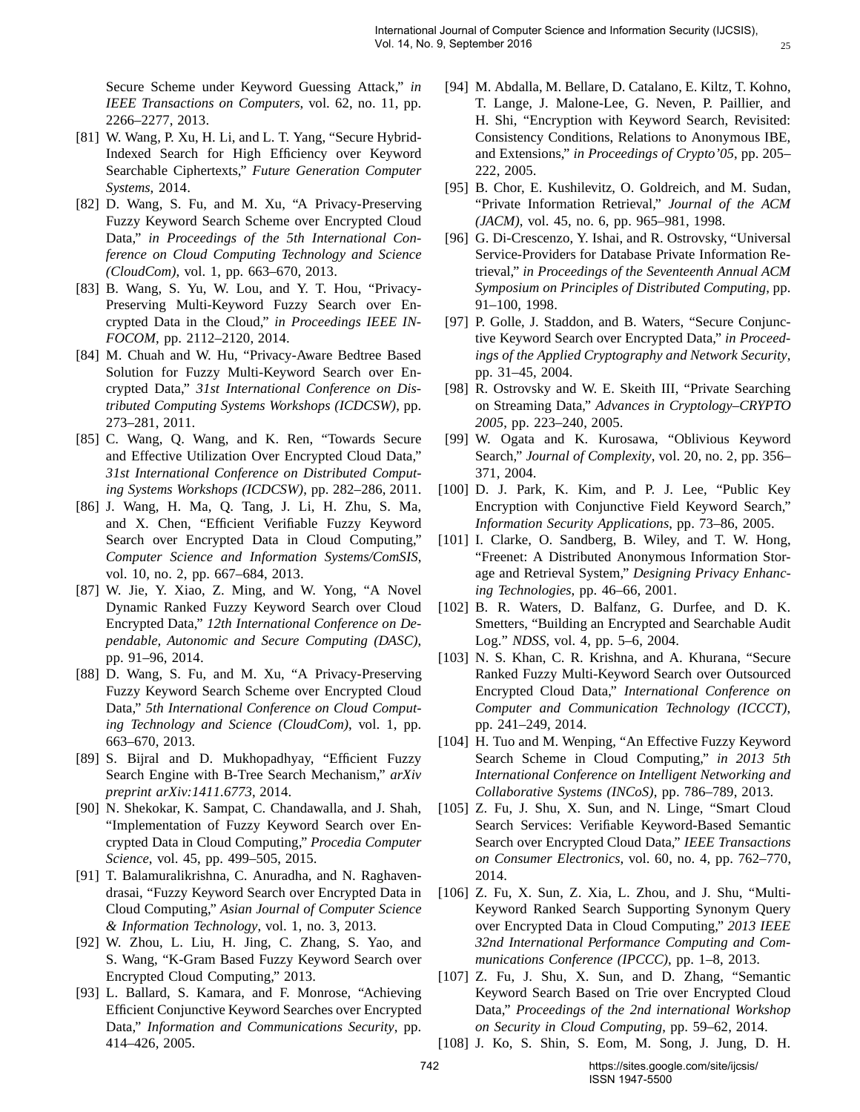Secure Scheme under Keyword Guessing Attack," *in IEEE Transactions on Computers*, vol. 62, no. 11, pp. 2266–2277, 2013.

- [81] W. Wang, P. Xu, H. Li, and L. T. Yang, "Secure Hybrid-Indexed Search for High Efficiency over Keyword Searchable Ciphertexts," *Future Generation Computer Systems*, 2014.
- [82] D. Wang, S. Fu, and M. Xu, "A Privacy-Preserving Fuzzy Keyword Search Scheme over Encrypted Cloud Data," *in Proceedings of the 5th International Conference on Cloud Computing Technology and Science (CloudCom)*, vol. 1, pp. 663–670, 2013.
- [83] B. Wang, S. Yu, W. Lou, and Y. T. Hou, "Privacy-Preserving Multi-Keyword Fuzzy Search over Encrypted Data in the Cloud," *in Proceedings IEEE IN-FOCOM*, pp. 2112–2120, 2014.
- [84] M. Chuah and W. Hu, "Privacy-Aware Bedtree Based Solution for Fuzzy Multi-Keyword Search over Encrypted Data," *31st International Conference on Distributed Computing Systems Workshops (ICDCSW)*, pp. 273–281, 2011.
- [85] C. Wang, Q. Wang, and K. Ren, "Towards Secure and Effective Utilization Over Encrypted Cloud Data," *31st International Conference on Distributed Computing Systems Workshops (ICDCSW)*, pp. 282–286, 2011.
- [86] J. Wang, H. Ma, Q. Tang, J. Li, H. Zhu, S. Ma, and X. Chen, "Efficient Verifiable Fuzzy Keyword Search over Encrypted Data in Cloud Computing," *Computer Science and Information Systems/ComSIS*, vol. 10, no. 2, pp. 667–684, 2013.
- [87] W. Jie, Y. Xiao, Z. Ming, and W. Yong, "A Novel Dynamic Ranked Fuzzy Keyword Search over Cloud Encrypted Data," *12th International Conference on Dependable, Autonomic and Secure Computing (DASC)*, pp. 91–96, 2014.
- [88] D. Wang, S. Fu, and M. Xu, "A Privacy-Preserving Fuzzy Keyword Search Scheme over Encrypted Cloud Data," *5th International Conference on Cloud Computing Technology and Science (CloudCom)*, vol. 1, pp. 663–670, 2013.
- [89] S. Bijral and D. Mukhopadhyay, "Efficient Fuzzy Search Engine with B-Tree Search Mechanism," *arXiv preprint arXiv:1411.6773*, 2014.
- [90] N. Shekokar, K. Sampat, C. Chandawalla, and J. Shah, "Implementation of Fuzzy Keyword Search over Encrypted Data in Cloud Computing," *Procedia Computer Science*, vol. 45, pp. 499–505, 2015.
- [91] T. Balamuralikrishna, C. Anuradha, and N. Raghavendrasai, "Fuzzy Keyword Search over Encrypted Data in Cloud Computing," *Asian Journal of Computer Science & Information Technology*, vol. 1, no. 3, 2013.
- [92] W. Zhou, L. Liu, H. Jing, C. Zhang, S. Yao, and S. Wang, "K-Gram Based Fuzzy Keyword Search over Encrypted Cloud Computing," 2013.
- [93] L. Ballard, S. Kamara, and F. Monrose, "Achieving Efficient Conjunctive Keyword Searches over Encrypted Data," *Information and Communications Security*, pp. 414–426, 2005.

[94] M. Abdalla, M. Bellare, D. Catalano, E. Kiltz, T. Kohno, T. Lange, J. Malone-Lee, G. Neven, P. Paillier, and H. Shi, "Encryption with Keyword Search, Revisited: Consistency Conditions, Relations to Anonymous IBE, and Extensions," *in Proceedings of Crypto'05*, pp. 205– 222, 2005.

25

- [95] B. Chor, E. Kushilevitz, O. Goldreich, and M. Sudan, "Private Information Retrieval," *Journal of the ACM (JACM)*, vol. 45, no. 6, pp. 965–981, 1998.
- [96] G. Di-Crescenzo, Y. Ishai, and R. Ostrovsky, "Universal Service-Providers for Database Private Information Retrieval," *in Proceedings of the Seventeenth Annual ACM Symposium on Principles of Distributed Computing*, pp. 91–100, 1998.
- [97] P. Golle, J. Staddon, and B. Waters, "Secure Conjunctive Keyword Search over Encrypted Data," *in Proceedings of the Applied Cryptography and Network Security*, pp. 31–45, 2004.
- [98] R. Ostrovsky and W. E. Skeith III, "Private Searching on Streaming Data," *Advances in Cryptology–CRYPTO 2005*, pp. 223–240, 2005.
- [99] W. Ogata and K. Kurosawa, "Oblivious Keyword Search," *Journal of Complexity*, vol. 20, no. 2, pp. 356– 371, 2004.
- [100] D. J. Park, K. Kim, and P. J. Lee, "Public Key Encryption with Conjunctive Field Keyword Search," *Information Security Applications*, pp. 73–86, 2005.
- [101] I. Clarke, O. Sandberg, B. Wiley, and T. W. Hong, "Freenet: A Distributed Anonymous Information Storage and Retrieval System," *Designing Privacy Enhancing Technologies*, pp. 46–66, 2001.
- [102] B. R. Waters, D. Balfanz, G. Durfee, and D. K. Smetters, "Building an Encrypted and Searchable Audit Log." *NDSS*, vol. 4, pp. 5–6, 2004.
- [103] N. S. Khan, C. R. Krishna, and A. Khurana, "Secure Ranked Fuzzy Multi-Keyword Search over Outsourced Encrypted Cloud Data," *International Conference on Computer and Communication Technology (ICCCT)*, pp. 241–249, 2014.
- [104] H. Tuo and M. Wenping, "An Effective Fuzzy Keyword Search Scheme in Cloud Computing," *in 2013 5th International Conference on Intelligent Networking and Collaborative Systems (INCoS)*, pp. 786–789, 2013.
- [105] Z. Fu, J. Shu, X. Sun, and N. Linge, "Smart Cloud Search Services: Verifiable Keyword-Based Semantic Search over Encrypted Cloud Data," *IEEE Transactions on Consumer Electronics*, vol. 60, no. 4, pp. 762–770, 2014.
- [106] Z. Fu, X. Sun, Z. Xia, L. Zhou, and J. Shu, "Multi-Keyword Ranked Search Supporting Synonym Query over Encrypted Data in Cloud Computing," *2013 IEEE 32nd International Performance Computing and Communications Conference (IPCCC)*, pp. 1–8, 2013.
- [107] Z. Fu, J. Shu, X. Sun, and D. Zhang, "Semantic Keyword Search Based on Trie over Encrypted Cloud Data," *Proceedings of the 2nd international Workshop on Security in Cloud Computing*, pp. 59–62, 2014.
- [108] J. Ko, S. Shin, S. Eom, M. Song, J. Jung, D. H.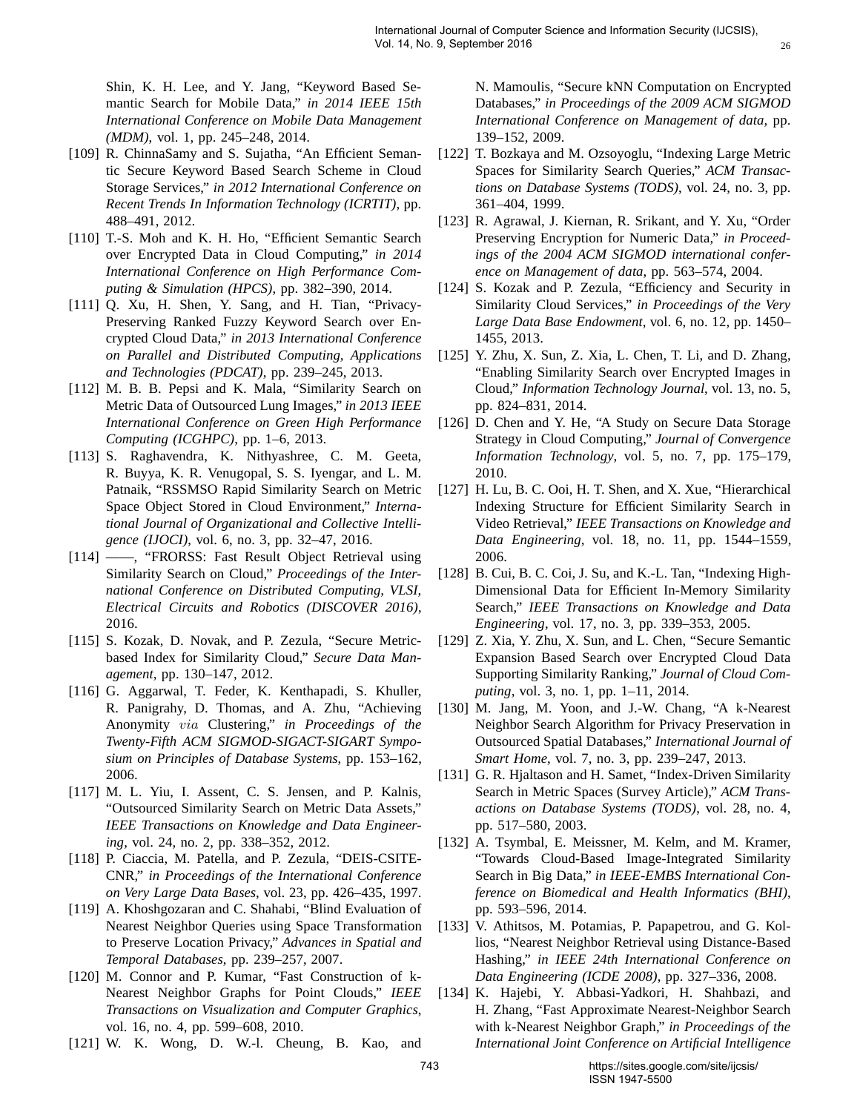Shin, K. H. Lee, and Y. Jang, "Keyword Based Semantic Search for Mobile Data," *in 2014 IEEE 15th International Conference on Mobile Data Management (MDM)*, vol. 1, pp. 245–248, 2014.

- [109] R. ChinnaSamy and S. Sujatha, "An Efficient Semantic Secure Keyword Based Search Scheme in Cloud Storage Services," *in 2012 International Conference on Recent Trends In Information Technology (ICRTIT)*, pp. 488–491, 2012.
- [110] T.-S. Moh and K. H. Ho, "Efficient Semantic Search over Encrypted Data in Cloud Computing," *in 2014 International Conference on High Performance Computing & Simulation (HPCS)*, pp. 382–390, 2014.
- [111] Q. Xu, H. Shen, Y. Sang, and H. Tian, "Privacy-Preserving Ranked Fuzzy Keyword Search over Encrypted Cloud Data," *in 2013 International Conference on Parallel and Distributed Computing, Applications and Technologies (PDCAT)*, pp. 239–245, 2013.
- [112] M. B. B. Pepsi and K. Mala, "Similarity Search on Metric Data of Outsourced Lung Images," *in 2013 IEEE International Conference on Green High Performance Computing (ICGHPC)*, pp. 1–6, 2013.
- [113] S. Raghavendra, K. Nithyashree, C. M. Geeta, R. Buyya, K. R. Venugopal, S. S. Iyengar, and L. M. Patnaik, "RSSMSO Rapid Similarity Search on Metric Space Object Stored in Cloud Environment," *International Journal of Organizational and Collective Intelligence (IJOCI)*, vol. 6, no. 3, pp. 32–47, 2016.
- [114] ——, "FRORSS: Fast Result Object Retrieval using Similarity Search on Cloud," *Proceedings of the International Conference on Distributed Computing, VLSI, Electrical Circuits and Robotics (DISCOVER 2016)*, 2016.
- [115] S. Kozak, D. Novak, and P. Zezula, "Secure Metricbased Index for Similarity Cloud," *Secure Data Management*, pp. 130–147, 2012.
- [116] G. Aggarwal, T. Feder, K. Kenthapadi, S. Khuller, R. Panigrahy, D. Thomas, and A. Zhu, "Achieving Anonymity via Clustering," *in Proceedings of the Twenty-Fifth ACM SIGMOD-SIGACT-SIGART Symposium on Principles of Database Systems*, pp. 153–162, 2006.
- [117] M. L. Yiu, I. Assent, C. S. Jensen, and P. Kalnis, "Outsourced Similarity Search on Metric Data Assets," *IEEE Transactions on Knowledge and Data Engineering*, vol. 24, no. 2, pp. 338–352, 2012.
- [118] P. Ciaccia, M. Patella, and P. Zezula, "DEIS-CSITE-CNR," *in Proceedings of the International Conference on Very Large Data Bases*, vol. 23, pp. 426–435, 1997.
- [119] A. Khoshgozaran and C. Shahabi, "Blind Evaluation of Nearest Neighbor Queries using Space Transformation to Preserve Location Privacy," *Advances in Spatial and Temporal Databases*, pp. 239–257, 2007.
- [120] M. Connor and P. Kumar, "Fast Construction of k-Nearest Neighbor Graphs for Point Clouds," *IEEE Transactions on Visualization and Computer Graphics*, vol. 16, no. 4, pp. 599–608, 2010.
- [121] W. K. Wong, D. W.-l. Cheung, B. Kao, and

N. Mamoulis, "Secure kNN Computation on Encrypted Databases," *in Proceedings of the 2009 ACM SIGMOD International Conference on Management of data*, pp. 139–152, 2009.

- [122] T. Bozkaya and M. Ozsoyoglu, "Indexing Large Metric Spaces for Similarity Search Queries," *ACM Transactions on Database Systems (TODS)*, vol. 24, no. 3, pp. 361–404, 1999.
- [123] R. Agrawal, J. Kiernan, R. Srikant, and Y. Xu, "Order Preserving Encryption for Numeric Data," *in Proceedings of the 2004 ACM SIGMOD international conference on Management of data*, pp. 563–574, 2004.
- [124] S. Kozak and P. Zezula, "Efficiency and Security in Similarity Cloud Services," *in Proceedings of the Very Large Data Base Endowment*, vol. 6, no. 12, pp. 1450– 1455, 2013.
- [125] Y. Zhu, X. Sun, Z. Xia, L. Chen, T. Li, and D. Zhang, "Enabling Similarity Search over Encrypted Images in Cloud," *Information Technology Journal*, vol. 13, no. 5, pp. 824–831, 2014.
- [126] D. Chen and Y. He, "A Study on Secure Data Storage Strategy in Cloud Computing," *Journal of Convergence Information Technology*, vol. 5, no. 7, pp. 175–179, 2010.
- [127] H. Lu, B. C. Ooi, H. T. Shen, and X. Xue, "Hierarchical Indexing Structure for Efficient Similarity Search in Video Retrieval," *IEEE Transactions on Knowledge and Data Engineering*, vol. 18, no. 11, pp. 1544–1559, 2006.
- [128] B. Cui, B. C. Coi, J. Su, and K.-L. Tan, "Indexing High-Dimensional Data for Efficient In-Memory Similarity Search," *IEEE Transactions on Knowledge and Data Engineering*, vol. 17, no. 3, pp. 339–353, 2005.
- [129] Z. Xia, Y. Zhu, X. Sun, and L. Chen, "Secure Semantic Expansion Based Search over Encrypted Cloud Data Supporting Similarity Ranking," *Journal of Cloud Computing*, vol. 3, no. 1, pp. 1–11, 2014.
- [130] M. Jang, M. Yoon, and J.-W. Chang, "A k-Nearest" Neighbor Search Algorithm for Privacy Preservation in Outsourced Spatial Databases," *International Journal of Smart Home*, vol. 7, no. 3, pp. 239–247, 2013.
- [131] G. R. Hjaltason and H. Samet, "Index-Driven Similarity Search in Metric Spaces (Survey Article)," *ACM Transactions on Database Systems (TODS)*, vol. 28, no. 4, pp. 517–580, 2003.
- [132] A. Tsymbal, E. Meissner, M. Kelm, and M. Kramer, "Towards Cloud-Based Image-Integrated Similarity Search in Big Data," *in IEEE-EMBS International Conference on Biomedical and Health Informatics (BHI)*, pp. 593–596, 2014.
- [133] V. Athitsos, M. Potamias, P. Papapetrou, and G. Kollios, "Nearest Neighbor Retrieval using Distance-Based Hashing," *in IEEE 24th International Conference on Data Engineering (ICDE 2008)*, pp. 327–336, 2008.
- [134] K. Hajebi, Y. Abbasi-Yadkori, H. Shahbazi, and H. Zhang, "Fast Approximate Nearest-Neighbor Search with k-Nearest Neighbor Graph," *in Proceedings of the International Joint Conference on Artificial Intelligence*

743 https://sites.google.com/site/ijcsis/ ISSN 1947-5500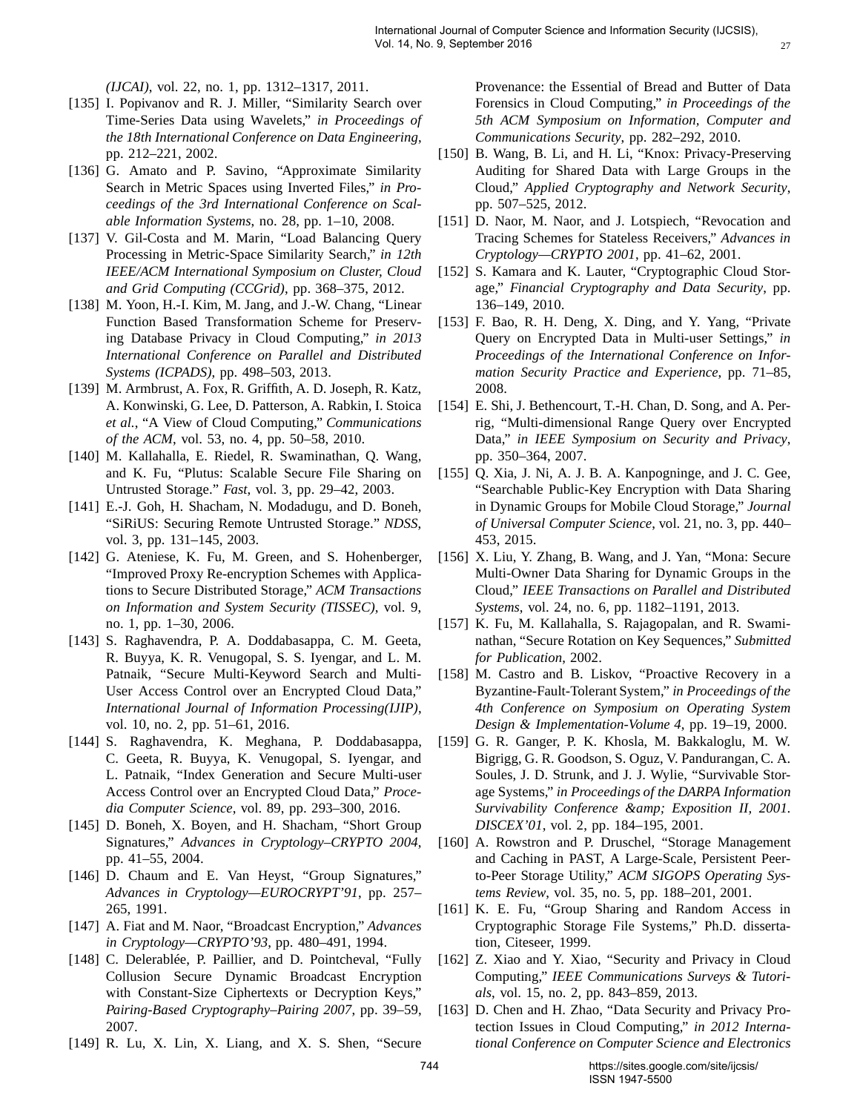*(IJCAI)*, vol. 22, no. 1, pp. 1312–1317, 2011.

- [135] I. Popivanov and R. J. Miller, "Similarity Search over Time-Series Data using Wavelets," *in Proceedings of the 18th International Conference on Data Engineering*, pp. 212–221, 2002.
- [136] G. Amato and P. Savino, "Approximate Similarity Search in Metric Spaces using Inverted Files," *in Proceedings of the 3rd International Conference on Scalable Information Systems*, no. 28, pp. 1–10, 2008.
- [137] V. Gil-Costa and M. Marin, "Load Balancing Query Processing in Metric-Space Similarity Search," *in 12th IEEE/ACM International Symposium on Cluster, Cloud and Grid Computing (CCGrid)*, pp. 368–375, 2012.
- [138] M. Yoon, H.-I. Kim, M. Jang, and J.-W. Chang, "Linear Function Based Transformation Scheme for Preserving Database Privacy in Cloud Computing," *in 2013 International Conference on Parallel and Distributed Systems (ICPADS)*, pp. 498–503, 2013.
- [139] M. Armbrust, A. Fox, R. Griffith, A. D. Joseph, R. Katz, A. Konwinski, G. Lee, D. Patterson, A. Rabkin, I. Stoica *et al.*, "A View of Cloud Computing," *Communications of the ACM*, vol. 53, no. 4, pp. 50–58, 2010.
- [140] M. Kallahalla, E. Riedel, R. Swaminathan, Q. Wang, and K. Fu, "Plutus: Scalable Secure File Sharing on Untrusted Storage." *Fast*, vol. 3, pp. 29–42, 2003.
- [141] E.-J. Goh, H. Shacham, N. Modadugu, and D. Boneh, "SiRiUS: Securing Remote Untrusted Storage." *NDSS*, vol. 3, pp. 131–145, 2003.
- [142] G. Ateniese, K. Fu, M. Green, and S. Hohenberger, "Improved Proxy Re-encryption Schemes with Applications to Secure Distributed Storage," *ACM Transactions on Information and System Security (TISSEC)*, vol. 9, no. 1, pp. 1–30, 2006.
- [143] S. Raghavendra, P. A. Doddabasappa, C. M. Geeta, R. Buyya, K. R. Venugopal, S. S. Iyengar, and L. M. Patnaik, "Secure Multi-Keyword Search and Multi-User Access Control over an Encrypted Cloud Data," *International Journal of Information Processing(IJIP)*, vol. 10, no. 2, pp. 51–61, 2016.
- [144] S. Raghavendra, K. Meghana, P. Doddabasappa, C. Geeta, R. Buyya, K. Venugopal, S. Iyengar, and L. Patnaik, "Index Generation and Secure Multi-user Access Control over an Encrypted Cloud Data," *Procedia Computer Science*, vol. 89, pp. 293–300, 2016.
- [145] D. Boneh, X. Boyen, and H. Shacham, "Short Group Signatures," *Advances in Cryptology–CRYPTO 2004*, pp. 41–55, 2004.
- [146] D. Chaum and E. Van Heyst, "Group Signatures," *Advances in Cryptology—EUROCRYPT'91*, pp. 257– 265, 1991.
- [147] A. Fiat and M. Naor, "Broadcast Encryption," *Advances in Cryptology—CRYPTO'93*, pp. 480–491, 1994.
- [148] C. Delerablée, P. Paillier, and D. Pointcheval, "Fully Collusion Secure Dynamic Broadcast Encryption with Constant-Size Ciphertexts or Decryption Keys," *Pairing-Based Cryptography–Pairing 2007*, pp. 39–59, 2007.
- [149] R. Lu, X. Lin, X. Liang, and X. S. Shen, "Secure

Provenance: the Essential of Bread and Butter of Data Forensics in Cloud Computing," *in Proceedings of the 5th ACM Symposium on Information, Computer and Communications Security*, pp. 282–292, 2010.

27

- [150] B. Wang, B. Li, and H. Li, "Knox: Privacy-Preserving Auditing for Shared Data with Large Groups in the Cloud," *Applied Cryptography and Network Security*, pp. 507–525, 2012.
- [151] D. Naor, M. Naor, and J. Lotspiech, "Revocation and Tracing Schemes for Stateless Receivers," *Advances in Cryptology—CRYPTO 2001*, pp. 41–62, 2001.
- [152] S. Kamara and K. Lauter, "Cryptographic Cloud Storage," *Financial Cryptography and Data Security*, pp. 136–149, 2010.
- [153] F. Bao, R. H. Deng, X. Ding, and Y. Yang, "Private Query on Encrypted Data in Multi-user Settings," *in Proceedings of the International Conference on Information Security Practice and Experience*, pp. 71–85, 2008.
- [154] E. Shi, J. Bethencourt, T.-H. Chan, D. Song, and A. Perrig, "Multi-dimensional Range Query over Encrypted Data," *in IEEE Symposium on Security and Privacy*, pp. 350–364, 2007.
- [155] O. Xia, J. Ni, A. J. B. A. Kanpogninge, and J. C. Gee, "Searchable Public-Key Encryption with Data Sharing in Dynamic Groups for Mobile Cloud Storage," *Journal of Universal Computer Science*, vol. 21, no. 3, pp. 440– 453, 2015.
- [156] X. Liu, Y. Zhang, B. Wang, and J. Yan, "Mona: Secure Multi-Owner Data Sharing for Dynamic Groups in the Cloud," *IEEE Transactions on Parallel and Distributed Systems*, vol. 24, no. 6, pp. 1182–1191, 2013.
- [157] K. Fu, M. Kallahalla, S. Rajagopalan, and R. Swaminathan, "Secure Rotation on Key Sequences," *Submitted for Publication*, 2002.
- [158] M. Castro and B. Liskov, "Proactive Recovery in a Byzantine-Fault-Tolerant System," *in Proceedings of the 4th Conference on Symposium on Operating System Design & Implementation-Volume 4*, pp. 19–19, 2000.
- [159] G. R. Ganger, P. K. Khosla, M. Bakkaloglu, M. W. Bigrigg, G. R. Goodson, S. Oguz, V. Pandurangan, C. A. Soules, J. D. Strunk, and J. J. Wylie, "Survivable Storage Systems," *in Proceedings of the DARPA Information Survivability Conference & Exposition II, 2001. DISCEX'01*, vol. 2, pp. 184–195, 2001.
- [160] A. Rowstron and P. Druschel, "Storage Management and Caching in PAST, A Large-Scale, Persistent Peerto-Peer Storage Utility," *ACM SIGOPS Operating Systems Review*, vol. 35, no. 5, pp. 188–201, 2001.
- [161] K. E. Fu, "Group Sharing and Random Access in Cryptographic Storage File Systems," Ph.D. dissertation, Citeseer, 1999.
- [162] Z. Xiao and Y. Xiao, "Security and Privacy in Cloud Computing," *IEEE Communications Surveys & Tutorials*, vol. 15, no. 2, pp. 843–859, 2013.
- [163] D. Chen and H. Zhao, "Data Security and Privacy Protection Issues in Cloud Computing," *in 2012 International Conference on Computer Science and Electronics*